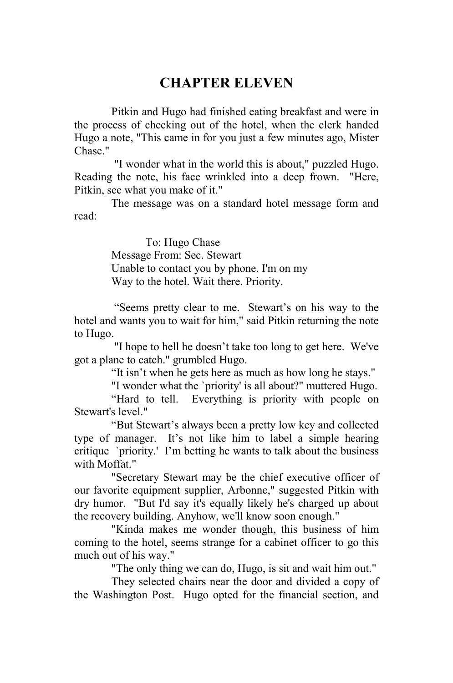## **CHAPTER ELEVEN**

Pitkin and Hugo had finished eating breakfast and were in the process of checking out of the hotel, when the clerk handed Hugo a note, "This came in for you just a few minutes ago, Mister Chase."

 "I wonder what in the world this is about," puzzled Hugo. Reading the note, his face wrinkled into a deep frown. "Here, Pitkin, see what you make of it."

The message was on a standard hotel message form and read:

> To: Hugo Chase Message From: Sec. Stewart Unable to contact you by phone. I'm on my Way to the hotel. Wait there. Priority.

 "Seems pretty clear to me. Stewart's on his way to the hotel and wants you to wait for him," said Pitkin returning the note to Hugo.

 "I hope to hell he doesn't take too long to get here. We've got a plane to catch." grumbled Hugo.

"It isn't when he gets here as much as how long he stays."

"I wonder what the `priority' is all about?" muttered Hugo.

"Hard to tell. Everything is priority with people on Stewart's level."

"But Stewart's always been a pretty low key and collected type of manager. It's not like him to label a simple hearing critique `priority.' I'm betting he wants to talk about the business with Moffat"

"Secretary Stewart may be the chief executive officer of our favorite equipment supplier, Arbonne," suggested Pitkin with dry humor. "But I'd say it's equally likely he's charged up about the recovery building. Anyhow, we'll know soon enough."

"Kinda makes me wonder though, this business of him coming to the hotel, seems strange for a cabinet officer to go this much out of his way."

"The only thing we can do, Hugo, is sit and wait him out."

They selected chairs near the door and divided a copy of the Washington Post. Hugo opted for the financial section, and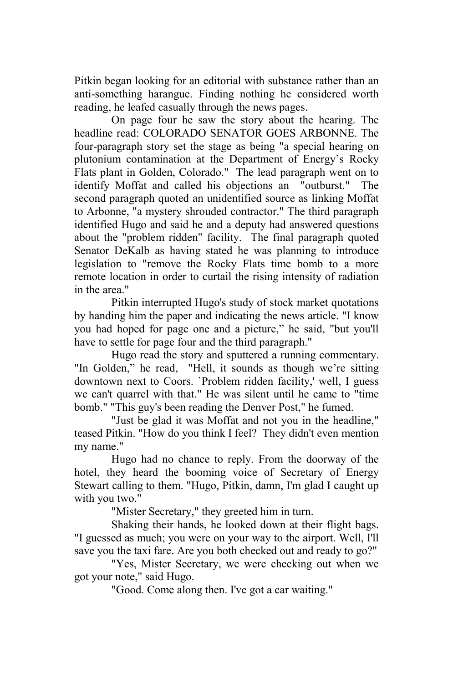Pitkin began looking for an editorial with substance rather than an anti-something harangue. Finding nothing he considered worth reading, he leafed casually through the news pages.

On page four he saw the story about the hearing. The headline read: COLORADO SENATOR GOES ARBONNE. The four-paragraph story set the stage as being "a special hearing on plutonium contamination at the Department of Energy's Rocky Flats plant in Golden, Colorado." The lead paragraph went on to identify Moffat and called his objections an "outburst." The second paragraph quoted an unidentified source as linking Moffat to Arbonne, "a mystery shrouded contractor." The third paragraph identified Hugo and said he and a deputy had answered questions about the "problem ridden" facility. The final paragraph quoted Senator DeKalb as having stated he was planning to introduce legislation to "remove the Rocky Flats time bomb to a more remote location in order to curtail the rising intensity of radiation in the area."

Pitkin interrupted Hugo's study of stock market quotations by handing him the paper and indicating the news article. "I know you had hoped for page one and a picture," he said, "but you'll have to settle for page four and the third paragraph."

Hugo read the story and sputtered a running commentary. "In Golden," he read, "Hell, it sounds as though we're sitting downtown next to Coors. `Problem ridden facility,' well, I guess we can't quarrel with that." He was silent until he came to "time bomb." "This guy's been reading the Denver Post," he fumed.

"Just be glad it was Moffat and not you in the headline," teased Pitkin. "How do you think I feel? They didn't even mention my name."

Hugo had no chance to reply. From the doorway of the hotel, they heard the booming voice of Secretary of Energy Stewart calling to them. "Hugo, Pitkin, damn, I'm glad I caught up with you two."

"Mister Secretary," they greeted him in turn.

Shaking their hands, he looked down at their flight bags. "I guessed as much; you were on your way to the airport. Well, I'll save you the taxi fare. Are you both checked out and ready to go?"

"Yes, Mister Secretary, we were checking out when we got your note," said Hugo.

"Good. Come along then. I've got a car waiting."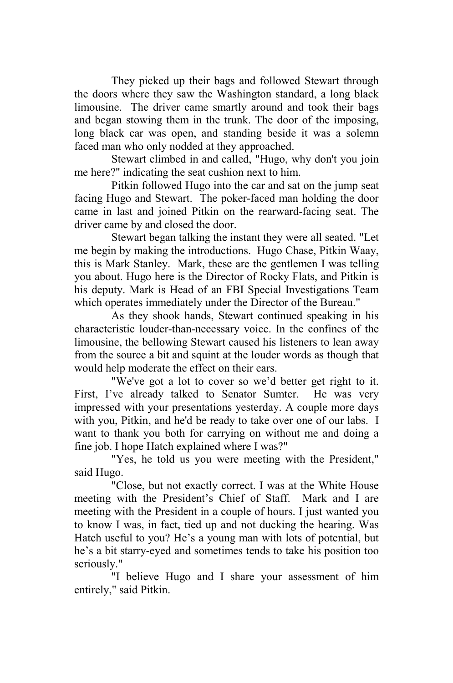They picked up their bags and followed Stewart through the doors where they saw the Washington standard, a long black limousine. The driver came smartly around and took their bags and began stowing them in the trunk. The door of the imposing, long black car was open, and standing beside it was a solemn faced man who only nodded at they approached.

Stewart climbed in and called, "Hugo, why don't you join me here?" indicating the seat cushion next to him.

Pitkin followed Hugo into the car and sat on the jump seat facing Hugo and Stewart. The poker-faced man holding the door came in last and joined Pitkin on the rearward-facing seat. The driver came by and closed the door.

Stewart began talking the instant they were all seated. "Let me begin by making the introductions. Hugo Chase, Pitkin Waay, this is Mark Stanley. Mark, these are the gentlemen I was telling you about. Hugo here is the Director of Rocky Flats, and Pitkin is his deputy. Mark is Head of an FBI Special Investigations Team which operates immediately under the Director of the Bureau."

As they shook hands, Stewart continued speaking in his characteristic louder-than-necessary voice. In the confines of the limousine, the bellowing Stewart caused his listeners to lean away from the source a bit and squint at the louder words as though that would help moderate the effect on their ears.

"We've got a lot to cover so we'd better get right to it. First, I've already talked to Senator Sumter. He was very impressed with your presentations yesterday. A couple more days with you, Pitkin, and he'd be ready to take over one of our labs. I want to thank you both for carrying on without me and doing a fine job. I hope Hatch explained where I was?"

"Yes, he told us you were meeting with the President," said Hugo.

"Close, but not exactly correct. I was at the White House meeting with the President's Chief of Staff. Mark and I are meeting with the President in a couple of hours. I just wanted you to know I was, in fact, tied up and not ducking the hearing. Was Hatch useful to you? He's a young man with lots of potential, but he's a bit starry-eyed and sometimes tends to take his position too seriously."

"I believe Hugo and I share your assessment of him entirely," said Pitkin.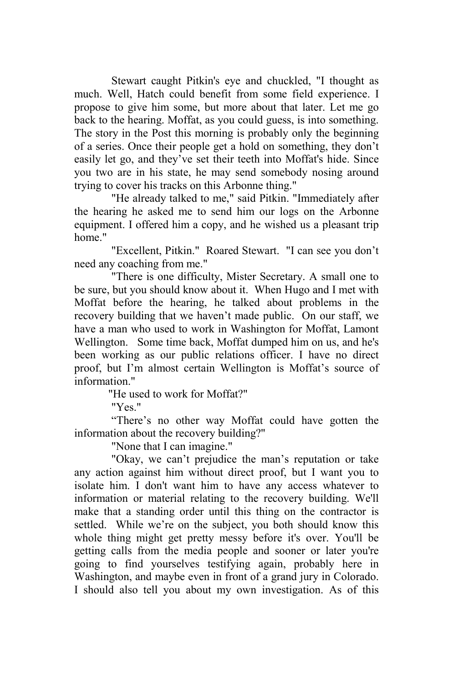Stewart caught Pitkin's eye and chuckled, "I thought as much. Well, Hatch could benefit from some field experience. I propose to give him some, but more about that later. Let me go back to the hearing. Moffat, as you could guess, is into something. The story in the Post this morning is probably only the beginning of a series. Once their people get a hold on something, they don't easily let go, and they've set their teeth into Moffat's hide. Since you two are in his state, he may send somebody nosing around trying to cover his tracks on this Arbonne thing."

"He already talked to me," said Pitkin. "Immediately after the hearing he asked me to send him our logs on the Arbonne equipment. I offered him a copy, and he wished us a pleasant trip home."

"Excellent, Pitkin." Roared Stewart. "I can see you don't need any coaching from me."

"There is one difficulty, Mister Secretary. A small one to be sure, but you should know about it. When Hugo and I met with Moffat before the hearing, he talked about problems in the recovery building that we haven't made public. On our staff, we have a man who used to work in Washington for Moffat, Lamont Wellington. Some time back, Moffat dumped him on us, and he's been working as our public relations officer. I have no direct proof, but I'm almost certain Wellington is Moffat's source of information."

"He used to work for Moffat?"

"Yes."

"There's no other way Moffat could have gotten the information about the recovery building?"

"None that I can imagine."

"Okay, we can't prejudice the man's reputation or take any action against him without direct proof, but I want you to isolate him. I don't want him to have any access whatever to information or material relating to the recovery building. We'll make that a standing order until this thing on the contractor is settled. While we're on the subject, you both should know this whole thing might get pretty messy before it's over. You'll be getting calls from the media people and sooner or later you're going to find yourselves testifying again, probably here in Washington, and maybe even in front of a grand jury in Colorado. I should also tell you about my own investigation. As of this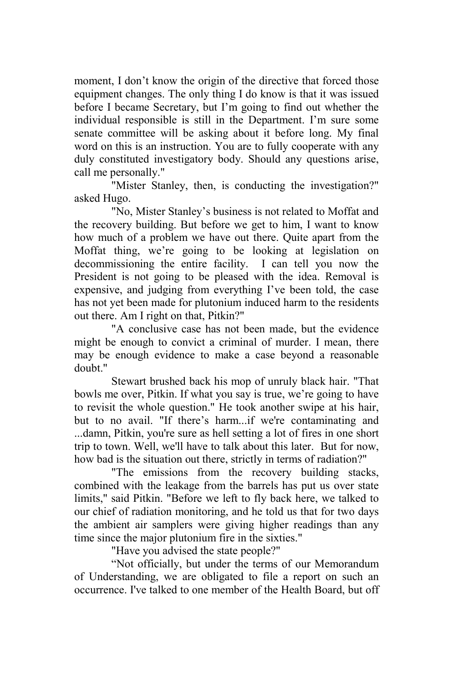moment. I don't know the origin of the directive that forced those equipment changes. The only thing I do know is that it was issued before I became Secretary, but I'm going to find out whether the individual responsible is still in the Department. I'm sure some senate committee will be asking about it before long. My final word on this is an instruction. You are to fully cooperate with any duly constituted investigatory body. Should any questions arise, call me personally."

"Mister Stanley, then, is conducting the investigation?" asked Hugo.

"No, Mister Stanley's business is not related to Moffat and the recovery building. But before we get to him, I want to know how much of a problem we have out there. Quite apart from the Moffat thing, we're going to be looking at legislation on decommissioning the entire facility. I can tell you now the President is not going to be pleased with the idea. Removal is expensive, and judging from everything I've been told, the case has not yet been made for plutonium induced harm to the residents out there. Am I right on that, Pitkin?"

"A conclusive case has not been made, but the evidence might be enough to convict a criminal of murder. I mean, there may be enough evidence to make a case beyond a reasonable doubt."

Stewart brushed back his mop of unruly black hair. "That bowls me over, Pitkin. If what you say is true, we're going to have to revisit the whole question." He took another swipe at his hair, but to no avail. "If there's harm...if we're contaminating and ...damn, Pitkin, you're sure as hell setting a lot of fires in one short trip to town. Well, we'll have to talk about this later. But for now, how bad is the situation out there, strictly in terms of radiation?"

"The emissions from the recovery building stacks, combined with the leakage from the barrels has put us over state limits," said Pitkin. "Before we left to fly back here, we talked to our chief of radiation monitoring, and he told us that for two days the ambient air samplers were giving higher readings than any time since the major plutonium fire in the sixties."

"Have you advised the state people?"

"Not officially, but under the terms of our Memorandum of Understanding, we are obligated to file a report on such an occurrence. I've talked to one member of the Health Board, but off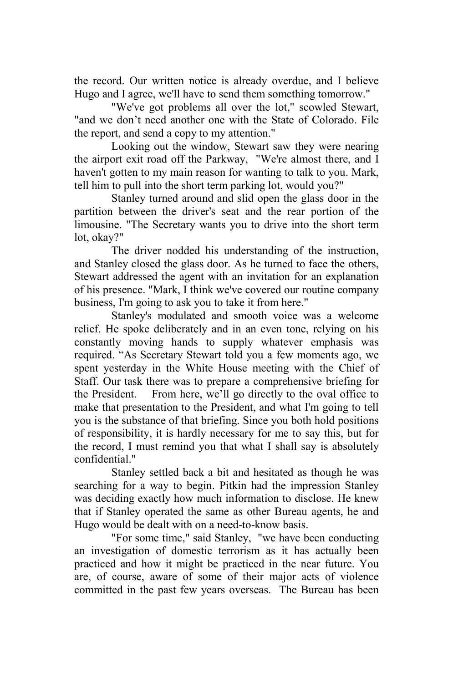the record. Our written notice is already overdue, and I believe Hugo and I agree, we'll have to send them something tomorrow."

"We've got problems all over the lot," scowled Stewart, "and we don't need another one with the State of Colorado. File the report, and send a copy to my attention."

Looking out the window, Stewart saw they were nearing the airport exit road off the Parkway, "We're almost there, and I haven't gotten to my main reason for wanting to talk to you. Mark, tell him to pull into the short term parking lot, would you?"

Stanley turned around and slid open the glass door in the partition between the driver's seat and the rear portion of the limousine. "The Secretary wants you to drive into the short term lot, okay?"

The driver nodded his understanding of the instruction, and Stanley closed the glass door. As he turned to face the others, Stewart addressed the agent with an invitation for an explanation of his presence. "Mark, I think we've covered our routine company business, I'm going to ask you to take it from here."

Stanley's modulated and smooth voice was a welcome relief. He spoke deliberately and in an even tone, relying on his constantly moving hands to supply whatever emphasis was required. "As Secretary Stewart told you a few moments ago, we spent yesterday in the White House meeting with the Chief of Staff. Our task there was to prepare a comprehensive briefing for the President. From here, we'll go directly to the oval office to make that presentation to the President, and what I'm going to tell you is the substance of that briefing. Since you both hold positions of responsibility, it is hardly necessary for me to say this, but for the record, I must remind you that what I shall say is absolutely confidential."

Stanley settled back a bit and hesitated as though he was searching for a way to begin. Pitkin had the impression Stanley was deciding exactly how much information to disclose. He knew that if Stanley operated the same as other Bureau agents, he and Hugo would be dealt with on a need-to-know basis.

"For some time," said Stanley, "we have been conducting an investigation of domestic terrorism as it has actually been practiced and how it might be practiced in the near future. You are, of course, aware of some of their major acts of violence committed in the past few years overseas. The Bureau has been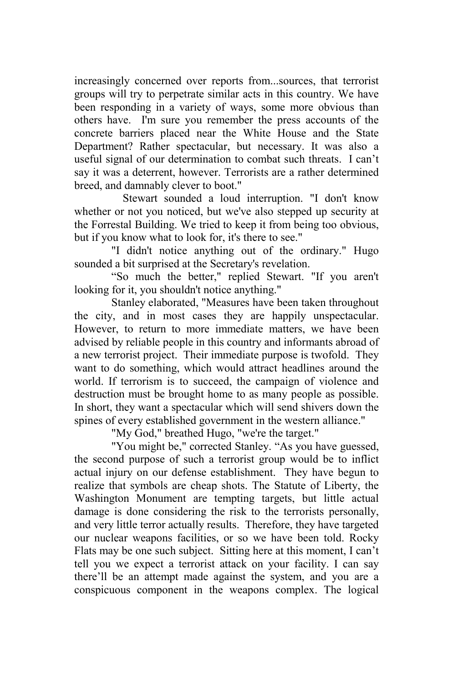increasingly concerned over reports from...sources, that terrorist groups will try to perpetrate similar acts in this country. We have been responding in a variety of ways, some more obvious than others have. I'm sure you remember the press accounts of the concrete barriers placed near the White House and the State Department? Rather spectacular, but necessary. It was also a useful signal of our determination to combat such threats. I can't say it was a deterrent, however. Terrorists are a rather determined breed, and damnably clever to boot."

 Stewart sounded a loud interruption. "I don't know whether or not you noticed, but we've also stepped up security at the Forrestal Building. We tried to keep it from being too obvious, but if you know what to look for, it's there to see."

"I didn't notice anything out of the ordinary." Hugo sounded a bit surprised at the Secretary's revelation.

"So much the better," replied Stewart. "If you aren't looking for it, you shouldn't notice anything."

Stanley elaborated, "Measures have been taken throughout the city, and in most cases they are happily unspectacular. However, to return to more immediate matters, we have been advised by reliable people in this country and informants abroad of a new terrorist project. Their immediate purpose is twofold. They want to do something, which would attract headlines around the world. If terrorism is to succeed, the campaign of violence and destruction must be brought home to as many people as possible. In short, they want a spectacular which will send shivers down the spines of every established government in the western alliance."

"My God," breathed Hugo, "we're the target."

"You might be," corrected Stanley. "As you have guessed, the second purpose of such a terrorist group would be to inflict actual injury on our defense establishment. They have begun to realize that symbols are cheap shots. The Statute of Liberty, the Washington Monument are tempting targets, but little actual damage is done considering the risk to the terrorists personally, and very little terror actually results. Therefore, they have targeted our nuclear weapons facilities, or so we have been told. Rocky Flats may be one such subject. Sitting here at this moment, I can't tell you we expect a terrorist attack on your facility. I can say there'll be an attempt made against the system, and you are a conspicuous component in the weapons complex. The logical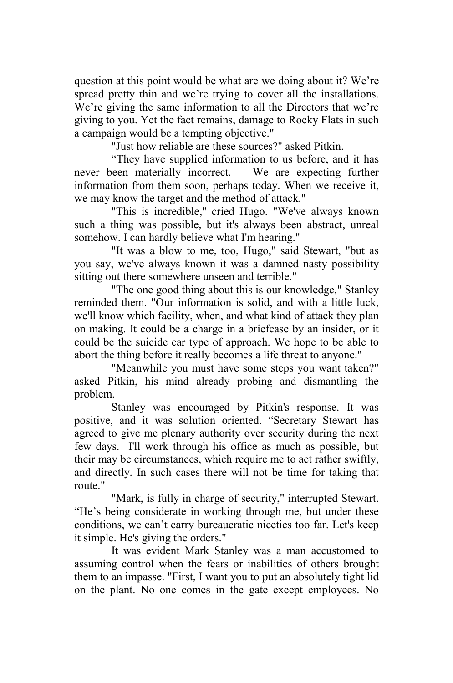question at this point would be what are we doing about it? We're spread pretty thin and we're trying to cover all the installations. We're giving the same information to all the Directors that we're giving to you. Yet the fact remains, damage to Rocky Flats in such a campaign would be a tempting objective."

"Just how reliable are these sources?" asked Pitkin.

"They have supplied information to us before, and it has never been materially incorrect. We are expecting further information from them soon, perhaps today. When we receive it, we may know the target and the method of attack."

"This is incredible," cried Hugo. "We've always known such a thing was possible, but it's always been abstract, unreal somehow. I can hardly believe what I'm hearing."

"It was a blow to me, too, Hugo," said Stewart, "but as you say, we've always known it was a damned nasty possibility sitting out there somewhere unseen and terrible."

"The one good thing about this is our knowledge," Stanley reminded them. "Our information is solid, and with a little luck, we'll know which facility, when, and what kind of attack they plan on making. It could be a charge in a briefcase by an insider, or it could be the suicide car type of approach. We hope to be able to abort the thing before it really becomes a life threat to anyone."

"Meanwhile you must have some steps you want taken?" asked Pitkin, his mind already probing and dismantling the problem.

Stanley was encouraged by Pitkin's response. It was positive, and it was solution oriented. "Secretary Stewart has agreed to give me plenary authority over security during the next few days. I'll work through his office as much as possible, but their may be circumstances, which require me to act rather swiftly, and directly. In such cases there will not be time for taking that route."

"Mark, is fully in charge of security," interrupted Stewart. "He's being considerate in working through me, but under these conditions, we can't carry bureaucratic niceties too far. Let's keep it simple. He's giving the orders."

It was evident Mark Stanley was a man accustomed to assuming control when the fears or inabilities of others brought them to an impasse. "First, I want you to put an absolutely tight lid on the plant. No one comes in the gate except employees. No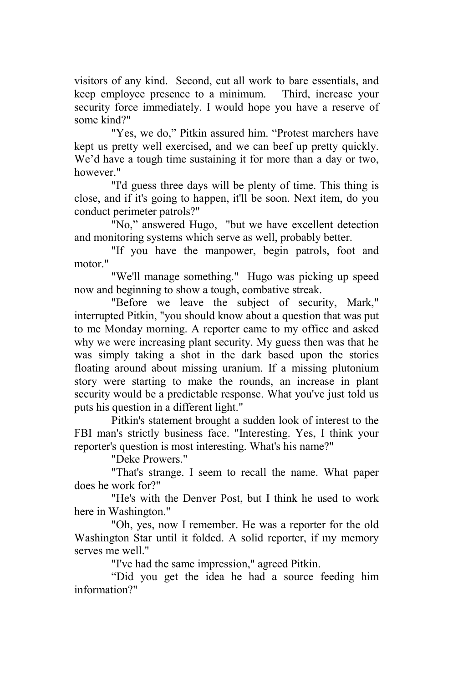visitors of any kind. Second, cut all work to bare essentials, and keep employee presence to a minimum. Third, increase your security force immediately. I would hope you have a reserve of some kind?"

"Yes, we do," Pitkin assured him. "Protest marchers have kept us pretty well exercised, and we can beef up pretty quickly. We'd have a tough time sustaining it for more than a day or two, however."

"I'd guess three days will be plenty of time. This thing is close, and if it's going to happen, it'll be soon. Next item, do you conduct perimeter patrols?"

"No," answered Hugo, "but we have excellent detection and monitoring systems which serve as well, probably better.

"If you have the manpower, begin patrols, foot and motor."

"We'll manage something." Hugo was picking up speed now and beginning to show a tough, combative streak.

"Before we leave the subject of security, Mark," interrupted Pitkin, "you should know about a question that was put to me Monday morning. A reporter came to my office and asked why we were increasing plant security. My guess then was that he was simply taking a shot in the dark based upon the stories floating around about missing uranium. If a missing plutonium story were starting to make the rounds, an increase in plant security would be a predictable response. What you've just told us puts his question in a different light."

Pitkin's statement brought a sudden look of interest to the FBI man's strictly business face. "Interesting. Yes, I think your reporter's question is most interesting. What's his name?"

"Deke Prowers."

"That's strange. I seem to recall the name. What paper does he work for?"

"He's with the Denver Post, but I think he used to work here in Washington."

"Oh, yes, now I remember. He was a reporter for the old Washington Star until it folded. A solid reporter, if my memory serves me well."

"I've had the same impression," agreed Pitkin.

"Did you get the idea he had a source feeding him information?"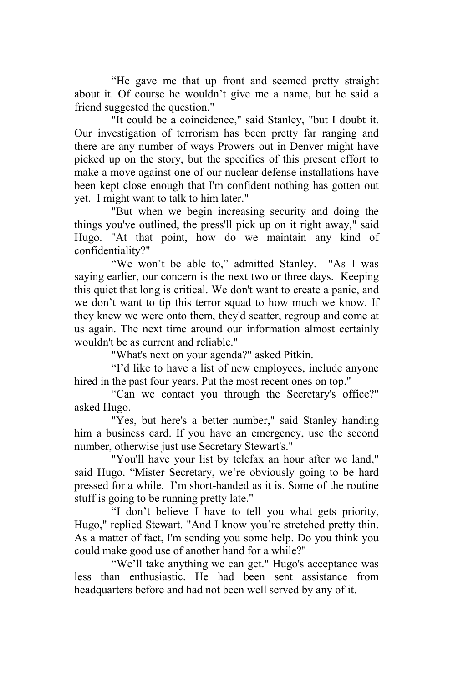"He gave me that up front and seemed pretty straight about it. Of course he wouldn't give me a name, but he said a friend suggested the question."

"It could be a coincidence," said Stanley, "but I doubt it. Our investigation of terrorism has been pretty far ranging and there are any number of ways Prowers out in Denver might have picked up on the story, but the specifics of this present effort to make a move against one of our nuclear defense installations have been kept close enough that I'm confident nothing has gotten out yet. I might want to talk to him later."

"But when we begin increasing security and doing the things you've outlined, the press'll pick up on it right away," said Hugo. "At that point, how do we maintain any kind of confidentiality?"

"We won't be able to," admitted Stanley. "As I was saying earlier, our concern is the next two or three days. Keeping this quiet that long is critical. We don't want to create a panic, and we don't want to tip this terror squad to how much we know. If they knew we were onto them, they'd scatter, regroup and come at us again. The next time around our information almost certainly wouldn't be as current and reliable."

"What's next on your agenda?" asked Pitkin.

"I'd like to have a list of new employees, include anyone hired in the past four years. Put the most recent ones on top."

"Can we contact you through the Secretary's office?" asked Hugo.

"Yes, but here's a better number," said Stanley handing him a business card. If you have an emergency, use the second number, otherwise just use Secretary Stewart's."

"You'll have your list by telefax an hour after we land," said Hugo. "Mister Secretary, we're obviously going to be hard pressed for a while. I'm short-handed as it is. Some of the routine stuff is going to be running pretty late."

"I don't believe I have to tell you what gets priority, Hugo," replied Stewart. "And I know you're stretched pretty thin. As a matter of fact, I'm sending you some help. Do you think you could make good use of another hand for a while?"

"We'll take anything we can get." Hugo's acceptance was less than enthusiastic. He had been sent assistance from headquarters before and had not been well served by any of it.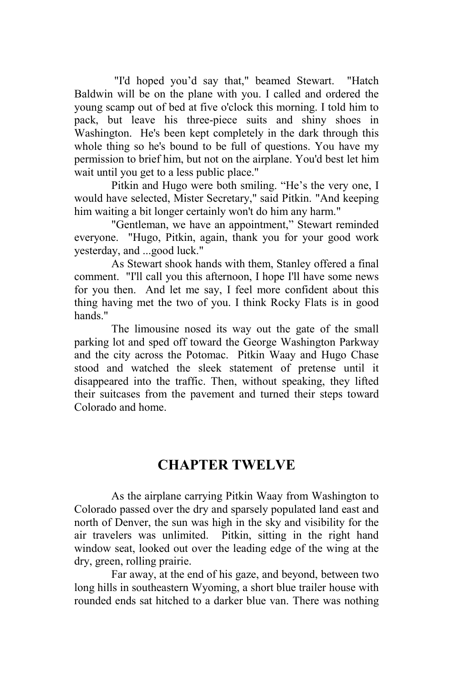"I'd hoped you'd say that," beamed Stewart. "Hatch Baldwin will be on the plane with you. I called and ordered the young scamp out of bed at five o'clock this morning. I told him to pack, but leave his three-piece suits and shiny shoes in Washington. He's been kept completely in the dark through this whole thing so he's bound to be full of questions. You have my permission to brief him, but not on the airplane. You'd best let him wait until you get to a less public place."

Pitkin and Hugo were both smiling. "He's the very one, I would have selected, Mister Secretary," said Pitkin. "And keeping him waiting a bit longer certainly won't do him any harm."

"Gentleman, we have an appointment," Stewart reminded everyone. "Hugo, Pitkin, again, thank you for your good work yesterday, and ...good luck."

As Stewart shook hands with them, Stanley offered a final comment. "I'll call you this afternoon, I hope I'll have some news for you then. And let me say, I feel more confident about this thing having met the two of you. I think Rocky Flats is in good hands."

The limousine nosed its way out the gate of the small parking lot and sped off toward the George Washington Parkway and the city across the Potomac. Pitkin Waay and Hugo Chase stood and watched the sleek statement of pretense until it disappeared into the traffic. Then, without speaking, they lifted their suitcases from the pavement and turned their steps toward Colorado and home.

## **CHAPTER TWELVE**

As the airplane carrying Pitkin Waay from Washington to Colorado passed over the dry and sparsely populated land east and north of Denver, the sun was high in the sky and visibility for the air travelers was unlimited. Pitkin, sitting in the right hand window seat, looked out over the leading edge of the wing at the dry, green, rolling prairie.

Far away, at the end of his gaze, and beyond, between two long hills in southeastern Wyoming, a short blue trailer house with rounded ends sat hitched to a darker blue van. There was nothing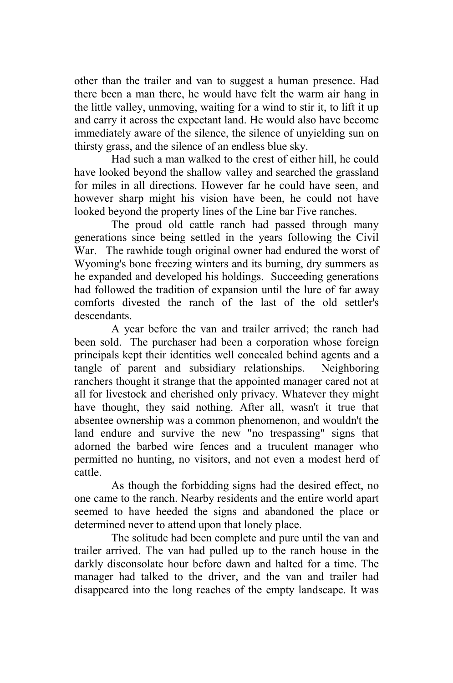other than the trailer and van to suggest a human presence. Had there been a man there, he would have felt the warm air hang in the little valley, unmoving, waiting for a wind to stir it, to lift it up and carry it across the expectant land. He would also have become immediately aware of the silence, the silence of unyielding sun on thirsty grass, and the silence of an endless blue sky.

Had such a man walked to the crest of either hill, he could have looked beyond the shallow valley and searched the grassland for miles in all directions. However far he could have seen, and however sharp might his vision have been, he could not have looked beyond the property lines of the Line bar Five ranches.

The proud old cattle ranch had passed through many generations since being settled in the years following the Civil War. The rawhide tough original owner had endured the worst of Wyoming's bone freezing winters and its burning, dry summers as he expanded and developed his holdings. Succeeding generations had followed the tradition of expansion until the lure of far away comforts divested the ranch of the last of the old settler's descendants.

A year before the van and trailer arrived; the ranch had been sold. The purchaser had been a corporation whose foreign principals kept their identities well concealed behind agents and a tangle of parent and subsidiary relationships. Neighboring ranchers thought it strange that the appointed manager cared not at all for livestock and cherished only privacy. Whatever they might have thought, they said nothing. After all, wasn't it true that absentee ownership was a common phenomenon, and wouldn't the land endure and survive the new "no trespassing" signs that adorned the barbed wire fences and a truculent manager who permitted no hunting, no visitors, and not even a modest herd of cattle.

As though the forbidding signs had the desired effect, no one came to the ranch. Nearby residents and the entire world apart seemed to have heeded the signs and abandoned the place or determined never to attend upon that lonely place.

The solitude had been complete and pure until the van and trailer arrived. The van had pulled up to the ranch house in the darkly disconsolate hour before dawn and halted for a time. The manager had talked to the driver, and the van and trailer had disappeared into the long reaches of the empty landscape. It was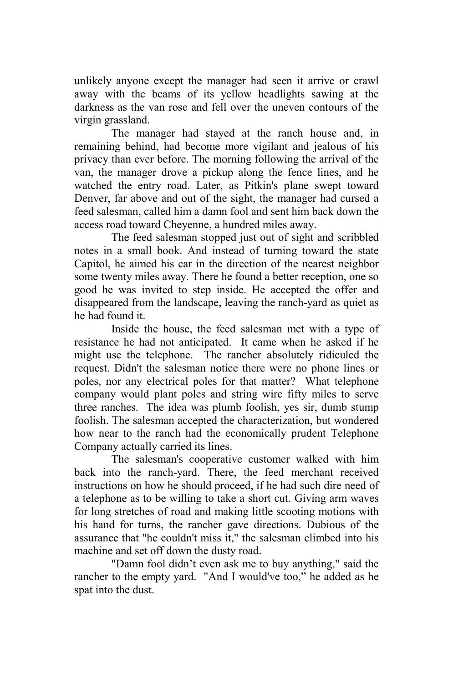unlikely anyone except the manager had seen it arrive or crawl away with the beams of its yellow headlights sawing at the darkness as the van rose and fell over the uneven contours of the virgin grassland.

The manager had stayed at the ranch house and, in remaining behind, had become more vigilant and jealous of his privacy than ever before. The morning following the arrival of the van, the manager drove a pickup along the fence lines, and he watched the entry road. Later, as Pitkin's plane swept toward Denver, far above and out of the sight, the manager had cursed a feed salesman, called him a damn fool and sent him back down the access road toward Cheyenne, a hundred miles away.

The feed salesman stopped just out of sight and scribbled notes in a small book. And instead of turning toward the state Capitol, he aimed his car in the direction of the nearest neighbor some twenty miles away. There he found a better reception, one so good he was invited to step inside. He accepted the offer and disappeared from the landscape, leaving the ranch-yard as quiet as he had found it.

Inside the house, the feed salesman met with a type of resistance he had not anticipated. It came when he asked if he might use the telephone. The rancher absolutely ridiculed the request. Didn't the salesman notice there were no phone lines or poles, nor any electrical poles for that matter? What telephone company would plant poles and string wire fifty miles to serve three ranches. The idea was plumb foolish, yes sir, dumb stump foolish. The salesman accepted the characterization, but wondered how near to the ranch had the economically prudent Telephone Company actually carried its lines.

The salesman's cooperative customer walked with him back into the ranch-yard. There, the feed merchant received instructions on how he should proceed, if he had such dire need of a telephone as to be willing to take a short cut. Giving arm waves for long stretches of road and making little scooting motions with his hand for turns, the rancher gave directions. Dubious of the assurance that "he couldn't miss it," the salesman climbed into his machine and set off down the dusty road.

"Damn fool didn't even ask me to buy anything," said the rancher to the empty yard. "And I would've too," he added as he spat into the dust.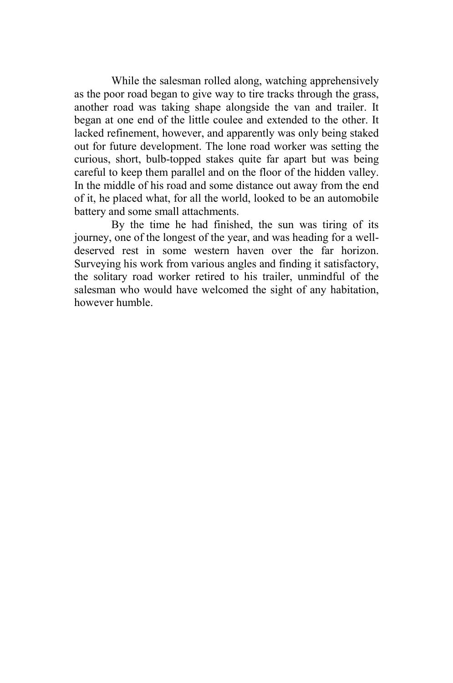While the salesman rolled along, watching apprehensively as the poor road began to give way to tire tracks through the grass, another road was taking shape alongside the van and trailer. It began at one end of the little coulee and extended to the other. It lacked refinement, however, and apparently was only being staked out for future development. The lone road worker was setting the curious, short, bulb-topped stakes quite far apart but was being careful to keep them parallel and on the floor of the hidden valley. In the middle of his road and some distance out away from the end of it, he placed what, for all the world, looked to be an automobile battery and some small attachments.

By the time he had finished, the sun was tiring of its journey, one of the longest of the year, and was heading for a welldeserved rest in some western haven over the far horizon. Surveying his work from various angles and finding it satisfactory, the solitary road worker retired to his trailer, unmindful of the salesman who would have welcomed the sight of any habitation, however humble.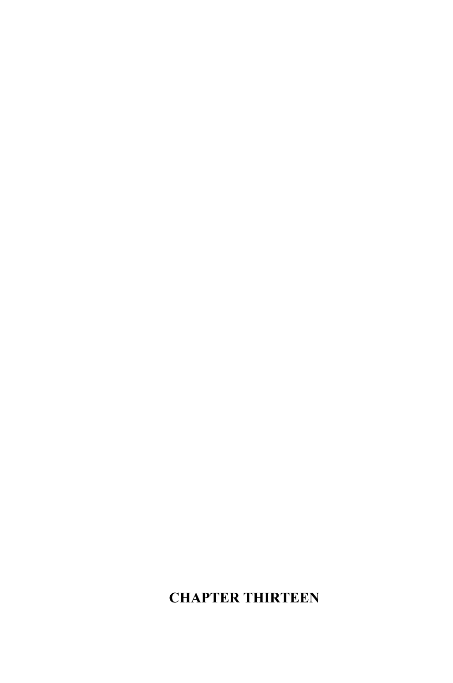## **CHAPTER THIRTEEN**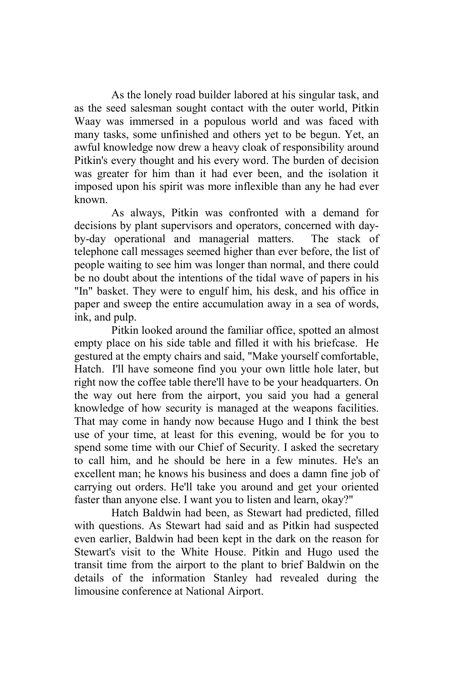As the lonely road builder labored at his singular task, and as the seed salesman sought contact with the outer world, Pitkin Waay was immersed in a populous world and was faced with many tasks, some unfinished and others yet to be begun. Yet, an awful knowledge now drew a heavy cloak of responsibility around Pitkin's every thought and his every word. The burden of decision was greater for him than it had ever been, and the isolation it imposed upon his spirit was more inflexible than any he had ever known.

As always, Pitkin was confronted with a demand for decisions by plant supervisors and operators, concerned with dayby-day operational and managerial matters. The stack of telephone call messages seemed higher than ever before, the list of people waiting to see him was longer than normal, and there could be no doubt about the intentions of the tidal wave of papers in his "In" basket. They were to engulf him, his desk, and his office in paper and sweep the entire accumulation away in a sea of words, ink, and pulp.

Pitkin looked around the familiar office, spotted an almost empty place on his side table and filled it with his briefcase. He gestured at the empty chairs and said, "Make yourself comfortable, Hatch. I'll have someone find you your own little hole later, but right now the coffee table there'll have to be your headquarters. On the way out here from the airport, you said you had a general knowledge of how security is managed at the weapons facilities. That may come in handy now because Hugo and I think the best use of your time, at least for this evening, would be for you to spend some time with our Chief of Security. I asked the secretary to call him, and he should be here in a few minutes. He's an excellent man; he knows his business and does a damn fine job of carrying out orders. He'll take you around and get your oriented faster than anyone else. I want you to listen and learn, okay?"

Hatch Baldwin had been, as Stewart had predicted, filled with questions. As Stewart had said and as Pitkin had suspected even earlier, Baldwin had been kept in the dark on the reason for Stewart's visit to the White House. Pitkin and Hugo used the transit time from the airport to the plant to brief Baldwin on the details of the information Stanley had revealed during the limousine conference at National Airport.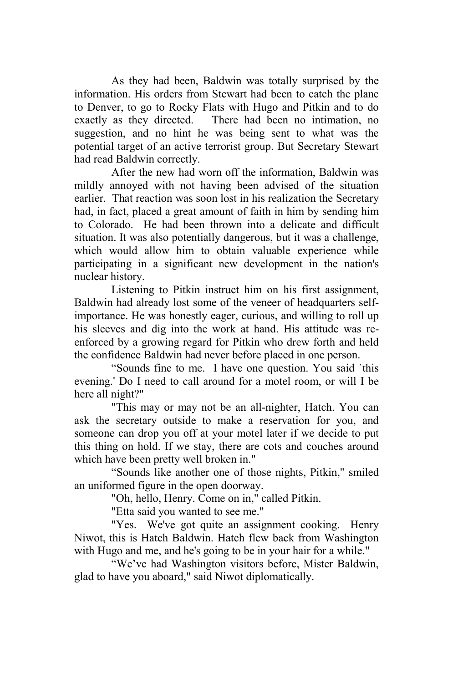As they had been, Baldwin was totally surprised by the information. His orders from Stewart had been to catch the plane to Denver, to go to Rocky Flats with Hugo and Pitkin and to do exactly as they directed. There had been no intimation, no suggestion, and no hint he was being sent to what was the potential target of an active terrorist group. But Secretary Stewart had read Baldwin correctly.

After the new had worn off the information, Baldwin was mildly annoyed with not having been advised of the situation earlier. That reaction was soon lost in his realization the Secretary had, in fact, placed a great amount of faith in him by sending him to Colorado. He had been thrown into a delicate and difficult situation. It was also potentially dangerous, but it was a challenge, which would allow him to obtain valuable experience while participating in a significant new development in the nation's nuclear history.

Listening to Pitkin instruct him on his first assignment, Baldwin had already lost some of the veneer of headquarters selfimportance. He was honestly eager, curious, and willing to roll up his sleeves and dig into the work at hand. His attitude was reenforced by a growing regard for Pitkin who drew forth and held the confidence Baldwin had never before placed in one person.

"Sounds fine to me. I have one question. You said `this evening.' Do I need to call around for a motel room, or will I be here all night?"

"This may or may not be an all-nighter, Hatch. You can ask the secretary outside to make a reservation for you, and someone can drop you off at your motel later if we decide to put this thing on hold. If we stay, there are cots and couches around which have been pretty well broken in."

"Sounds like another one of those nights, Pitkin," smiled an uniformed figure in the open doorway.

"Oh, hello, Henry. Come on in," called Pitkin.

"Etta said you wanted to see me."

"Yes. We've got quite an assignment cooking. Henry Niwot, this is Hatch Baldwin. Hatch flew back from Washington with Hugo and me, and he's going to be in your hair for a while."

"We've had Washington visitors before, Mister Baldwin, glad to have you aboard," said Niwot diplomatically.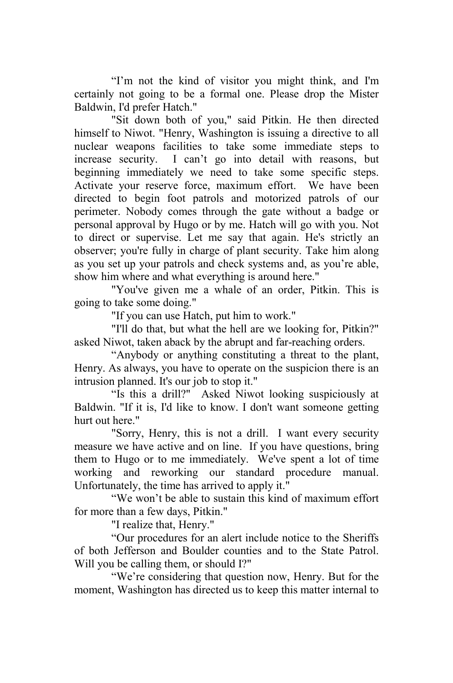"I'm not the kind of visitor you might think, and I'm certainly not going to be a formal one. Please drop the Mister Baldwin, I'd prefer Hatch."

"Sit down both of you," said Pitkin. He then directed himself to Niwot. "Henry, Washington is issuing a directive to all nuclear weapons facilities to take some immediate steps to increase security. I can't go into detail with reasons, but beginning immediately we need to take some specific steps. Activate your reserve force, maximum effort. We have been directed to begin foot patrols and motorized patrols of our perimeter. Nobody comes through the gate without a badge or personal approval by Hugo or by me. Hatch will go with you. Not to direct or supervise. Let me say that again. He's strictly an observer; you're fully in charge of plant security. Take him along as you set up your patrols and check systems and, as you're able, show him where and what everything is around here."

"You've given me a whale of an order, Pitkin. This is going to take some doing."

"If you can use Hatch, put him to work."

"I'll do that, but what the hell are we looking for, Pitkin?" asked Niwot, taken aback by the abrupt and far-reaching orders.

"Anybody or anything constituting a threat to the plant, Henry. As always, you have to operate on the suspicion there is an intrusion planned. It's our job to stop it."

"Is this a drill?" Asked Niwot looking suspiciously at Baldwin. "If it is, I'd like to know. I don't want someone getting hurt out here."

"Sorry, Henry, this is not a drill. I want every security measure we have active and on line. If you have questions, bring them to Hugo or to me immediately. We've spent a lot of time working and reworking our standard procedure manual. Unfortunately, the time has arrived to apply it."

"We won't be able to sustain this kind of maximum effort for more than a few days, Pitkin."

"I realize that, Henry."

"Our procedures for an alert include notice to the Sheriffs of both Jefferson and Boulder counties and to the State Patrol. Will you be calling them, or should I?"

 "We're considering that question now, Henry. But for the moment, Washington has directed us to keep this matter internal to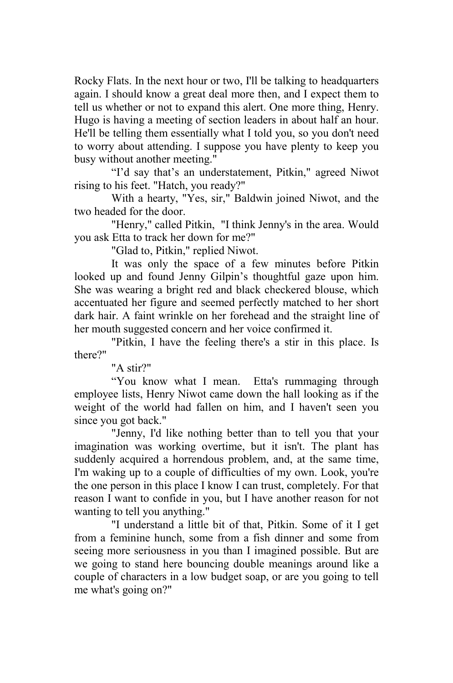Rocky Flats. In the next hour or two, I'll be talking to headquarters again. I should know a great deal more then, and I expect them to tell us whether or not to expand this alert. One more thing, Henry. Hugo is having a meeting of section leaders in about half an hour. He'll be telling them essentially what I told you, so you don't need to worry about attending. I suppose you have plenty to keep you busy without another meeting."

"I'd say that's an understatement, Pitkin," agreed Niwot rising to his feet. "Hatch, you ready?"

With a hearty, "Yes, sir," Baldwin joined Niwot, and the two headed for the door.

"Henry," called Pitkin, "I think Jenny's in the area. Would you ask Etta to track her down for me?"

"Glad to, Pitkin," replied Niwot.

It was only the space of a few minutes before Pitkin looked up and found Jenny Gilpin's thoughtful gaze upon him. She was wearing a bright red and black checkered blouse, which accentuated her figure and seemed perfectly matched to her short dark hair. A faint wrinkle on her forehead and the straight line of her mouth suggested concern and her voice confirmed it.

"Pitkin, I have the feeling there's a stir in this place. Is there?"

"A stir?"

"You know what I mean. Etta's rummaging through employee lists, Henry Niwot came down the hall looking as if the weight of the world had fallen on him, and I haven't seen you since you got back."

"Jenny, I'd like nothing better than to tell you that your imagination was working overtime, but it isn't. The plant has suddenly acquired a horrendous problem, and, at the same time, I'm waking up to a couple of difficulties of my own. Look, you're the one person in this place I know I can trust, completely. For that reason I want to confide in you, but I have another reason for not wanting to tell you anything."

"I understand a little bit of that, Pitkin. Some of it I get from a feminine hunch, some from a fish dinner and some from seeing more seriousness in you than I imagined possible. But are we going to stand here bouncing double meanings around like a couple of characters in a low budget soap, or are you going to tell me what's going on?"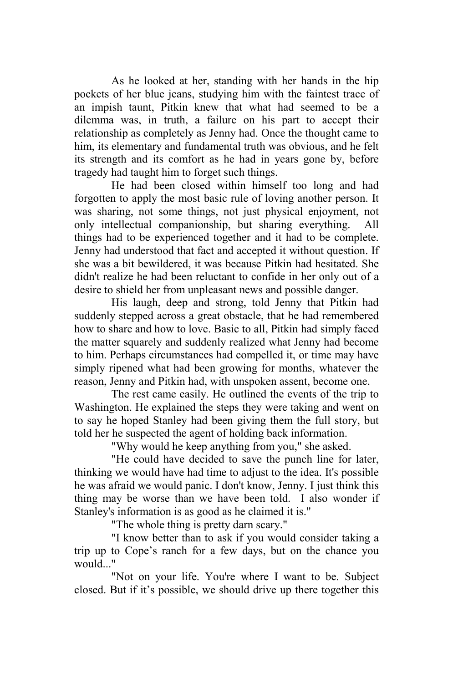As he looked at her, standing with her hands in the hip pockets of her blue jeans, studying him with the faintest trace of an impish taunt, Pitkin knew that what had seemed to be a dilemma was, in truth, a failure on his part to accept their relationship as completely as Jenny had. Once the thought came to him, its elementary and fundamental truth was obvious, and he felt its strength and its comfort as he had in years gone by, before tragedy had taught him to forget such things.

He had been closed within himself too long and had forgotten to apply the most basic rule of loving another person. It was sharing, not some things, not just physical enjoyment, not only intellectual companionship, but sharing everything. All things had to be experienced together and it had to be complete. Jenny had understood that fact and accepted it without question. If she was a bit bewildered, it was because Pitkin had hesitated. She didn't realize he had been reluctant to confide in her only out of a desire to shield her from unpleasant news and possible danger.

His laugh, deep and strong, told Jenny that Pitkin had suddenly stepped across a great obstacle, that he had remembered how to share and how to love. Basic to all, Pitkin had simply faced the matter squarely and suddenly realized what Jenny had become to him. Perhaps circumstances had compelled it, or time may have simply ripened what had been growing for months, whatever the reason, Jenny and Pitkin had, with unspoken assent, become one.

The rest came easily. He outlined the events of the trip to Washington. He explained the steps they were taking and went on to say he hoped Stanley had been giving them the full story, but told her he suspected the agent of holding back information.

"Why would he keep anything from you," she asked.

"He could have decided to save the punch line for later, thinking we would have had time to adjust to the idea. It's possible he was afraid we would panic. I don't know, Jenny. I just think this thing may be worse than we have been told. I also wonder if Stanley's information is as good as he claimed it is."

"The whole thing is pretty darn scary."

"I know better than to ask if you would consider taking a trip up to Cope's ranch for a few days, but on the chance you would..."

"Not on your life. You're where I want to be. Subject closed. But if it's possible, we should drive up there together this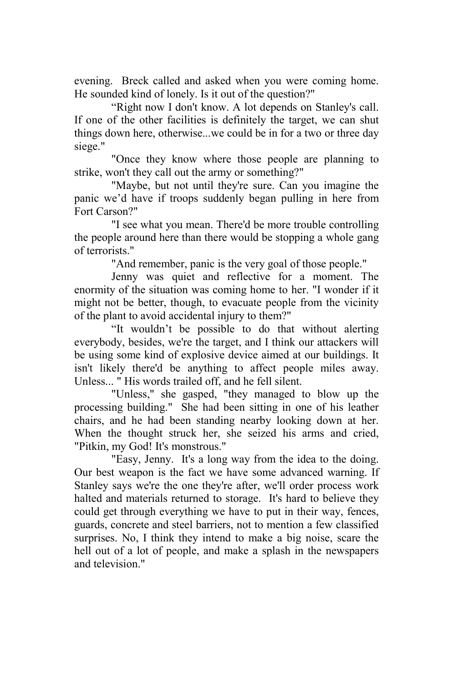evening. Breck called and asked when you were coming home. He sounded kind of lonely. Is it out of the question?"

"Right now I don't know. A lot depends on Stanley's call. If one of the other facilities is definitely the target, we can shut things down here, otherwise...we could be in for a two or three day siege."

"Once they know where those people are planning to strike, won't they call out the army or something?"

"Maybe, but not until they're sure. Can you imagine the panic we'd have if troops suddenly began pulling in here from Fort Carson?"

"I see what you mean. There'd be more trouble controlling the people around here than there would be stopping a whole gang of terrorists."

"And remember, panic is the very goal of those people."

Jenny was quiet and reflective for a moment. The enormity of the situation was coming home to her. "I wonder if it might not be better, though, to evacuate people from the vicinity of the plant to avoid accidental injury to them?"

"It wouldn't be possible to do that without alerting everybody, besides, we're the target, and I think our attackers will be using some kind of explosive device aimed at our buildings. It isn't likely there'd be anything to affect people miles away. Unless... " His words trailed off, and he fell silent.

"Unless," she gasped, "they managed to blow up the processing building." She had been sitting in one of his leather chairs, and he had been standing nearby looking down at her. When the thought struck her, she seized his arms and cried, "Pitkin, my God! It's monstrous."

"Easy, Jenny. It's a long way from the idea to the doing. Our best weapon is the fact we have some advanced warning. If Stanley says we're the one they're after, we'll order process work halted and materials returned to storage. It's hard to believe they could get through everything we have to put in their way, fences, guards, concrete and steel barriers, not to mention a few classified surprises. No, I think they intend to make a big noise, scare the hell out of a lot of people, and make a splash in the newspapers and television."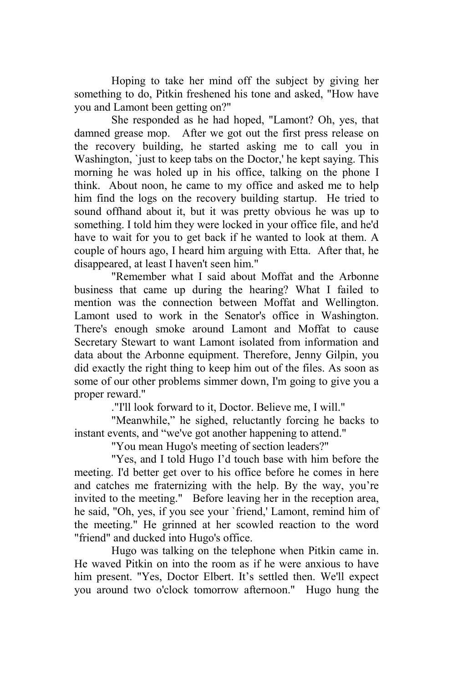Hoping to take her mind off the subject by giving her something to do, Pitkin freshened his tone and asked, "How have you and Lamont been getting on?"

She responded as he had hoped, "Lamont? Oh, yes, that damned grease mop. After we got out the first press release on the recovery building, he started asking me to call you in Washington, `just to keep tabs on the Doctor,' he kept saying. This morning he was holed up in his office, talking on the phone I think. About noon, he came to my office and asked me to help him find the logs on the recovery building startup. He tried to sound offhand about it, but it was pretty obvious he was up to something. I told him they were locked in your office file, and he'd have to wait for you to get back if he wanted to look at them. A couple of hours ago, I heard him arguing with Etta. After that, he disappeared, at least I haven't seen him."

"Remember what I said about Moffat and the Arbonne business that came up during the hearing? What I failed to mention was the connection between Moffat and Wellington. Lamont used to work in the Senator's office in Washington. There's enough smoke around Lamont and Moffat to cause Secretary Stewart to want Lamont isolated from information and data about the Arbonne equipment. Therefore, Jenny Gilpin, you did exactly the right thing to keep him out of the files. As soon as some of our other problems simmer down, I'm going to give you a proper reward."

."I'll look forward to it, Doctor. Believe me, I will."

"Meanwhile," he sighed, reluctantly forcing he backs to instant events, and "we've got another happening to attend."

"You mean Hugo's meeting of section leaders?"

"Yes, and I told Hugo I'd touch base with him before the meeting. I'd better get over to his office before he comes in here and catches me fraternizing with the help. By the way, you're invited to the meeting." Before leaving her in the reception area, he said, "Oh, yes, if you see your `friend,' Lamont, remind him of the meeting." He grinned at her scowled reaction to the word "friend" and ducked into Hugo's office.

Hugo was talking on the telephone when Pitkin came in. He waved Pitkin on into the room as if he were anxious to have him present. "Yes, Doctor Elbert. It's settled then. We'll expect you around two o'clock tomorrow afternoon." Hugo hung the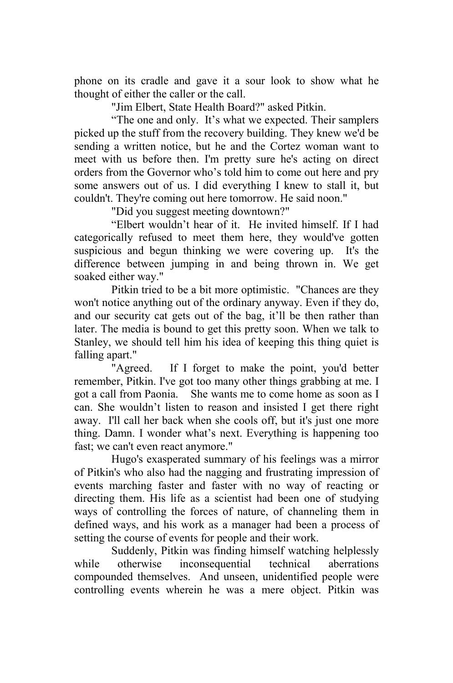phone on its cradle and gave it a sour look to show what he thought of either the caller or the call.

"Jim Elbert, State Health Board?" asked Pitkin.

"The one and only. It's what we expected. Their samplers picked up the stuff from the recovery building. They knew we'd be sending a written notice, but he and the Cortez woman want to meet with us before then. I'm pretty sure he's acting on direct orders from the Governor who's told him to come out here and pry some answers out of us. I did everything I knew to stall it, but couldn't. They're coming out here tomorrow. He said noon."

"Did you suggest meeting downtown?"

"Elbert wouldn't hear of it. He invited himself. If I had categorically refused to meet them here, they would've gotten suspicious and begun thinking we were covering up. It's the difference between jumping in and being thrown in. We get soaked either way."

Pitkin tried to be a bit more optimistic. "Chances are they won't notice anything out of the ordinary anyway. Even if they do, and our security cat gets out of the bag, it'll be then rather than later. The media is bound to get this pretty soon. When we talk to Stanley, we should tell him his idea of keeping this thing quiet is falling apart."

"Agreed. If I forget to make the point, you'd better remember, Pitkin. I've got too many other things grabbing at me. I got a call from Paonia. She wants me to come home as soon as I can. She wouldn't listen to reason and insisted I get there right away. I'll call her back when she cools off, but it's just one more thing. Damn. I wonder what's next. Everything is happening too fast; we can't even react anymore."

Hugo's exasperated summary of his feelings was a mirror of Pitkin's who also had the nagging and frustrating impression of events marching faster and faster with no way of reacting or directing them. His life as a scientist had been one of studying ways of controlling the forces of nature, of channeling them in defined ways, and his work as a manager had been a process of setting the course of events for people and their work.

Suddenly, Pitkin was finding himself watching helplessly while otherwise inconsequential technical aberrations compounded themselves. And unseen, unidentified people were controlling events wherein he was a mere object. Pitkin was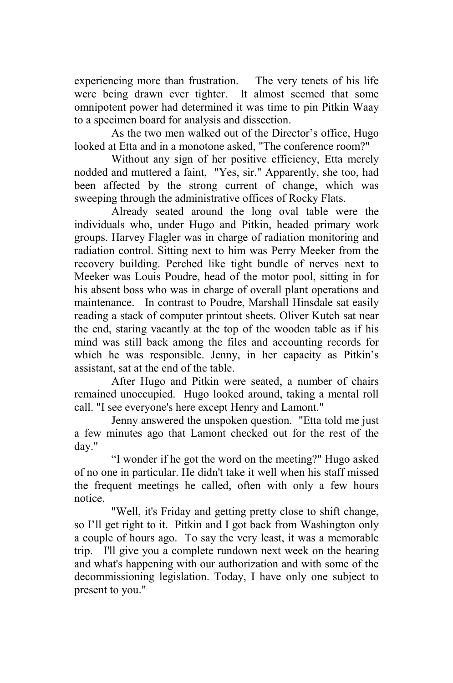experiencing more than frustration. The very tenets of his life were being drawn ever tighter. It almost seemed that some omnipotent power had determined it was time to pin Pitkin Waay to a specimen board for analysis and dissection.

As the two men walked out of the Director's office, Hugo looked at Etta and in a monotone asked, "The conference room?"

Without any sign of her positive efficiency, Etta merely nodded and muttered a faint, "Yes, sir." Apparently, she too, had been affected by the strong current of change, which was sweeping through the administrative offices of Rocky Flats.

Already seated around the long oval table were the individuals who, under Hugo and Pitkin, headed primary work groups. Harvey Flagler was in charge of radiation monitoring and radiation control. Sitting next to him was Perry Meeker from the recovery building. Perched like tight bundle of nerves next to Meeker was Louis Poudre, head of the motor pool, sitting in for his absent boss who was in charge of overall plant operations and maintenance. In contrast to Poudre, Marshall Hinsdale sat easily reading a stack of computer printout sheets. Oliver Kutch sat near the end, staring vacantly at the top of the wooden table as if his mind was still back among the files and accounting records for which he was responsible. Jenny, in her capacity as Pitkin's assistant, sat at the end of the table.

After Hugo and Pitkin were seated, a number of chairs remained unoccupied. Hugo looked around, taking a mental roll call. "I see everyone's here except Henry and Lamont."

Jenny answered the unspoken question. "Etta told me just a few minutes ago that Lamont checked out for the rest of the day."

"I wonder if he got the word on the meeting?" Hugo asked of no one in particular. He didn't take it well when his staff missed the frequent meetings he called, often with only a few hours notice.

"Well, it's Friday and getting pretty close to shift change, so I'll get right to it. Pitkin and I got back from Washington only a couple of hours ago. To say the very least, it was a memorable trip. I'll give you a complete rundown next week on the hearing and what's happening with our authorization and with some of the decommissioning legislation. Today, I have only one subject to present to you."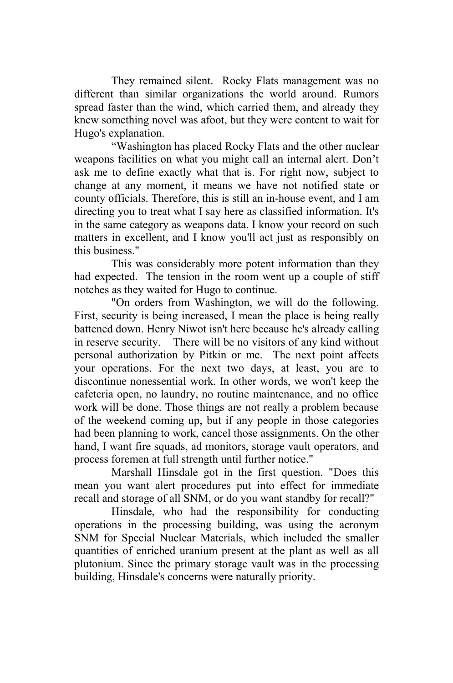They remained silent. Rocky Flats management was no different than similar organizations the world around. Rumors spread faster than the wind, which carried them, and already they knew something novel was afoot, but they were content to wait for Hugo's explanation.

"Washington has placed Rocky Flats and the other nuclear weapons facilities on what you might call an internal alert. Don't ask me to define exactly what that is. For right now, subject to change at any moment, it means we have not notified state or county officials. Therefore, this is still an in-house event, and I am directing you to treat what I say here as classified information. It's in the same category as weapons data. I know your record on such matters in excellent, and I know you'll act just as responsibly on this business."

This was considerably more potent information than they had expected. The tension in the room went up a couple of stiff notches as they waited for Hugo to continue.

"On orders from Washington, we will do the following. First, security is being increased, I mean the place is being really battened down. Henry Niwot isn't here because he's already calling in reserve security. There will be no visitors of any kind without personal authorization by Pitkin or me. The next point affects your operations. For the next two days, at least, you are to discontinue nonessential work. In other words, we won't keep the cafeteria open, no laundry, no routine maintenance, and no office work will be done. Those things are not really a problem because of the weekend coming up, but if any people in those categories had been planning to work, cancel those assignments. On the other hand, I want fire squads, ad monitors, storage vault operators, and process foremen at full strength until further notice."

Marshall Hinsdale got in the first question. "Does this mean you want alert procedures put into effect for immediate recall and storage of all SNM, or do you want standby for recall?"

Hinsdale, who had the responsibility for conducting operations in the processing building, was using the acronym SNM for Special Nuclear Materials, which included the smaller quantities of enriched uranium present at the plant as well as all plutonium. Since the primary storage vault was in the processing building, Hinsdale's concerns were naturally priority.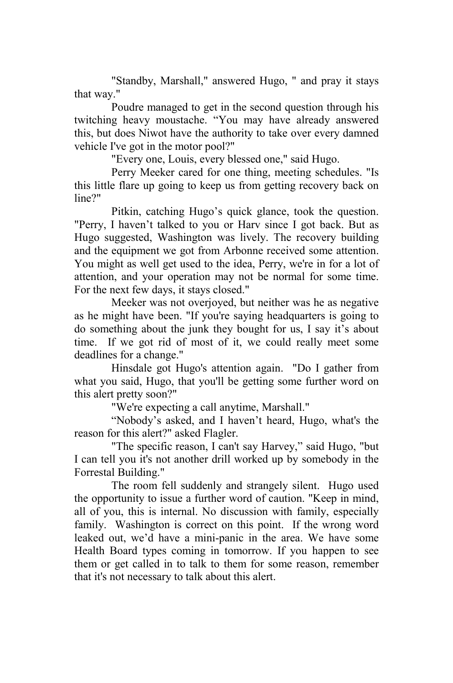"Standby, Marshall," answered Hugo, " and pray it stays that way."

Poudre managed to get in the second question through his twitching heavy moustache. "You may have already answered this, but does Niwot have the authority to take over every damned vehicle I've got in the motor pool?"

"Every one, Louis, every blessed one," said Hugo.

Perry Meeker cared for one thing, meeting schedules. "Is this little flare up going to keep us from getting recovery back on line?"

Pitkin, catching Hugo's quick glance, took the question. "Perry, I haven't talked to you or Harv since I got back. But as Hugo suggested, Washington was lively. The recovery building and the equipment we got from Arbonne received some attention. You might as well get used to the idea, Perry, we're in for a lot of attention, and your operation may not be normal for some time. For the next few days, it stays closed."

Meeker was not overjoyed, but neither was he as negative as he might have been. "If you're saying headquarters is going to do something about the junk they bought for us, I say it's about time. If we got rid of most of it, we could really meet some deadlines for a change."

Hinsdale got Hugo's attention again. "Do I gather from what you said, Hugo, that you'll be getting some further word on this alert pretty soon?"

"We're expecting a call anytime, Marshall."

"Nobody's asked, and I haven't heard, Hugo, what's the reason for this alert?" asked Flagler.

"The specific reason, I can't say Harvey," said Hugo, "but I can tell you it's not another drill worked up by somebody in the Forrestal Building."

The room fell suddenly and strangely silent. Hugo used the opportunity to issue a further word of caution. "Keep in mind, all of you, this is internal. No discussion with family, especially family. Washington is correct on this point. If the wrong word leaked out, we'd have a mini-panic in the area. We have some Health Board types coming in tomorrow. If you happen to see them or get called in to talk to them for some reason, remember that it's not necessary to talk about this alert.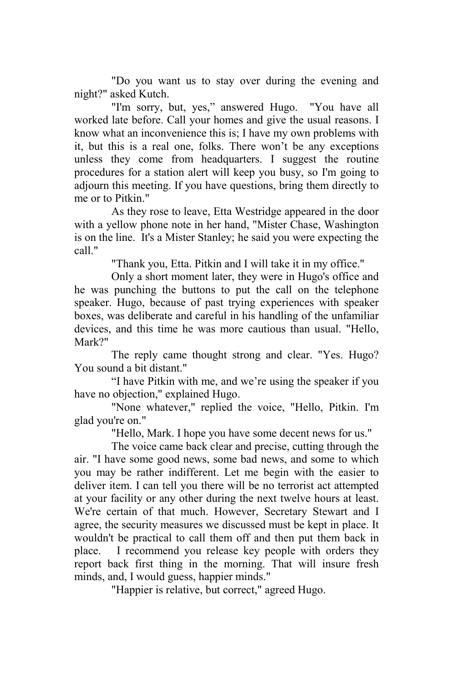"Do you want us to stay over during the evening and night?" asked Kutch.

"I'm sorry, but, yes," answered Hugo. "You have all worked late before. Call your homes and give the usual reasons. I know what an inconvenience this is; I have my own problems with it, but this is a real one, folks. There won't be any exceptions unless they come from headquarters. I suggest the routine procedures for a station alert will keep you busy, so I'm going to adjourn this meeting. If you have questions, bring them directly to me or to Pitkin."

As they rose to leave, Etta Westridge appeared in the door with a yellow phone note in her hand, "Mister Chase, Washington is on the line. It's a Mister Stanley; he said you were expecting the call."

"Thank you, Etta. Pitkin and I will take it in my office."

Only a short moment later, they were in Hugo's office and he was punching the buttons to put the call on the telephone speaker. Hugo, because of past trying experiences with speaker boxes, was deliberate and careful in his handling of the unfamiliar devices, and this time he was more cautious than usual. "Hello, Mark?"

The reply came thought strong and clear. "Yes. Hugo? You sound a bit distant."

"I have Pitkin with me, and we're using the speaker if you have no objection," explained Hugo.

"None whatever," replied the voice, "Hello, Pitkin. I'm glad you're on."

"Hello, Mark. I hope you have some decent news for us."

The voice came back clear and precise, cutting through the air. "I have some good news, some bad news, and some to which you may be rather indifferent. Let me begin with the easier to deliver item. I can tell you there will be no terrorist act attempted at your facility or any other during the next twelve hours at least. We're certain of that much. However, Secretary Stewart and I agree, the security measures we discussed must be kept in place. It wouldn't be practical to call them off and then put them back in place. I recommend you release key people with orders they report back first thing in the morning. That will insure fresh minds, and, I would guess, happier minds."

"Happier is relative, but correct," agreed Hugo.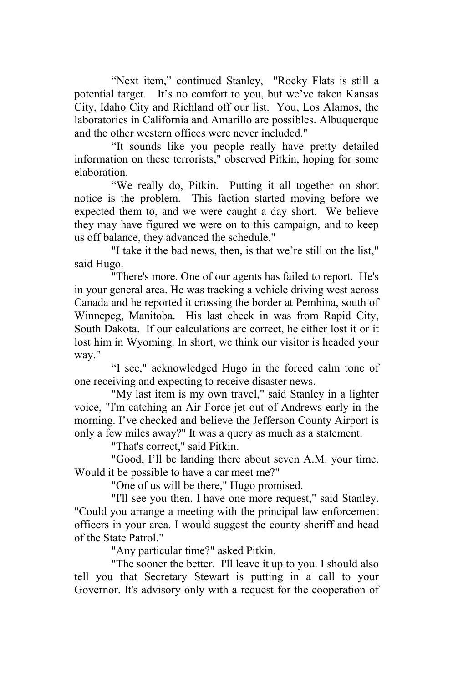"Next item," continued Stanley, "Rocky Flats is still a potential target. It's no comfort to you, but we've taken Kansas City, Idaho City and Richland off our list. You, Los Alamos, the laboratories in California and Amarillo are possibles. Albuquerque and the other western offices were never included."

"It sounds like you people really have pretty detailed information on these terrorists," observed Pitkin, hoping for some elaboration.

"We really do, Pitkin. Putting it all together on short notice is the problem. This faction started moving before we expected them to, and we were caught a day short. We believe they may have figured we were on to this campaign, and to keep us off balance, they advanced the schedule."

"I take it the bad news, then, is that we're still on the list," said Hugo.

"There's more. One of our agents has failed to report. He's in your general area. He was tracking a vehicle driving west across Canada and he reported it crossing the border at Pembina, south of Winnepeg, Manitoba. His last check in was from Rapid City, South Dakota. If our calculations are correct, he either lost it or it lost him in Wyoming. In short, we think our visitor is headed your way."

"I see," acknowledged Hugo in the forced calm tone of one receiving and expecting to receive disaster news.

"My last item is my own travel," said Stanley in a lighter voice, "I'm catching an Air Force jet out of Andrews early in the morning. I've checked and believe the Jefferson County Airport is only a few miles away?" It was a query as much as a statement.

"That's correct," said Pitkin.

"Good, I'll be landing there about seven A.M. your time. Would it be possible to have a car meet me?"

"One of us will be there," Hugo promised.

"I'll see you then. I have one more request," said Stanley. "Could you arrange a meeting with the principal law enforcement officers in your area. I would suggest the county sheriff and head of the State Patrol."

"Any particular time?" asked Pitkin.

"The sooner the better. I'll leave it up to you. I should also tell you that Secretary Stewart is putting in a call to your Governor. It's advisory only with a request for the cooperation of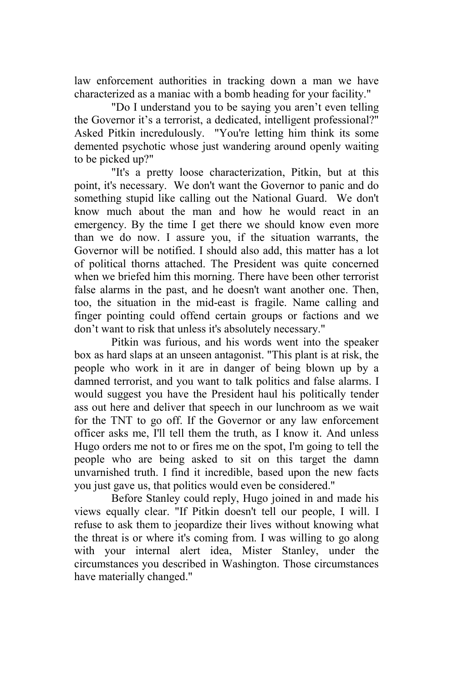law enforcement authorities in tracking down a man we have characterized as a maniac with a bomb heading for your facility."

"Do I understand you to be saying you aren't even telling the Governor it's a terrorist, a dedicated, intelligent professional?" Asked Pitkin incredulously. "You're letting him think its some demented psychotic whose just wandering around openly waiting to be picked up?"

"It's a pretty loose characterization, Pitkin, but at this point, it's necessary. We don't want the Governor to panic and do something stupid like calling out the National Guard. We don't know much about the man and how he would react in an emergency. By the time I get there we should know even more than we do now. I assure you, if the situation warrants, the Governor will be notified. I should also add, this matter has a lot of political thorns attached. The President was quite concerned when we briefed him this morning. There have been other terrorist false alarms in the past, and he doesn't want another one. Then, too, the situation in the mid-east is fragile. Name calling and finger pointing could offend certain groups or factions and we don't want to risk that unless it's absolutely necessary."

Pitkin was furious, and his words went into the speaker box as hard slaps at an unseen antagonist. "This plant is at risk, the people who work in it are in danger of being blown up by a damned terrorist, and you want to talk politics and false alarms. I would suggest you have the President haul his politically tender ass out here and deliver that speech in our lunchroom as we wait for the TNT to go off. If the Governor or any law enforcement officer asks me, I'll tell them the truth, as I know it. And unless Hugo orders me not to or fires me on the spot, I'm going to tell the people who are being asked to sit on this target the damn unvarnished truth. I find it incredible, based upon the new facts you just gave us, that politics would even be considered."

Before Stanley could reply, Hugo joined in and made his views equally clear. "If Pitkin doesn't tell our people, I will. I refuse to ask them to jeopardize their lives without knowing what the threat is or where it's coming from. I was willing to go along with your internal alert idea, Mister Stanley, under the circumstances you described in Washington. Those circumstances have materially changed."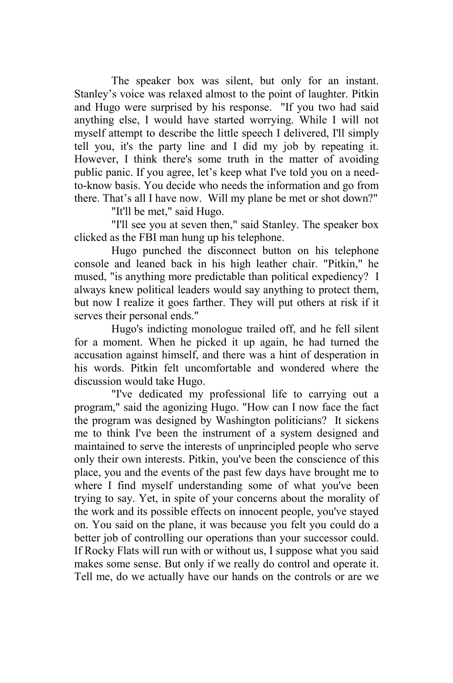The speaker box was silent, but only for an instant. Stanley's voice was relaxed almost to the point of laughter. Pitkin and Hugo were surprised by his response. "If you two had said anything else, I would have started worrying. While I will not myself attempt to describe the little speech I delivered, I'll simply tell you, it's the party line and I did my job by repeating it. However, I think there's some truth in the matter of avoiding public panic. If you agree, let's keep what I've told you on a needto-know basis. You decide who needs the information and go from there. That's all I have now. Will my plane be met or shot down?"

"It'll be met," said Hugo.

 "I'll see you at seven then," said Stanley. The speaker box clicked as the FBI man hung up his telephone.

Hugo punched the disconnect button on his telephone console and leaned back in his high leather chair. "Pitkin," he mused, "is anything more predictable than political expediency? I always knew political leaders would say anything to protect them, but now I realize it goes farther. They will put others at risk if it serves their personal ends."

Hugo's indicting monologue trailed off, and he fell silent for a moment. When he picked it up again, he had turned the accusation against himself, and there was a hint of desperation in his words. Pitkin felt uncomfortable and wondered where the discussion would take Hugo.

"I've dedicated my professional life to carrying out a program," said the agonizing Hugo. "How can I now face the fact the program was designed by Washington politicians? It sickens me to think I've been the instrument of a system designed and maintained to serve the interests of unprincipled people who serve only their own interests. Pitkin, you've been the conscience of this place, you and the events of the past few days have brought me to where I find myself understanding some of what you've been trying to say. Yet, in spite of your concerns about the morality of the work and its possible effects on innocent people, you've stayed on. You said on the plane, it was because you felt you could do a better job of controlling our operations than your successor could. If Rocky Flats will run with or without us, I suppose what you said makes some sense. But only if we really do control and operate it. Tell me, do we actually have our hands on the controls or are we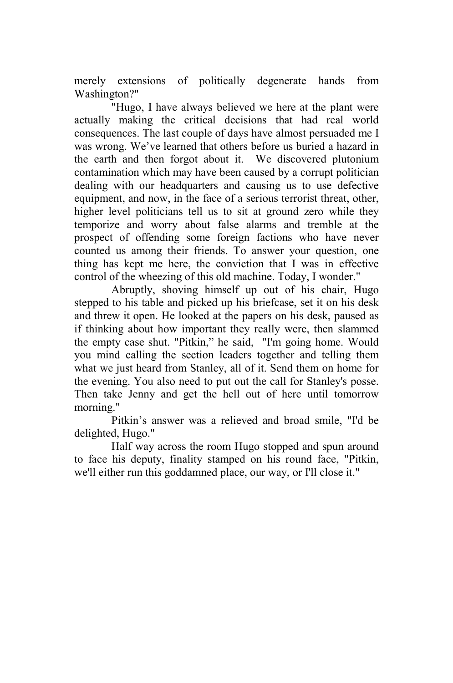merely extensions of politically degenerate hands from Washington?"

"Hugo, I have always believed we here at the plant were actually making the critical decisions that had real world consequences. The last couple of days have almost persuaded me I was wrong. We've learned that others before us buried a hazard in the earth and then forgot about it. We discovered plutonium contamination which may have been caused by a corrupt politician dealing with our headquarters and causing us to use defective equipment, and now, in the face of a serious terrorist threat, other, higher level politicians tell us to sit at ground zero while they temporize and worry about false alarms and tremble at the prospect of offending some foreign factions who have never counted us among their friends. To answer your question, one thing has kept me here, the conviction that I was in effective control of the wheezing of this old machine. Today, I wonder."

Abruptly, shoving himself up out of his chair, Hugo stepped to his table and picked up his briefcase, set it on his desk and threw it open. He looked at the papers on his desk, paused as if thinking about how important they really were, then slammed the empty case shut. "Pitkin," he said, "I'm going home. Would you mind calling the section leaders together and telling them what we just heard from Stanley, all of it. Send them on home for the evening. You also need to put out the call for Stanley's posse. Then take Jenny and get the hell out of here until tomorrow morning."

Pitkin's answer was a relieved and broad smile, "I'd be delighted, Hugo."

Half way across the room Hugo stopped and spun around to face his deputy, finality stamped on his round face, "Pitkin, we'll either run this goddamned place, our way, or I'll close it."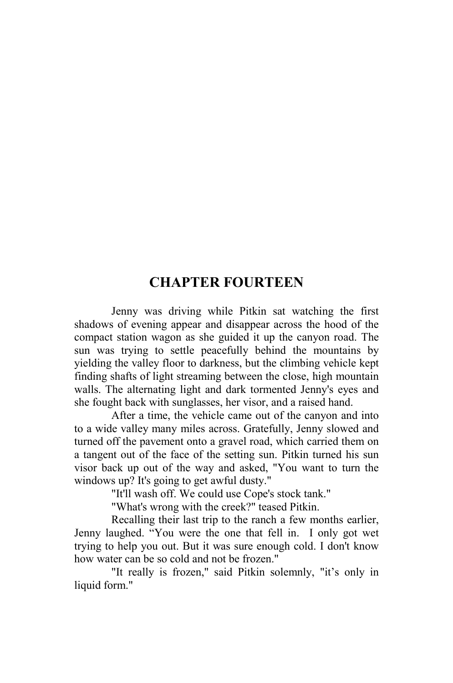## **CHAPTER FOURTEEN**

Jenny was driving while Pitkin sat watching the first shadows of evening appear and disappear across the hood of the compact station wagon as she guided it up the canyon road. The sun was trying to settle peacefully behind the mountains by yielding the valley floor to darkness, but the climbing vehicle kept finding shafts of light streaming between the close, high mountain walls. The alternating light and dark tormented Jenny's eyes and she fought back with sunglasses, her visor, and a raised hand.

After a time, the vehicle came out of the canyon and into to a wide valley many miles across. Gratefully, Jenny slowed and turned off the pavement onto a gravel road, which carried them on a tangent out of the face of the setting sun. Pitkin turned his sun visor back up out of the way and asked, "You want to turn the windows up? It's going to get awful dusty."

"It'll wash off. We could use Cope's stock tank."

"What's wrong with the creek?" teased Pitkin.

Recalling their last trip to the ranch a few months earlier, Jenny laughed. "You were the one that fell in. I only got wet trying to help you out. But it was sure enough cold. I don't know how water can be so cold and not be frozen."

"It really is frozen," said Pitkin solemnly, "it's only in liquid form."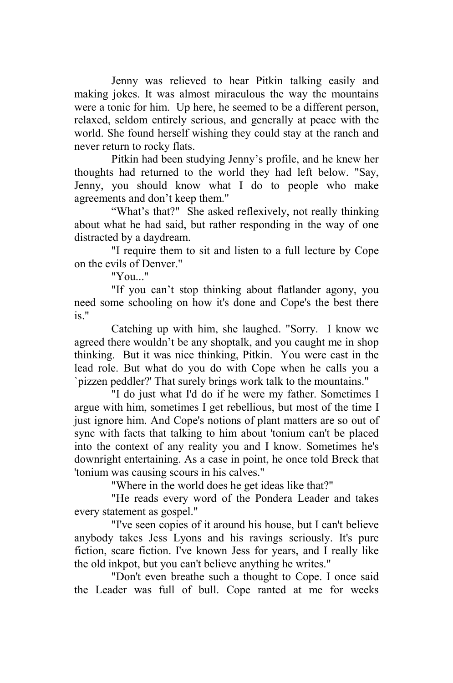Jenny was relieved to hear Pitkin talking easily and making jokes. It was almost miraculous the way the mountains were a tonic for him. Up here, he seemed to be a different person, relaxed, seldom entirely serious, and generally at peace with the world. She found herself wishing they could stay at the ranch and never return to rocky flats.

Pitkin had been studying Jenny's profile, and he knew her thoughts had returned to the world they had left below. "Say, Jenny, you should know what I do to people who make agreements and don't keep them."

"What's that?" She asked reflexively, not really thinking about what he had said, but rather responding in the way of one distracted by a daydream.

"I require them to sit and listen to a full lecture by Cope on the evils of Denver."

"You..."

"If you can't stop thinking about flatlander agony, you need some schooling on how it's done and Cope's the best there is."

Catching up with him, she laughed. "Sorry. I know we agreed there wouldn't be any shoptalk, and you caught me in shop thinking. But it was nice thinking, Pitkin. You were cast in the lead role. But what do you do with Cope when he calls you a `pizzen peddler?' That surely brings work talk to the mountains."

"I do just what I'd do if he were my father. Sometimes I argue with him, sometimes I get rebellious, but most of the time I just ignore him. And Cope's notions of plant matters are so out of sync with facts that talking to him about 'tonium can't be placed into the context of any reality you and I know. Sometimes he's downright entertaining. As a case in point, he once told Breck that 'tonium was causing scours in his calves."

"Where in the world does he get ideas like that?"

"He reads every word of the Pondera Leader and takes every statement as gospel."

"I've seen copies of it around his house, but I can't believe anybody takes Jess Lyons and his ravings seriously. It's pure fiction, scare fiction. I've known Jess for years, and I really like the old inkpot, but you can't believe anything he writes."

"Don't even breathe such a thought to Cope. I once said the Leader was full of bull. Cope ranted at me for weeks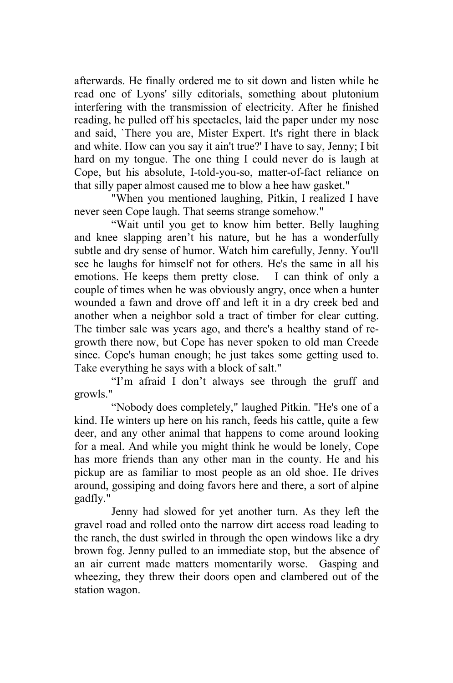afterwards. He finally ordered me to sit down and listen while he read one of Lyons' silly editorials, something about plutonium interfering with the transmission of electricity. After he finished reading, he pulled off his spectacles, laid the paper under my nose and said, `There you are, Mister Expert. It's right there in black and white. How can you say it ain't true?' I have to say, Jenny; I bit hard on my tongue. The one thing I could never do is laugh at Cope, but his absolute, I-told-you-so, matter-of-fact reliance on that silly paper almost caused me to blow a hee haw gasket."

 "When you mentioned laughing, Pitkin, I realized I have never seen Cope laugh. That seems strange somehow."

"Wait until you get to know him better. Belly laughing and knee slapping aren't his nature, but he has a wonderfully subtle and dry sense of humor. Watch him carefully, Jenny. You'll see he laughs for himself not for others. He's the same in all his emotions. He keeps them pretty close. I can think of only a couple of times when he was obviously angry, once when a hunter wounded a fawn and drove off and left it in a dry creek bed and another when a neighbor sold a tract of timber for clear cutting. The timber sale was years ago, and there's a healthy stand of regrowth there now, but Cope has never spoken to old man Creede since. Cope's human enough; he just takes some getting used to. Take everything he says with a block of salt."

"I'm afraid I don't always see through the gruff and growls."

"Nobody does completely," laughed Pitkin. "He's one of a kind. He winters up here on his ranch, feeds his cattle, quite a few deer, and any other animal that happens to come around looking for a meal. And while you might think he would be lonely, Cope has more friends than any other man in the county. He and his pickup are as familiar to most people as an old shoe. He drives around, gossiping and doing favors here and there, a sort of alpine gadfly."

Jenny had slowed for yet another turn. As they left the gravel road and rolled onto the narrow dirt access road leading to the ranch, the dust swirled in through the open windows like a dry brown fog. Jenny pulled to an immediate stop, but the absence of an air current made matters momentarily worse. Gasping and wheezing, they threw their doors open and clambered out of the station wagon.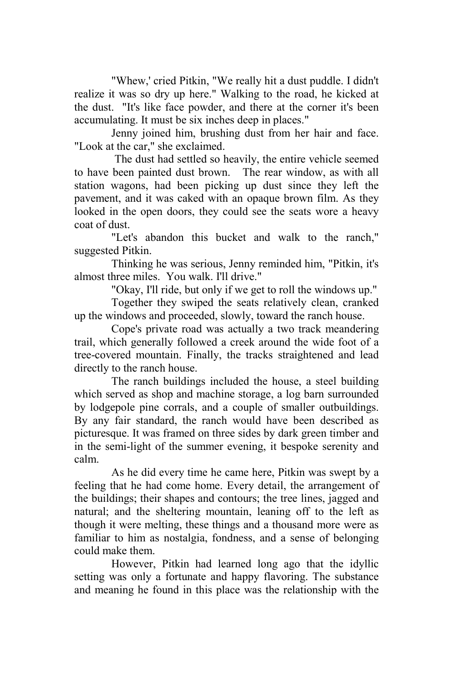"Whew,' cried Pitkin, "We really hit a dust puddle. I didn't realize it was so dry up here." Walking to the road, he kicked at the dust. "It's like face powder, and there at the corner it's been accumulating. It must be six inches deep in places."

Jenny joined him, brushing dust from her hair and face. "Look at the car," she exclaimed.

 The dust had settled so heavily, the entire vehicle seemed to have been painted dust brown. The rear window, as with all station wagons, had been picking up dust since they left the pavement, and it was caked with an opaque brown film. As they looked in the open doors, they could see the seats wore a heavy coat of dust.

"Let's abandon this bucket and walk to the ranch," suggested Pitkin.

Thinking he was serious, Jenny reminded him, "Pitkin, it's almost three miles. You walk. I'll drive."

"Okay, I'll ride, but only if we get to roll the windows up."

Together they swiped the seats relatively clean, cranked up the windows and proceeded, slowly, toward the ranch house.

Cope's private road was actually a two track meandering trail, which generally followed a creek around the wide foot of a tree-covered mountain. Finally, the tracks straightened and lead directly to the ranch house.

The ranch buildings included the house, a steel building which served as shop and machine storage, a log barn surrounded by lodgepole pine corrals, and a couple of smaller outbuildings. By any fair standard, the ranch would have been described as picturesque. It was framed on three sides by dark green timber and in the semi-light of the summer evening, it bespoke serenity and calm.

As he did every time he came here, Pitkin was swept by a feeling that he had come home. Every detail, the arrangement of the buildings; their shapes and contours; the tree lines, jagged and natural; and the sheltering mountain, leaning off to the left as though it were melting, these things and a thousand more were as familiar to him as nostalgia, fondness, and a sense of belonging could make them.

However, Pitkin had learned long ago that the idyllic setting was only a fortunate and happy flavoring. The substance and meaning he found in this place was the relationship with the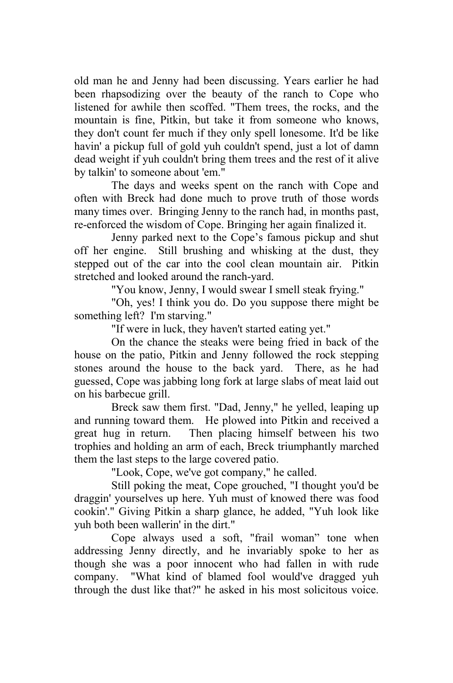old man he and Jenny had been discussing. Years earlier he had been rhapsodizing over the beauty of the ranch to Cope who listened for awhile then scoffed. "Them trees, the rocks, and the mountain is fine, Pitkin, but take it from someone who knows, they don't count fer much if they only spell lonesome. It'd be like havin' a pickup full of gold yuh couldn't spend, just a lot of damn dead weight if yuh couldn't bring them trees and the rest of it alive by talkin' to someone about 'em."

The days and weeks spent on the ranch with Cope and often with Breck had done much to prove truth of those words many times over. Bringing Jenny to the ranch had, in months past, re-enforced the wisdom of Cope. Bringing her again finalized it.

Jenny parked next to the Cope's famous pickup and shut off her engine. Still brushing and whisking at the dust, they stepped out of the car into the cool clean mountain air. Pitkin stretched and looked around the ranch-yard.

"You know, Jenny, I would swear I smell steak frying."

"Oh, yes! I think you do. Do you suppose there might be something left? I'm starving."

"If were in luck, they haven't started eating yet."

 On the chance the steaks were being fried in back of the house on the patio, Pitkin and Jenny followed the rock stepping stones around the house to the back yard. There, as he had guessed, Cope was jabbing long fork at large slabs of meat laid out on his barbecue grill.

Breck saw them first. "Dad, Jenny," he yelled, leaping up and running toward them. He plowed into Pitkin and received a great hug in return. Then placing himself between his two trophies and holding an arm of each, Breck triumphantly marched them the last steps to the large covered patio.

"Look, Cope, we've got company," he called.

Still poking the meat, Cope grouched, "I thought you'd be draggin' yourselves up here. Yuh must of knowed there was food cookin'." Giving Pitkin a sharp glance, he added, "Yuh look like yuh both been wallerin' in the dirt."

Cope always used a soft, "frail woman" tone when addressing Jenny directly, and he invariably spoke to her as though she was a poor innocent who had fallen in with rude company. "What kind of blamed fool would've dragged yuh through the dust like that?" he asked in his most solicitous voice.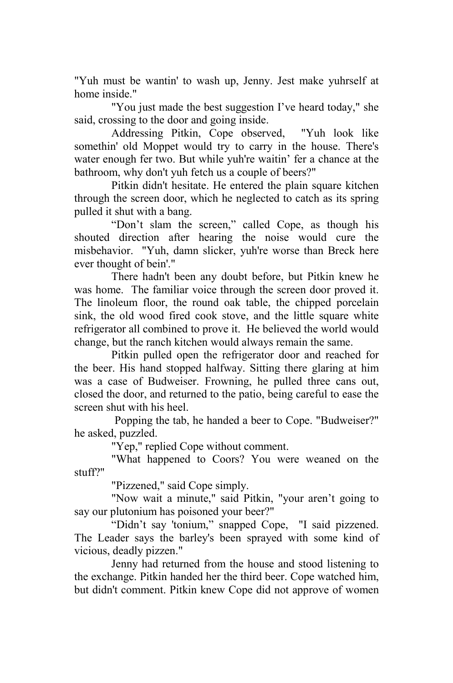"Yuh must be wantin' to wash up, Jenny. Jest make yuhrself at home inside."

"You just made the best suggestion I've heard today," she said, crossing to the door and going inside.

Addressing Pitkin, Cope observed, "Yuh look like somethin' old Moppet would try to carry in the house. There's water enough fer two. But while yuh're waitin' fer a chance at the bathroom, why don't yuh fetch us a couple of beers?"

Pitkin didn't hesitate. He entered the plain square kitchen through the screen door, which he neglected to catch as its spring pulled it shut with a bang.

"Don't slam the screen," called Cope, as though his shouted direction after hearing the noise would cure the misbehavior. "Yuh, damn slicker, yuh're worse than Breck here ever thought of bein'."

There hadn't been any doubt before, but Pitkin knew he was home. The familiar voice through the screen door proved it. The linoleum floor, the round oak table, the chipped porcelain sink, the old wood fired cook stove, and the little square white refrigerator all combined to prove it. He believed the world would change, but the ranch kitchen would always remain the same.

Pitkin pulled open the refrigerator door and reached for the beer. His hand stopped halfway. Sitting there glaring at him was a case of Budweiser. Frowning, he pulled three cans out, closed the door, and returned to the patio, being careful to ease the screen shut with his heel.

 Popping the tab, he handed a beer to Cope. "Budweiser?" he asked, puzzled.

"Yep," replied Cope without comment.

"What happened to Coors? You were weaned on the stuff?"

"Pizzened," said Cope simply.

"Now wait a minute," said Pitkin, "your aren't going to say our plutonium has poisoned your beer?"

"Didn't say 'tonium," snapped Cope, "I said pizzened. The Leader says the barley's been sprayed with some kind of vicious, deadly pizzen."

Jenny had returned from the house and stood listening to the exchange. Pitkin handed her the third beer. Cope watched him, but didn't comment. Pitkin knew Cope did not approve of women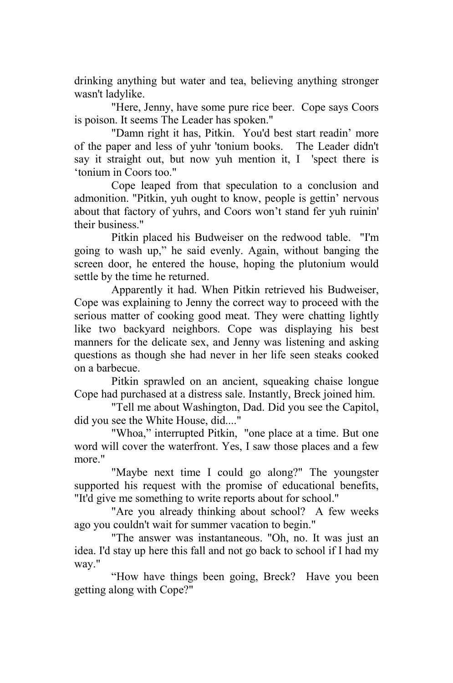drinking anything but water and tea, believing anything stronger wasn't ladylike.

"Here, Jenny, have some pure rice beer. Cope says Coors is poison. It seems The Leader has spoken."

"Damn right it has, Pitkin. You'd best start readin' more of the paper and less of yuhr 'tonium books. The Leader didn't say it straight out, but now yuh mention it, I 'spect there is 'tonium in Coors too."

Cope leaped from that speculation to a conclusion and admonition. "Pitkin, yuh ought to know, people is gettin' nervous about that factory of yuhrs, and Coors won't stand fer yuh ruinin' their business."

Pitkin placed his Budweiser on the redwood table. "I'm going to wash up," he said evenly. Again, without banging the screen door, he entered the house, hoping the plutonium would settle by the time he returned.

Apparently it had. When Pitkin retrieved his Budweiser, Cope was explaining to Jenny the correct way to proceed with the serious matter of cooking good meat. They were chatting lightly like two backyard neighbors. Cope was displaying his best manners for the delicate sex, and Jenny was listening and asking questions as though she had never in her life seen steaks cooked on a barbecue.

Pitkin sprawled on an ancient, squeaking chaise longue Cope had purchased at a distress sale. Instantly, Breck joined him.

"Tell me about Washington, Dad. Did you see the Capitol, did you see the White House, did...."

"Whoa," interrupted Pitkin, "one place at a time. But one word will cover the waterfront. Yes, I saw those places and a few more."

"Maybe next time I could go along?" The youngster supported his request with the promise of educational benefits, "It'd give me something to write reports about for school."

"Are you already thinking about school? A few weeks ago you couldn't wait for summer vacation to begin."

"The answer was instantaneous. "Oh, no. It was just an idea. I'd stay up here this fall and not go back to school if I had my way."

"How have things been going, Breck? Have you been getting along with Cope?"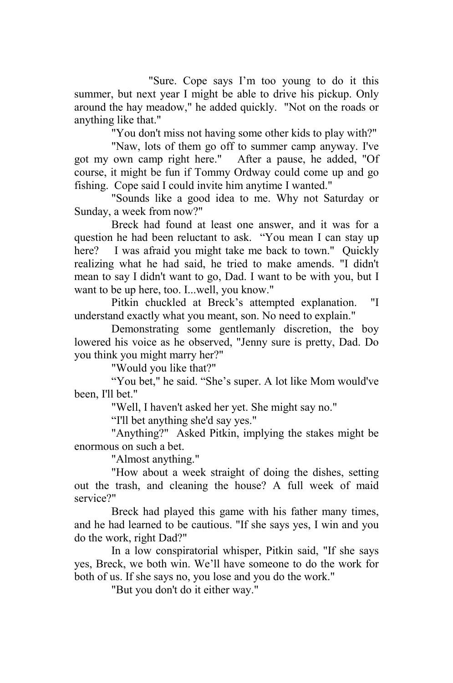"Sure. Cope says I'm too young to do it this summer, but next year I might be able to drive his pickup. Only around the hay meadow," he added quickly. "Not on the roads or anything like that."

"You don't miss not having some other kids to play with?"

"Naw, lots of them go off to summer camp anyway. I've got my own camp right here." After a pause, he added, "Of course, it might be fun if Tommy Ordway could come up and go fishing. Cope said I could invite him anytime I wanted."

"Sounds like a good idea to me. Why not Saturday or Sunday, a week from now?"

Breck had found at least one answer, and it was for a question he had been reluctant to ask. "You mean I can stay up here? I was afraid you might take me back to town." Quickly realizing what he had said, he tried to make amends. "I didn't mean to say I didn't want to go, Dad. I want to be with you, but I want to be up here, too. I...well, you know."

Pitkin chuckled at Breck's attempted explanation. "I understand exactly what you meant, son. No need to explain."

Demonstrating some gentlemanly discretion, the boy lowered his voice as he observed, "Jenny sure is pretty, Dad. Do you think you might marry her?"

"Would you like that?"

"You bet," he said. "She's super. A lot like Mom would've been, I'll bet."

"Well, I haven't asked her yet. She might say no."

"I'll bet anything she'd say yes."

"Anything?" Asked Pitkin, implying the stakes might be enormous on such a bet.

"Almost anything."

"How about a week straight of doing the dishes, setting out the trash, and cleaning the house? A full week of maid service?"

Breck had played this game with his father many times, and he had learned to be cautious. "If she says yes, I win and you do the work, right Dad?"

In a low conspiratorial whisper, Pitkin said, "If she says yes, Breck, we both win. We'll have someone to do the work for both of us. If she says no, you lose and you do the work."

"But you don't do it either way."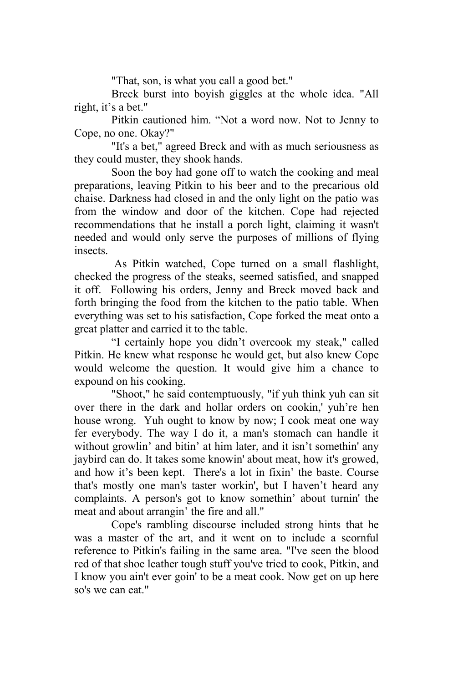"That, son, is what you call a good bet."

Breck burst into boyish giggles at the whole idea. "All right, it's a bet."

Pitkin cautioned him. "Not a word now. Not to Jenny to Cope, no one. Okay?"

"It's a bet," agreed Breck and with as much seriousness as they could muster, they shook hands.

Soon the boy had gone off to watch the cooking and meal preparations, leaving Pitkin to his beer and to the precarious old chaise. Darkness had closed in and the only light on the patio was from the window and door of the kitchen. Cope had rejected recommendations that he install a porch light, claiming it wasn't needed and would only serve the purposes of millions of flying insects.

 As Pitkin watched, Cope turned on a small flashlight, checked the progress of the steaks, seemed satisfied, and snapped it off. Following his orders, Jenny and Breck moved back and forth bringing the food from the kitchen to the patio table. When everything was set to his satisfaction, Cope forked the meat onto a great platter and carried it to the table.

"I certainly hope you didn't overcook my steak," called Pitkin. He knew what response he would get, but also knew Cope would welcome the question. It would give him a chance to expound on his cooking.

"Shoot," he said contemptuously, "if yuh think yuh can sit over there in the dark and hollar orders on cookin,' yuh're hen house wrong. Yuh ought to know by now; I cook meat one way fer everybody. The way I do it, a man's stomach can handle it without growlin' and bitin' at him later, and it isn't somethin' any jaybird can do. It takes some knowin' about meat, how it's growed, and how it's been kept. There's a lot in fixin' the baste. Course that's mostly one man's taster workin', but I haven't heard any complaints. A person's got to know somethin' about turnin' the meat and about arrangin' the fire and all."

Cope's rambling discourse included strong hints that he was a master of the art, and it went on to include a scornful reference to Pitkin's failing in the same area. "I've seen the blood red of that shoe leather tough stuff you've tried to cook, Pitkin, and I know you ain't ever goin' to be a meat cook. Now get on up here so's we can eat."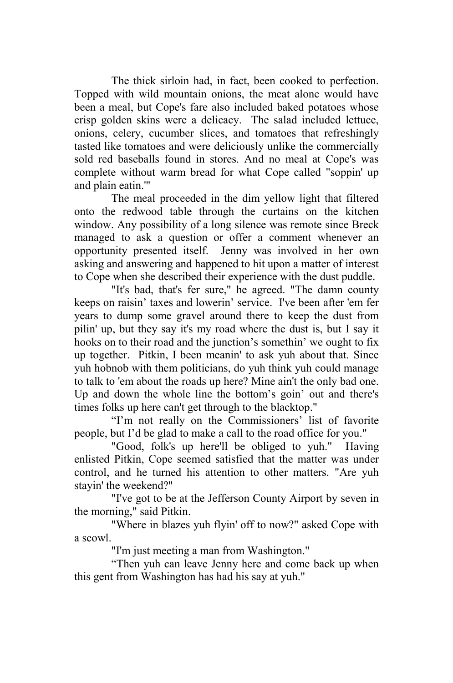The thick sirloin had, in fact, been cooked to perfection. Topped with wild mountain onions, the meat alone would have been a meal, but Cope's fare also included baked potatoes whose crisp golden skins were a delicacy. The salad included lettuce, onions, celery, cucumber slices, and tomatoes that refreshingly tasted like tomatoes and were deliciously unlike the commercially sold red baseballs found in stores. And no meal at Cope's was complete without warm bread for what Cope called "soppin' up and plain eatin.'"

The meal proceeded in the dim yellow light that filtered onto the redwood table through the curtains on the kitchen window. Any possibility of a long silence was remote since Breck managed to ask a question or offer a comment whenever an opportunity presented itself. Jenny was involved in her own asking and answering and happened to hit upon a matter of interest to Cope when she described their experience with the dust puddle.

"It's bad, that's fer sure," he agreed. "The damn county keeps on raisin' taxes and lowerin' service. I've been after 'em fer years to dump some gravel around there to keep the dust from pilin' up, but they say it's my road where the dust is, but I say it hooks on to their road and the junction's somethin' we ought to fix up together. Pitkin, I been meanin' to ask yuh about that. Since yuh hobnob with them politicians, do yuh think yuh could manage to talk to 'em about the roads up here? Mine ain't the only bad one. Up and down the whole line the bottom's goin' out and there's times folks up here can't get through to the blacktop."

"I'm not really on the Commissioners' list of favorite people, but I'd be glad to make a call to the road office for you."

"Good, folk's up here'll be obliged to yuh." Having enlisted Pitkin, Cope seemed satisfied that the matter was under control, and he turned his attention to other matters. "Are yuh stayin' the weekend?"

"I've got to be at the Jefferson County Airport by seven in the morning," said Pitkin.

"Where in blazes yuh flyin' off to now?" asked Cope with a scowl.

"I'm just meeting a man from Washington."

"Then yuh can leave Jenny here and come back up when this gent from Washington has had his say at yuh."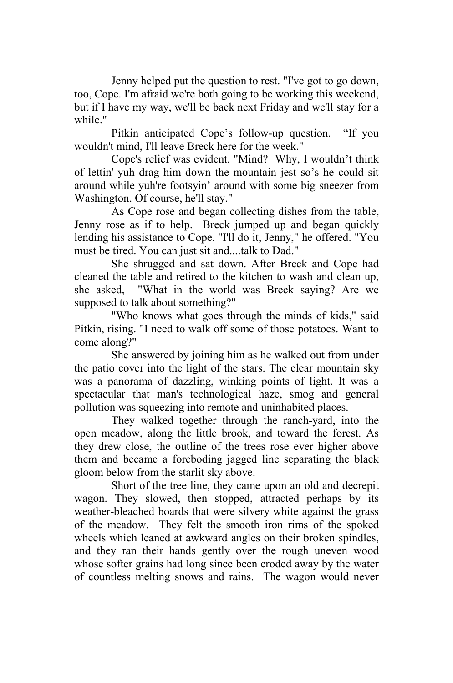Jenny helped put the question to rest. "I've got to go down, too, Cope. I'm afraid we're both going to be working this weekend, but if I have my way, we'll be back next Friday and we'll stay for a while."

Pitkin anticipated Cope's follow-up question. "If you wouldn't mind, I'll leave Breck here for the week."

Cope's relief was evident. "Mind? Why, I wouldn't think of lettin' yuh drag him down the mountain jest so's he could sit around while yuh're footsyin' around with some big sneezer from Washington. Of course, he'll stay."

As Cope rose and began collecting dishes from the table, Jenny rose as if to help. Breck jumped up and began quickly lending his assistance to Cope. "I'll do it, Jenny," he offered. "You must be tired. You can just sit and....talk to Dad."

She shrugged and sat down. After Breck and Cope had cleaned the table and retired to the kitchen to wash and clean up, she asked, "What in the world was Breck saying? Are we supposed to talk about something?"

"Who knows what goes through the minds of kids," said Pitkin, rising. "I need to walk off some of those potatoes. Want to come along?"

She answered by joining him as he walked out from under the patio cover into the light of the stars. The clear mountain sky was a panorama of dazzling, winking points of light. It was a spectacular that man's technological haze, smog and general pollution was squeezing into remote and uninhabited places.

They walked together through the ranch-yard, into the open meadow, along the little brook, and toward the forest. As they drew close, the outline of the trees rose ever higher above them and became a foreboding jagged line separating the black gloom below from the starlit sky above.

Short of the tree line, they came upon an old and decrepit wagon. They slowed, then stopped, attracted perhaps by its weather-bleached boards that were silvery white against the grass of the meadow. They felt the smooth iron rims of the spoked wheels which leaned at awkward angles on their broken spindles, and they ran their hands gently over the rough uneven wood whose softer grains had long since been eroded away by the water of countless melting snows and rains. The wagon would never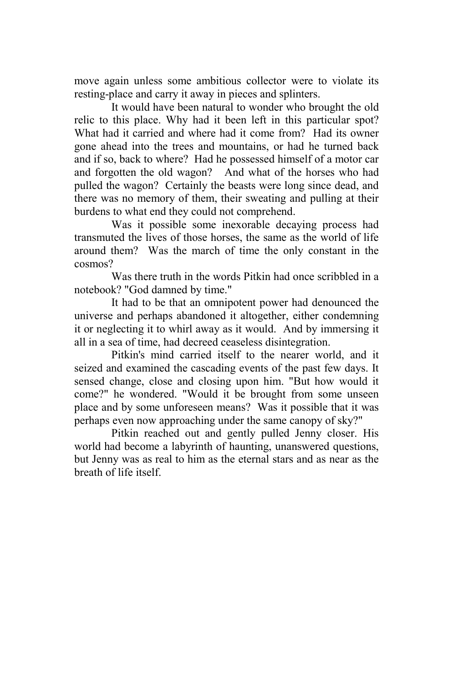move again unless some ambitious collector were to violate its resting-place and carry it away in pieces and splinters.

It would have been natural to wonder who brought the old relic to this place. Why had it been left in this particular spot? What had it carried and where had it come from? Had its owner gone ahead into the trees and mountains, or had he turned back and if so, back to where? Had he possessed himself of a motor car and forgotten the old wagon? And what of the horses who had pulled the wagon? Certainly the beasts were long since dead, and there was no memory of them, their sweating and pulling at their burdens to what end they could not comprehend.

Was it possible some inexorable decaying process had transmuted the lives of those horses, the same as the world of life around them? Was the march of time the only constant in the cosmos?

Was there truth in the words Pitkin had once scribbled in a notebook? "God damned by time."

It had to be that an omnipotent power had denounced the universe and perhaps abandoned it altogether, either condemning it or neglecting it to whirl away as it would. And by immersing it all in a sea of time, had decreed ceaseless disintegration.

Pitkin's mind carried itself to the nearer world, and it seized and examined the cascading events of the past few days. It sensed change, close and closing upon him. "But how would it come?" he wondered. "Would it be brought from some unseen place and by some unforeseen means? Was it possible that it was perhaps even now approaching under the same canopy of sky?"

Pitkin reached out and gently pulled Jenny closer. His world had become a labyrinth of haunting, unanswered questions, but Jenny was as real to him as the eternal stars and as near as the breath of life itself.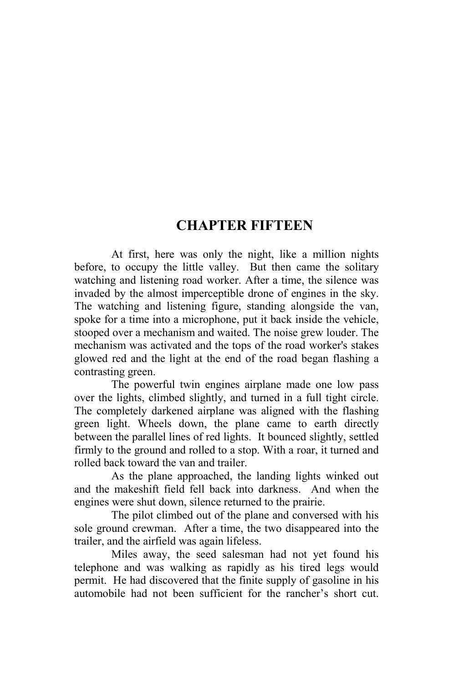## **CHAPTER FIFTEEN**

At first, here was only the night, like a million nights before, to occupy the little valley. But then came the solitary watching and listening road worker. After a time, the silence was invaded by the almost imperceptible drone of engines in the sky. The watching and listening figure, standing alongside the van, spoke for a time into a microphone, put it back inside the vehicle, stooped over a mechanism and waited. The noise grew louder. The mechanism was activated and the tops of the road worker's stakes glowed red and the light at the end of the road began flashing a contrasting green.

The powerful twin engines airplane made one low pass over the lights, climbed slightly, and turned in a full tight circle. The completely darkened airplane was aligned with the flashing green light. Wheels down, the plane came to earth directly between the parallel lines of red lights. It bounced slightly, settled firmly to the ground and rolled to a stop. With a roar, it turned and rolled back toward the van and trailer.

As the plane approached, the landing lights winked out and the makeshift field fell back into darkness. And when the engines were shut down, silence returned to the prairie.

The pilot climbed out of the plane and conversed with his sole ground crewman. After a time, the two disappeared into the trailer, and the airfield was again lifeless.

Miles away, the seed salesman had not yet found his telephone and was walking as rapidly as his tired legs would permit. He had discovered that the finite supply of gasoline in his automobile had not been sufficient for the rancher's short cut.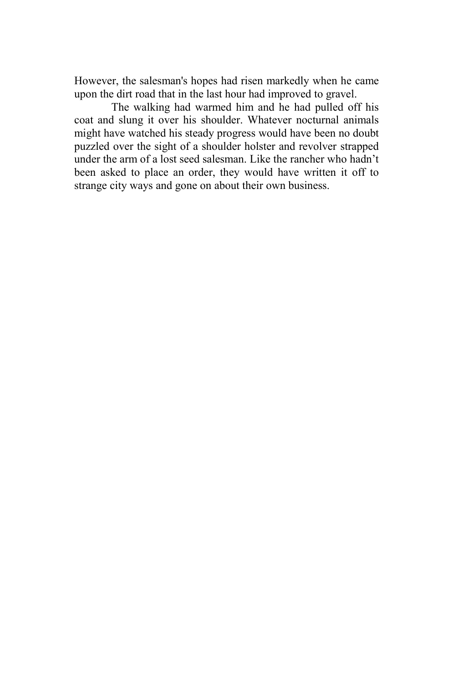However, the salesman's hopes had risen markedly when he came upon the dirt road that in the last hour had improved to gravel.

The walking had warmed him and he had pulled off his coat and slung it over his shoulder. Whatever nocturnal animals might have watched his steady progress would have been no doubt puzzled over the sight of a shoulder holster and revolver strapped under the arm of a lost seed salesman. Like the rancher who hadn't been asked to place an order, they would have written it off to strange city ways and gone on about their own business.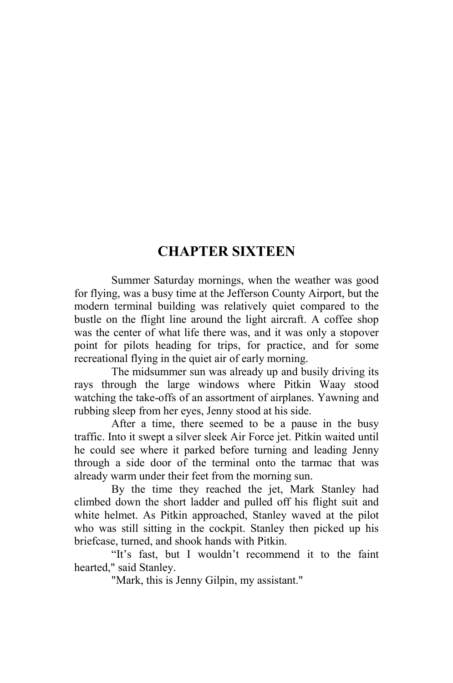## **CHAPTER SIXTEEN**

Summer Saturday mornings, when the weather was good for flying, was a busy time at the Jefferson County Airport, but the modern terminal building was relatively quiet compared to the bustle on the flight line around the light aircraft. A coffee shop was the center of what life there was, and it was only a stopover point for pilots heading for trips, for practice, and for some recreational flying in the quiet air of early morning.

The midsummer sun was already up and busily driving its rays through the large windows where Pitkin Waay stood watching the take-offs of an assortment of airplanes. Yawning and rubbing sleep from her eyes, Jenny stood at his side.

After a time, there seemed to be a pause in the busy traffic. Into it swept a silver sleek Air Force jet. Pitkin waited until he could see where it parked before turning and leading Jenny through a side door of the terminal onto the tarmac that was already warm under their feet from the morning sun.

By the time they reached the jet, Mark Stanley had climbed down the short ladder and pulled off his flight suit and white helmet. As Pitkin approached, Stanley waved at the pilot who was still sitting in the cockpit. Stanley then picked up his briefcase, turned, and shook hands with Pitkin.

"It's fast, but I wouldn't recommend it to the faint hearted," said Stanley.

"Mark, this is Jenny Gilpin, my assistant."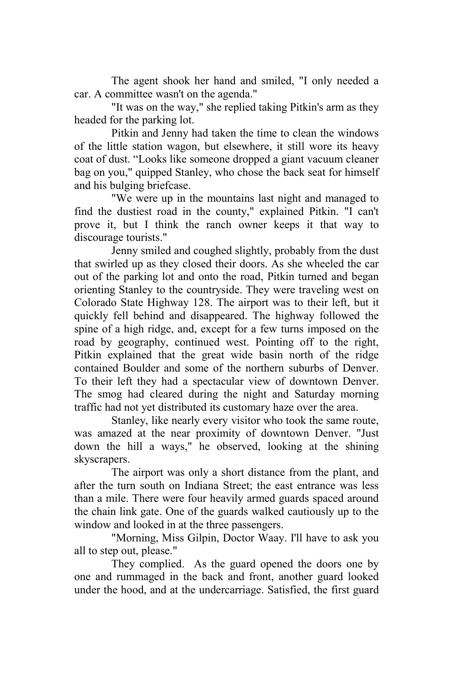The agent shook her hand and smiled, "I only needed a car. A committee wasn't on the agenda."

"It was on the way," she replied taking Pitkin's arm as they headed for the parking lot.

Pitkin and Jenny had taken the time to clean the windows of the little station wagon, but elsewhere, it still wore its heavy coat of dust. "Looks like someone dropped a giant vacuum cleaner bag on you," quipped Stanley, who chose the back seat for himself and his bulging briefcase.

"We were up in the mountains last night and managed to find the dustiest road in the county," explained Pitkin. "I can't prove it, but I think the ranch owner keeps it that way to discourage tourists."

Jenny smiled and coughed slightly, probably from the dust that swirled up as they closed their doors. As she wheeled the car out of the parking lot and onto the road, Pitkin turned and began orienting Stanley to the countryside. They were traveling west on Colorado State Highway 128. The airport was to their left, but it quickly fell behind and disappeared. The highway followed the spine of a high ridge, and, except for a few turns imposed on the road by geography, continued west. Pointing off to the right, Pitkin explained that the great wide basin north of the ridge contained Boulder and some of the northern suburbs of Denver. To their left they had a spectacular view of downtown Denver. The smog had cleared during the night and Saturday morning traffic had not yet distributed its customary haze over the area.

Stanley, like nearly every visitor who took the same route, was amazed at the near proximity of downtown Denver. "Just down the hill a ways," he observed, looking at the shining skyscrapers.

The airport was only a short distance from the plant, and after the turn south on Indiana Street; the east entrance was less than a mile. There were four heavily armed guards spaced around the chain link gate. One of the guards walked cautiously up to the window and looked in at the three passengers.

"Morning, Miss Gilpin, Doctor Waay. I'll have to ask you all to step out, please."

They complied. As the guard opened the doors one by one and rummaged in the back and front, another guard looked under the hood, and at the undercarriage. Satisfied, the first guard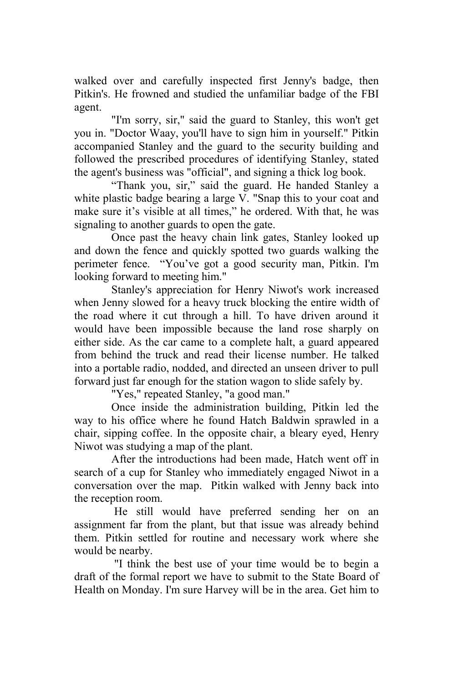walked over and carefully inspected first Jenny's badge, then Pitkin's. He frowned and studied the unfamiliar badge of the FBI agent.

"I'm sorry, sir," said the guard to Stanley, this won't get you in. "Doctor Waay, you'll have to sign him in yourself." Pitkin accompanied Stanley and the guard to the security building and followed the prescribed procedures of identifying Stanley, stated the agent's business was "official", and signing a thick log book.

"Thank you, sir," said the guard. He handed Stanley a white plastic badge bearing a large V. "Snap this to your coat and make sure it's visible at all times," he ordered. With that, he was signaling to another guards to open the gate.

Once past the heavy chain link gates, Stanley looked up and down the fence and quickly spotted two guards walking the perimeter fence. "You've got a good security man, Pitkin. I'm looking forward to meeting him."

Stanley's appreciation for Henry Niwot's work increased when Jenny slowed for a heavy truck blocking the entire width of the road where it cut through a hill. To have driven around it would have been impossible because the land rose sharply on either side. As the car came to a complete halt, a guard appeared from behind the truck and read their license number. He talked into a portable radio, nodded, and directed an unseen driver to pull forward just far enough for the station wagon to slide safely by.

"Yes," repeated Stanley, "a good man."

Once inside the administration building, Pitkin led the way to his office where he found Hatch Baldwin sprawled in a chair, sipping coffee. In the opposite chair, a bleary eyed, Henry Niwot was studying a map of the plant.

After the introductions had been made, Hatch went off in search of a cup for Stanley who immediately engaged Niwot in a conversation over the map. Pitkin walked with Jenny back into the reception room.

 He still would have preferred sending her on an assignment far from the plant, but that issue was already behind them. Pitkin settled for routine and necessary work where she would be nearby.

 "I think the best use of your time would be to begin a draft of the formal report we have to submit to the State Board of Health on Monday. I'm sure Harvey will be in the area. Get him to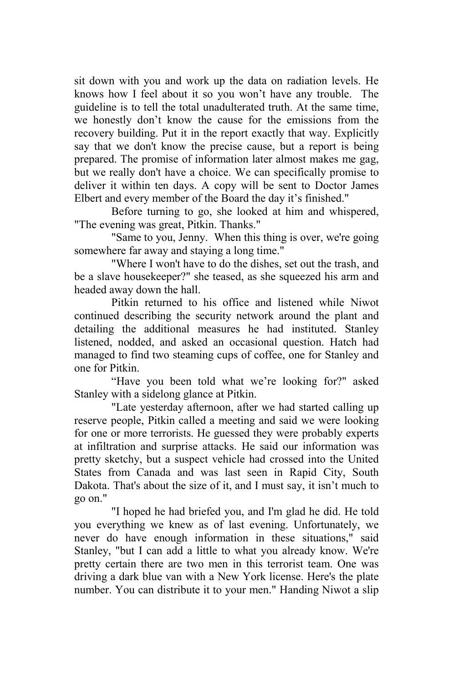sit down with you and work up the data on radiation levels. He knows how I feel about it so you won't have any trouble. The guideline is to tell the total unadulterated truth. At the same time, we honestly don't know the cause for the emissions from the recovery building. Put it in the report exactly that way. Explicitly say that we don't know the precise cause, but a report is being prepared. The promise of information later almost makes me gag, but we really don't have a choice. We can specifically promise to deliver it within ten days. A copy will be sent to Doctor James Elbert and every member of the Board the day it's finished."

Before turning to go, she looked at him and whispered, "The evening was great, Pitkin. Thanks."

"Same to you, Jenny. When this thing is over, we're going somewhere far away and staying a long time."

"Where I won't have to do the dishes, set out the trash, and be a slave housekeeper?" she teased, as she squeezed his arm and headed away down the hall.

Pitkin returned to his office and listened while Niwot continued describing the security network around the plant and detailing the additional measures he had instituted. Stanley listened, nodded, and asked an occasional question. Hatch had managed to find two steaming cups of coffee, one for Stanley and one for Pitkin.

"Have you been told what we're looking for?" asked Stanley with a sidelong glance at Pitkin.

"Late yesterday afternoon, after we had started calling up reserve people, Pitkin called a meeting and said we were looking for one or more terrorists. He guessed they were probably experts at infiltration and surprise attacks. He said our information was pretty sketchy, but a suspect vehicle had crossed into the United States from Canada and was last seen in Rapid City, South Dakota. That's about the size of it, and I must say, it isn't much to go on."

"I hoped he had briefed you, and I'm glad he did. He told you everything we knew as of last evening. Unfortunately, we never do have enough information in these situations," said Stanley, "but I can add a little to what you already know. We're pretty certain there are two men in this terrorist team. One was driving a dark blue van with a New York license. Here's the plate number. You can distribute it to your men." Handing Niwot a slip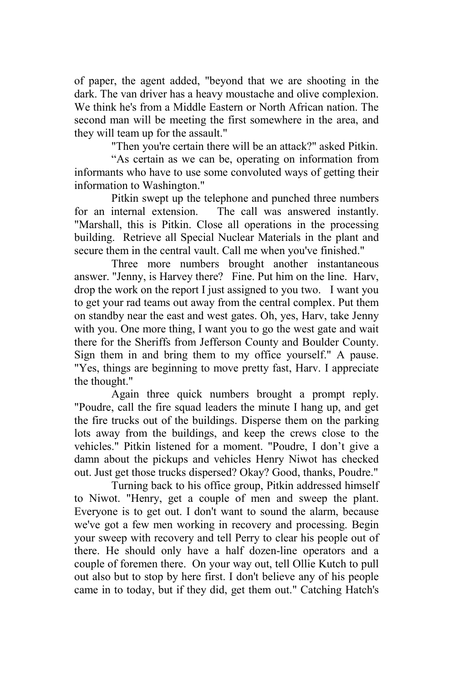of paper, the agent added, "beyond that we are shooting in the dark. The van driver has a heavy moustache and olive complexion. We think he's from a Middle Eastern or North African nation. The second man will be meeting the first somewhere in the area, and they will team up for the assault."

"Then you're certain there will be an attack?" asked Pitkin.

"As certain as we can be, operating on information from informants who have to use some convoluted ways of getting their information to Washington."

Pitkin swept up the telephone and punched three numbers for an internal extension. The call was answered instantly. "Marshall, this is Pitkin. Close all operations in the processing building. Retrieve all Special Nuclear Materials in the plant and secure them in the central vault. Call me when you've finished."

Three more numbers brought another instantaneous answer. "Jenny, is Harvey there? Fine. Put him on the line. Harv, drop the work on the report I just assigned to you two. I want you to get your rad teams out away from the central complex. Put them on standby near the east and west gates. Oh, yes, Harv, take Jenny with you. One more thing, I want you to go the west gate and wait there for the Sheriffs from Jefferson County and Boulder County. Sign them in and bring them to my office yourself." A pause. "Yes, things are beginning to move pretty fast, Harv. I appreciate the thought."

Again three quick numbers brought a prompt reply. "Poudre, call the fire squad leaders the minute I hang up, and get the fire trucks out of the buildings. Disperse them on the parking lots away from the buildings, and keep the crews close to the vehicles." Pitkin listened for a moment. "Poudre, I don't give a damn about the pickups and vehicles Henry Niwot has checked out. Just get those trucks dispersed? Okay? Good, thanks, Poudre."

Turning back to his office group, Pitkin addressed himself to Niwot. "Henry, get a couple of men and sweep the plant. Everyone is to get out. I don't want to sound the alarm, because we've got a few men working in recovery and processing. Begin your sweep with recovery and tell Perry to clear his people out of there. He should only have a half dozen-line operators and a couple of foremen there. On your way out, tell Ollie Kutch to pull out also but to stop by here first. I don't believe any of his people came in to today, but if they did, get them out." Catching Hatch's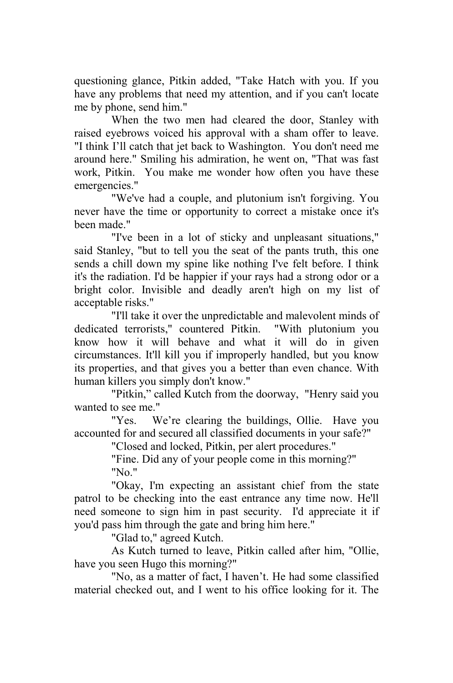questioning glance, Pitkin added, "Take Hatch with you. If you have any problems that need my attention, and if you can't locate me by phone, send him."

When the two men had cleared the door, Stanley with raised eyebrows voiced his approval with a sham offer to leave. "I think I'll catch that jet back to Washington. You don't need me around here." Smiling his admiration, he went on, "That was fast work, Pitkin. You make me wonder how often you have these emergencies."

"We've had a couple, and plutonium isn't forgiving. You never have the time or opportunity to correct a mistake once it's been made."

"I've been in a lot of sticky and unpleasant situations," said Stanley, "but to tell you the seat of the pants truth, this one sends a chill down my spine like nothing I've felt before. I think it's the radiation. I'd be happier if your rays had a strong odor or a bright color. Invisible and deadly aren't high on my list of acceptable risks."

"I'll take it over the unpredictable and malevolent minds of dedicated terrorists," countered Pitkin. "With plutonium you know how it will behave and what it will do in given circumstances. It'll kill you if improperly handled, but you know its properties, and that gives you a better than even chance. With human killers you simply don't know."

"Pitkin," called Kutch from the doorway, "Henry said you wanted to see me."

"Yes. We're clearing the buildings, Ollie. Have you accounted for and secured all classified documents in your safe?"

"Closed and locked, Pitkin, per alert procedures."

"Fine. Did any of your people come in this morning?" "No."

"Okay, I'm expecting an assistant chief from the state patrol to be checking into the east entrance any time now. He'll need someone to sign him in past security. I'd appreciate it if you'd pass him through the gate and bring him here."

"Glad to," agreed Kutch.

As Kutch turned to leave, Pitkin called after him, "Ollie, have you seen Hugo this morning?"

"No, as a matter of fact, I haven't. He had some classified material checked out, and I went to his office looking for it. The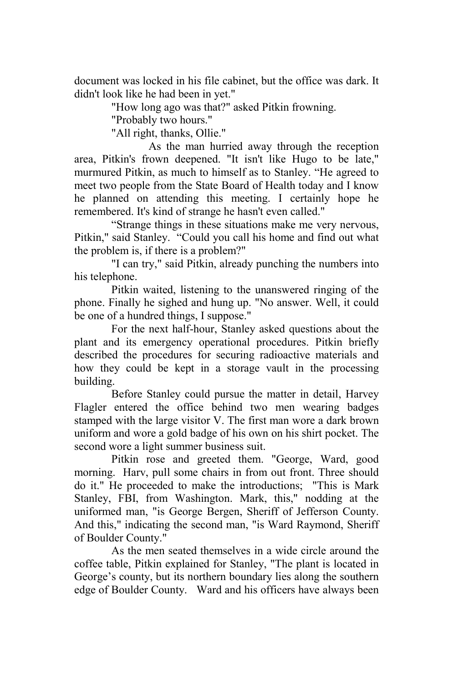document was locked in his file cabinet, but the office was dark. It didn't look like he had been in yet."

"How long ago was that?" asked Pitkin frowning.

"Probably two hours."

"All right, thanks, Ollie."

As the man hurried away through the reception area, Pitkin's frown deepened. "It isn't like Hugo to be late," murmured Pitkin, as much to himself as to Stanley. "He agreed to meet two people from the State Board of Health today and I know he planned on attending this meeting. I certainly hope he remembered. It's kind of strange he hasn't even called."

"Strange things in these situations make me very nervous, Pitkin," said Stanley. "Could you call his home and find out what the problem is, if there is a problem?"

"I can try," said Pitkin, already punching the numbers into his telephone.

Pitkin waited, listening to the unanswered ringing of the phone. Finally he sighed and hung up. "No answer. Well, it could be one of a hundred things, I suppose."

For the next half-hour, Stanley asked questions about the plant and its emergency operational procedures. Pitkin briefly described the procedures for securing radioactive materials and how they could be kept in a storage vault in the processing building.

Before Stanley could pursue the matter in detail, Harvey Flagler entered the office behind two men wearing badges stamped with the large visitor V. The first man wore a dark brown uniform and wore a gold badge of his own on his shirt pocket. The second wore a light summer business suit.

Pitkin rose and greeted them. "George, Ward, good morning. Harv, pull some chairs in from out front. Three should do it." He proceeded to make the introductions; "This is Mark Stanley, FBI, from Washington. Mark, this," nodding at the uniformed man, "is George Bergen, Sheriff of Jefferson County. And this," indicating the second man, "is Ward Raymond, Sheriff of Boulder County."

As the men seated themselves in a wide circle around the coffee table, Pitkin explained for Stanley, "The plant is located in George's county, but its northern boundary lies along the southern edge of Boulder County. Ward and his officers have always been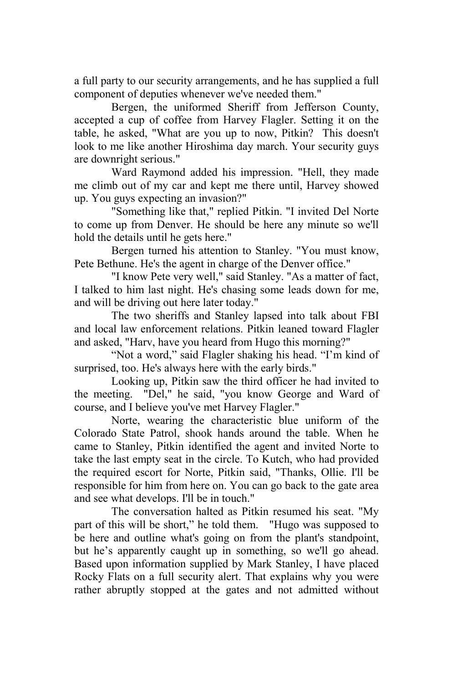a full party to our security arrangements, and he has supplied a full component of deputies whenever we've needed them."

Bergen, the uniformed Sheriff from Jefferson County, accepted a cup of coffee from Harvey Flagler. Setting it on the table, he asked, "What are you up to now, Pitkin? This doesn't look to me like another Hiroshima day march. Your security guys are downright serious."

Ward Raymond added his impression. "Hell, they made me climb out of my car and kept me there until, Harvey showed up. You guys expecting an invasion?"

"Something like that," replied Pitkin. "I invited Del Norte to come up from Denver. He should be here any minute so we'll hold the details until he gets here."

Bergen turned his attention to Stanley. "You must know, Pete Bethune. He's the agent in charge of the Denver office."

"I know Pete very well," said Stanley. "As a matter of fact, I talked to him last night. He's chasing some leads down for me, and will be driving out here later today."

The two sheriffs and Stanley lapsed into talk about FBI and local law enforcement relations. Pitkin leaned toward Flagler and asked, "Harv, have you heard from Hugo this morning?"

"Not a word," said Flagler shaking his head. "I'm kind of surprised, too. He's always here with the early birds."

Looking up, Pitkin saw the third officer he had invited to the meeting. "Del," he said, "you know George and Ward of course, and I believe you've met Harvey Flagler."

Norte, wearing the characteristic blue uniform of the Colorado State Patrol, shook hands around the table. When he came to Stanley, Pitkin identified the agent and invited Norte to take the last empty seat in the circle. To Kutch, who had provided the required escort for Norte, Pitkin said, "Thanks, Ollie. I'll be responsible for him from here on. You can go back to the gate area and see what develops. I'll be in touch."

The conversation halted as Pitkin resumed his seat. "My part of this will be short," he told them. "Hugo was supposed to be here and outline what's going on from the plant's standpoint, but he's apparently caught up in something, so we'll go ahead. Based upon information supplied by Mark Stanley, I have placed Rocky Flats on a full security alert. That explains why you were rather abruptly stopped at the gates and not admitted without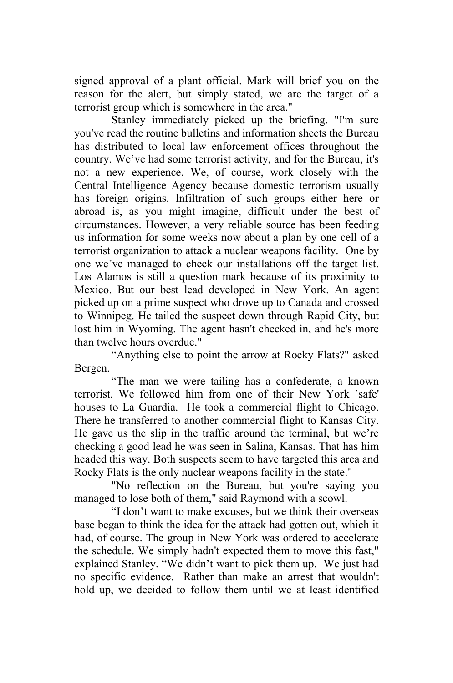signed approval of a plant official. Mark will brief you on the reason for the alert, but simply stated, we are the target of a terrorist group which is somewhere in the area."

Stanley immediately picked up the briefing. "I'm sure you've read the routine bulletins and information sheets the Bureau has distributed to local law enforcement offices throughout the country. We've had some terrorist activity, and for the Bureau, it's not a new experience. We, of course, work closely with the Central Intelligence Agency because domestic terrorism usually has foreign origins. Infiltration of such groups either here or abroad is, as you might imagine, difficult under the best of circumstances. However, a very reliable source has been feeding us information for some weeks now about a plan by one cell of a terrorist organization to attack a nuclear weapons facility. One by one we've managed to check our installations off the target list. Los Alamos is still a question mark because of its proximity to Mexico. But our best lead developed in New York. An agent picked up on a prime suspect who drove up to Canada and crossed to Winnipeg. He tailed the suspect down through Rapid City, but lost him in Wyoming. The agent hasn't checked in, and he's more than twelve hours overdue."

"Anything else to point the arrow at Rocky Flats?" asked Bergen.

"The man we were tailing has a confederate, a known terrorist. We followed him from one of their New York `safe' houses to La Guardia. He took a commercial flight to Chicago. There he transferred to another commercial flight to Kansas City. He gave us the slip in the traffic around the terminal, but we're checking a good lead he was seen in Salina, Kansas. That has him headed this way. Both suspects seem to have targeted this area and Rocky Flats is the only nuclear weapons facility in the state."

"No reflection on the Bureau, but you're saying you managed to lose both of them," said Raymond with a scowl.

"I don't want to make excuses, but we think their overseas base began to think the idea for the attack had gotten out, which it had, of course. The group in New York was ordered to accelerate the schedule. We simply hadn't expected them to move this fast," explained Stanley. "We didn't want to pick them up. We just had no specific evidence. Rather than make an arrest that wouldn't hold up, we decided to follow them until we at least identified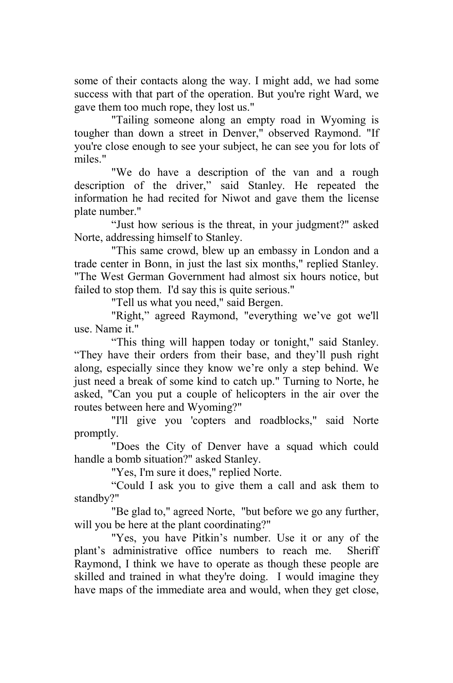some of their contacts along the way. I might add, we had some success with that part of the operation. But you're right Ward, we gave them too much rope, they lost us."

"Tailing someone along an empty road in Wyoming is tougher than down a street in Denver," observed Raymond. "If you're close enough to see your subject, he can see you for lots of miles."

"We do have a description of the van and a rough description of the driver," said Stanley. He repeated the information he had recited for Niwot and gave them the license plate number."

"Just how serious is the threat, in your judgment?" asked Norte, addressing himself to Stanley.

"This same crowd, blew up an embassy in London and a trade center in Bonn, in just the last six months," replied Stanley. "The West German Government had almost six hours notice, but failed to stop them. I'd say this is quite serious."

"Tell us what you need," said Bergen.

"Right," agreed Raymond, "everything we've got we'll use. Name it."

"This thing will happen today or tonight," said Stanley. "They have their orders from their base, and they'll push right along, especially since they know we're only a step behind. We just need a break of some kind to catch up." Turning to Norte, he asked, "Can you put a couple of helicopters in the air over the routes between here and Wyoming?"

"I'll give you 'copters and roadblocks," said Norte promptly.

"Does the City of Denver have a squad which could handle a bomb situation?" asked Stanley.

"Yes, I'm sure it does," replied Norte.

"Could I ask you to give them a call and ask them to standby?"

"Be glad to," agreed Norte, "but before we go any further, will you be here at the plant coordinating?"

"Yes, you have Pitkin's number. Use it or any of the plant's administrative office numbers to reach me. Sheriff Raymond, I think we have to operate as though these people are skilled and trained in what they're doing. I would imagine they have maps of the immediate area and would, when they get close,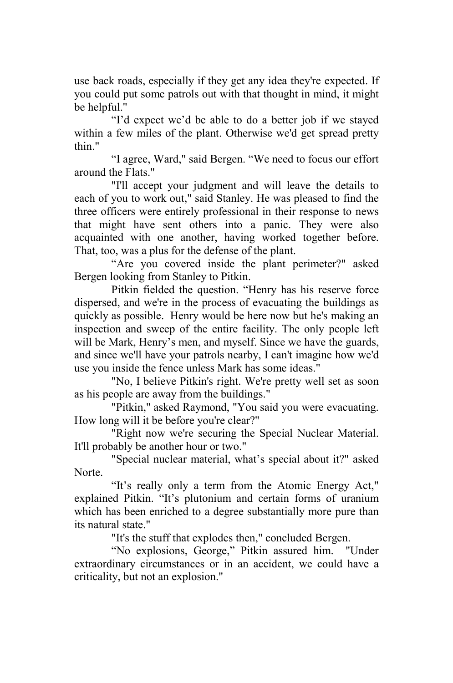use back roads, especially if they get any idea they're expected. If you could put some patrols out with that thought in mind, it might be helpful."

"I'd expect we'd be able to do a better job if we stayed within a few miles of the plant. Otherwise we'd get spread pretty thin."

"I agree, Ward," said Bergen. "We need to focus our effort around the Flats."

"I'll accept your judgment and will leave the details to each of you to work out," said Stanley. He was pleased to find the three officers were entirely professional in their response to news that might have sent others into a panic. They were also acquainted with one another, having worked together before. That, too, was a plus for the defense of the plant.

"Are you covered inside the plant perimeter?" asked Bergen looking from Stanley to Pitkin.

Pitkin fielded the question. "Henry has his reserve force dispersed, and we're in the process of evacuating the buildings as quickly as possible. Henry would be here now but he's making an inspection and sweep of the entire facility. The only people left will be Mark, Henry's men, and myself. Since we have the guards, and since we'll have your patrols nearby, I can't imagine how we'd use you inside the fence unless Mark has some ideas."

"No, I believe Pitkin's right. We're pretty well set as soon as his people are away from the buildings."

"Pitkin," asked Raymond, "You said you were evacuating. How long will it be before you're clear?"

"Right now we're securing the Special Nuclear Material. It'll probably be another hour or two."

"Special nuclear material, what's special about it?" asked Norte.

"It's really only a term from the Atomic Energy Act," explained Pitkin. "It's plutonium and certain forms of uranium which has been enriched to a degree substantially more pure than its natural state."

"It's the stuff that explodes then," concluded Bergen.

"No explosions, George," Pitkin assured him. "Under extraordinary circumstances or in an accident, we could have a criticality, but not an explosion."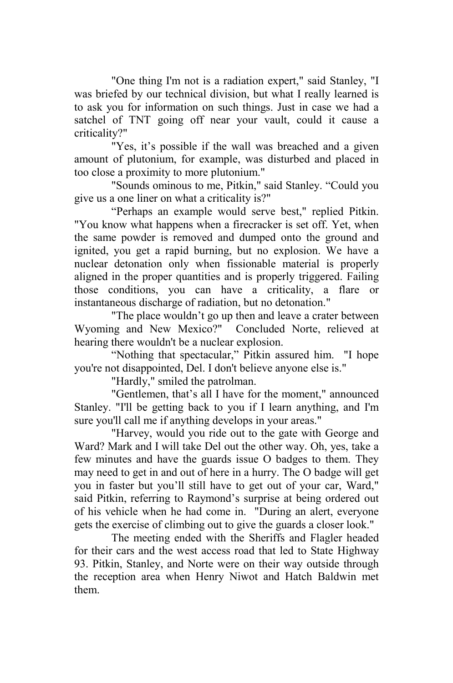"One thing I'm not is a radiation expert," said Stanley, "I was briefed by our technical division, but what I really learned is to ask you for information on such things. Just in case we had a satchel of TNT going off near your vault, could it cause a criticality?"

"Yes, it's possible if the wall was breached and a given amount of plutonium, for example, was disturbed and placed in too close a proximity to more plutonium."

"Sounds ominous to me, Pitkin," said Stanley. "Could you give us a one liner on what a criticality is?"

"Perhaps an example would serve best," replied Pitkin. "You know what happens when a firecracker is set off. Yet, when the same powder is removed and dumped onto the ground and ignited, you get a rapid burning, but no explosion. We have a nuclear detonation only when fissionable material is properly aligned in the proper quantities and is properly triggered. Failing those conditions, you can have a criticality, a flare or instantaneous discharge of radiation, but no detonation."

"The place wouldn't go up then and leave a crater between Wyoming and New Mexico?" Concluded Norte, relieved at hearing there wouldn't be a nuclear explosion.

"Nothing that spectacular," Pitkin assured him. "I hope you're not disappointed, Del. I don't believe anyone else is."

"Hardly," smiled the patrolman.

"Gentlemen, that's all I have for the moment," announced Stanley. "I'll be getting back to you if I learn anything, and I'm sure you'll call me if anything develops in your areas."

"Harvey, would you ride out to the gate with George and Ward? Mark and I will take Del out the other way. Oh, yes, take a few minutes and have the guards issue O badges to them. They may need to get in and out of here in a hurry. The O badge will get you in faster but you'll still have to get out of your car, Ward," said Pitkin, referring to Raymond's surprise at being ordered out of his vehicle when he had come in. "During an alert, everyone gets the exercise of climbing out to give the guards a closer look."

The meeting ended with the Sheriffs and Flagler headed for their cars and the west access road that led to State Highway 93. Pitkin, Stanley, and Norte were on their way outside through the reception area when Henry Niwot and Hatch Baldwin met them.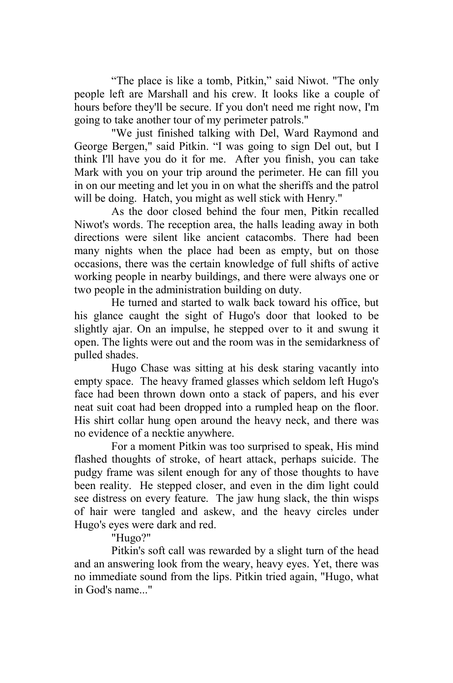"The place is like a tomb, Pitkin," said Niwot. "The only people left are Marshall and his crew. It looks like a couple of hours before they'll be secure. If you don't need me right now, I'm going to take another tour of my perimeter patrols."

"We just finished talking with Del, Ward Raymond and George Bergen," said Pitkin. "I was going to sign Del out, but I think I'll have you do it for me. After you finish, you can take Mark with you on your trip around the perimeter. He can fill you in on our meeting and let you in on what the sheriffs and the patrol will be doing. Hatch, you might as well stick with Henry."

As the door closed behind the four men, Pitkin recalled Niwot's words. The reception area, the halls leading away in both directions were silent like ancient catacombs. There had been many nights when the place had been as empty, but on those occasions, there was the certain knowledge of full shifts of active working people in nearby buildings, and there were always one or two people in the administration building on duty.

He turned and started to walk back toward his office, but his glance caught the sight of Hugo's door that looked to be slightly ajar. On an impulse, he stepped over to it and swung it open. The lights were out and the room was in the semidarkness of pulled shades.

Hugo Chase was sitting at his desk staring vacantly into empty space. The heavy framed glasses which seldom left Hugo's face had been thrown down onto a stack of papers, and his ever neat suit coat had been dropped into a rumpled heap on the floor. His shirt collar hung open around the heavy neck, and there was no evidence of a necktie anywhere.

For a moment Pitkin was too surprised to speak, His mind flashed thoughts of stroke, of heart attack, perhaps suicide. The pudgy frame was silent enough for any of those thoughts to have been reality. He stepped closer, and even in the dim light could see distress on every feature. The jaw hung slack, the thin wisps of hair were tangled and askew, and the heavy circles under Hugo's eyes were dark and red.

"Hugo?"

Pitkin's soft call was rewarded by a slight turn of the head and an answering look from the weary, heavy eyes. Yet, there was no immediate sound from the lips. Pitkin tried again, "Hugo, what in God's name..."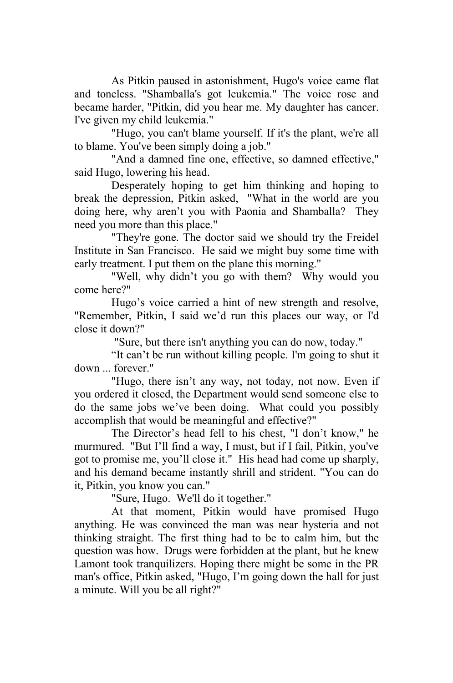As Pitkin paused in astonishment, Hugo's voice came flat and toneless. "Shamballa's got leukemia." The voice rose and became harder, "Pitkin, did you hear me. My daughter has cancer. I've given my child leukemia."

"Hugo, you can't blame yourself. If it's the plant, we're all to blame. You've been simply doing a job."

"And a damned fine one, effective, so damned effective," said Hugo, lowering his head.

Desperately hoping to get him thinking and hoping to break the depression, Pitkin asked, "What in the world are you doing here, why aren't you with Paonia and Shamballa? They need you more than this place."

"They're gone. The doctor said we should try the Freidel Institute in San Francisco. He said we might buy some time with early treatment. I put them on the plane this morning."

"Well, why didn't you go with them? Why would you come here?"

Hugo's voice carried a hint of new strength and resolve, "Remember, Pitkin, I said we'd run this places our way, or I'd close it down?"

"Sure, but there isn't anything you can do now, today."

"It can't be run without killing people. I'm going to shut it down ... forever."

"Hugo, there isn't any way, not today, not now. Even if you ordered it closed, the Department would send someone else to do the same jobs we've been doing. What could you possibly accomplish that would be meaningful and effective?"

The Director's head fell to his chest, "I don't know," he murmured. "But I'll find a way, I must, but if I fail, Pitkin, you've got to promise me, you'll close it." His head had come up sharply, and his demand became instantly shrill and strident. "You can do it, Pitkin, you know you can."

"Sure, Hugo. We'll do it together."

At that moment, Pitkin would have promised Hugo anything. He was convinced the man was near hysteria and not thinking straight. The first thing had to be to calm him, but the question was how. Drugs were forbidden at the plant, but he knew Lamont took tranquilizers. Hoping there might be some in the PR man's office, Pitkin asked, "Hugo, I'm going down the hall for just a minute. Will you be all right?"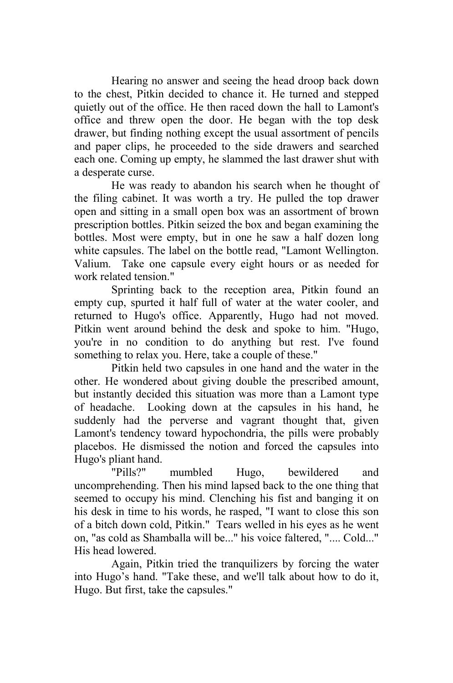Hearing no answer and seeing the head droop back down to the chest, Pitkin decided to chance it. He turned and stepped quietly out of the office. He then raced down the hall to Lamont's office and threw open the door. He began with the top desk drawer, but finding nothing except the usual assortment of pencils and paper clips, he proceeded to the side drawers and searched each one. Coming up empty, he slammed the last drawer shut with a desperate curse.

He was ready to abandon his search when he thought of the filing cabinet. It was worth a try. He pulled the top drawer open and sitting in a small open box was an assortment of brown prescription bottles. Pitkin seized the box and began examining the bottles. Most were empty, but in one he saw a half dozen long white capsules. The label on the bottle read, "Lamont Wellington. Valium. Take one capsule every eight hours or as needed for work related tension."

Sprinting back to the reception area, Pitkin found an empty cup, spurted it half full of water at the water cooler, and returned to Hugo's office. Apparently, Hugo had not moved. Pitkin went around behind the desk and spoke to him. "Hugo, you're in no condition to do anything but rest. I've found something to relax you. Here, take a couple of these."

Pitkin held two capsules in one hand and the water in the other. He wondered about giving double the prescribed amount, but instantly decided this situation was more than a Lamont type of headache. Looking down at the capsules in his hand, he suddenly had the perverse and vagrant thought that, given Lamont's tendency toward hypochondria, the pills were probably placebos. He dismissed the notion and forced the capsules into Hugo's pliant hand.

"Pills?" mumbled Hugo, bewildered and uncomprehending. Then his mind lapsed back to the one thing that seemed to occupy his mind. Clenching his fist and banging it on his desk in time to his words, he rasped, "I want to close this son of a bitch down cold, Pitkin." Tears welled in his eyes as he went on, "as cold as Shamballa will be..." his voice faltered, ".... Cold..." His head lowered.

Again, Pitkin tried the tranquilizers by forcing the water into Hugo's hand. "Take these, and we'll talk about how to do it, Hugo. But first, take the capsules."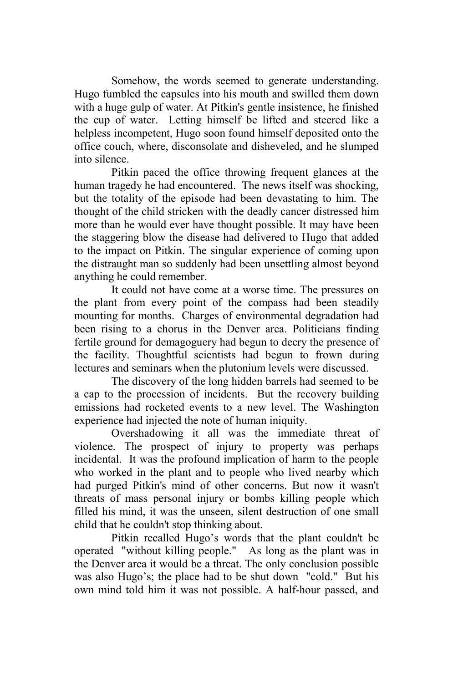Somehow, the words seemed to generate understanding. Hugo fumbled the capsules into his mouth and swilled them down with a huge gulp of water. At Pitkin's gentle insistence, he finished the cup of water. Letting himself be lifted and steered like a helpless incompetent, Hugo soon found himself deposited onto the office couch, where, disconsolate and disheveled, and he slumped into silence.

Pitkin paced the office throwing frequent glances at the human tragedy he had encountered. The news itself was shocking, but the totality of the episode had been devastating to him. The thought of the child stricken with the deadly cancer distressed him more than he would ever have thought possible. It may have been the staggering blow the disease had delivered to Hugo that added to the impact on Pitkin. The singular experience of coming upon the distraught man so suddenly had been unsettling almost beyond anything he could remember.

It could not have come at a worse time. The pressures on the plant from every point of the compass had been steadily mounting for months. Charges of environmental degradation had been rising to a chorus in the Denver area. Politicians finding fertile ground for demagoguery had begun to decry the presence of the facility. Thoughtful scientists had begun to frown during lectures and seminars when the plutonium levels were discussed.

The discovery of the long hidden barrels had seemed to be a cap to the procession of incidents. But the recovery building emissions had rocketed events to a new level. The Washington experience had injected the note of human iniquity.

Overshadowing it all was the immediate threat of violence. The prospect of injury to property was perhaps incidental. It was the profound implication of harm to the people who worked in the plant and to people who lived nearby which had purged Pitkin's mind of other concerns. But now it wasn't threats of mass personal injury or bombs killing people which filled his mind, it was the unseen, silent destruction of one small child that he couldn't stop thinking about.

Pitkin recalled Hugo's words that the plant couldn't be operated "without killing people." As long as the plant was in the Denver area it would be a threat. The only conclusion possible was also Hugo's; the place had to be shut down "cold." But his own mind told him it was not possible. A half-hour passed, and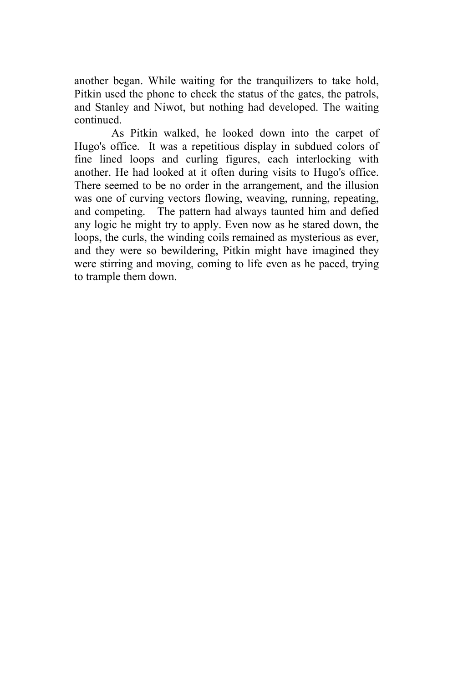another began. While waiting for the tranquilizers to take hold, Pitkin used the phone to check the status of the gates, the patrols, and Stanley and Niwot, but nothing had developed. The waiting continued.

As Pitkin walked, he looked down into the carpet of Hugo's office. It was a repetitious display in subdued colors of fine lined loops and curling figures, each interlocking with another. He had looked at it often during visits to Hugo's office. There seemed to be no order in the arrangement, and the illusion was one of curving vectors flowing, weaving, running, repeating, and competing. The pattern had always taunted him and defied any logic he might try to apply. Even now as he stared down, the loops, the curls, the winding coils remained as mysterious as ever, and they were so bewildering, Pitkin might have imagined they were stirring and moving, coming to life even as he paced, trying to trample them down.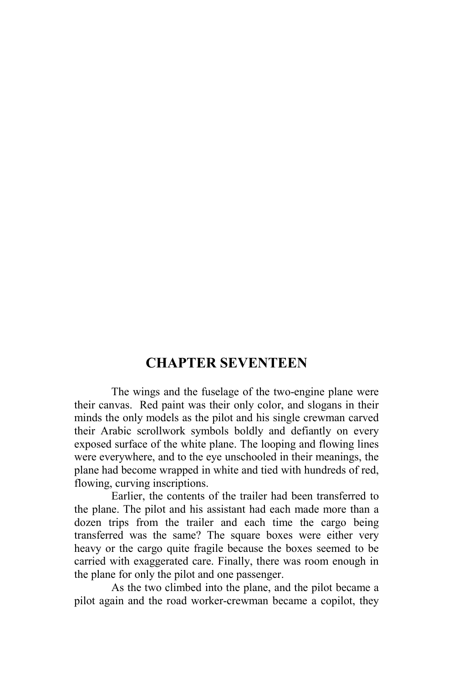## **CHAPTER SEVENTEEN**

The wings and the fuselage of the two-engine plane were their canvas. Red paint was their only color, and slogans in their minds the only models as the pilot and his single crewman carved their Arabic scrollwork symbols boldly and defiantly on every exposed surface of the white plane. The looping and flowing lines were everywhere, and to the eye unschooled in their meanings, the plane had become wrapped in white and tied with hundreds of red, flowing, curving inscriptions.

Earlier, the contents of the trailer had been transferred to the plane. The pilot and his assistant had each made more than a dozen trips from the trailer and each time the cargo being transferred was the same? The square boxes were either very heavy or the cargo quite fragile because the boxes seemed to be carried with exaggerated care. Finally, there was room enough in the plane for only the pilot and one passenger.

As the two climbed into the plane, and the pilot became a pilot again and the road worker-crewman became a copilot, they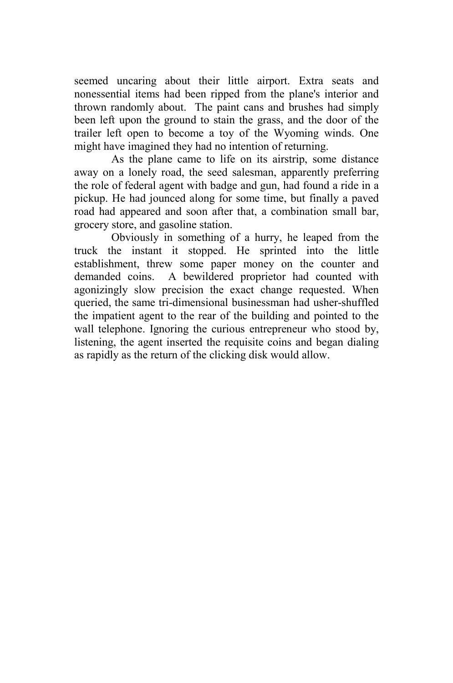seemed uncaring about their little airport. Extra seats and nonessential items had been ripped from the plane's interior and thrown randomly about. The paint cans and brushes had simply been left upon the ground to stain the grass, and the door of the trailer left open to become a toy of the Wyoming winds. One might have imagined they had no intention of returning.

As the plane came to life on its airstrip, some distance away on a lonely road, the seed salesman, apparently preferring the role of federal agent with badge and gun, had found a ride in a pickup. He had jounced along for some time, but finally a paved road had appeared and soon after that, a combination small bar, grocery store, and gasoline station.

Obviously in something of a hurry, he leaped from the truck the instant it stopped. He sprinted into the little establishment, threw some paper money on the counter and demanded coins. A bewildered proprietor had counted with agonizingly slow precision the exact change requested. When queried, the same tri-dimensional businessman had usher-shuffled the impatient agent to the rear of the building and pointed to the wall telephone. Ignoring the curious entrepreneur who stood by, listening, the agent inserted the requisite coins and began dialing as rapidly as the return of the clicking disk would allow.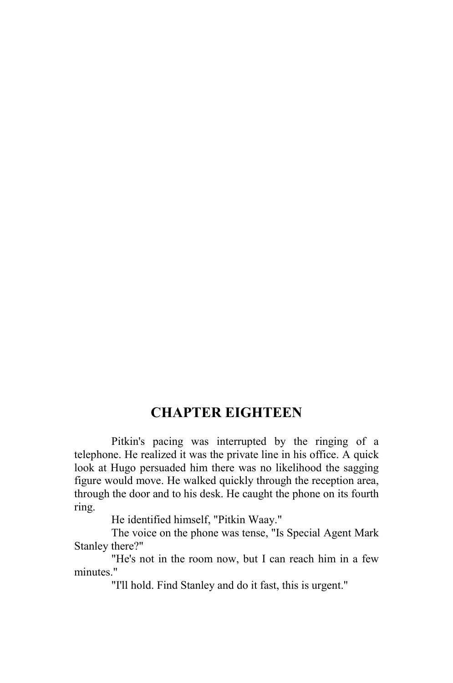## **CHAPTER EIGHTEEN**

Pitkin's pacing was interrupted by the ringing of a telephone. He realized it was the private line in his office. A quick look at Hugo persuaded him there was no likelihood the sagging figure would move. He walked quickly through the reception area, through the door and to his desk. He caught the phone on its fourth ring.

He identified himself, "Pitkin Waay."

The voice on the phone was tense, "Is Special Agent Mark Stanley there?"

"He's not in the room now, but I can reach him in a few minutes."

"I'll hold. Find Stanley and do it fast, this is urgent."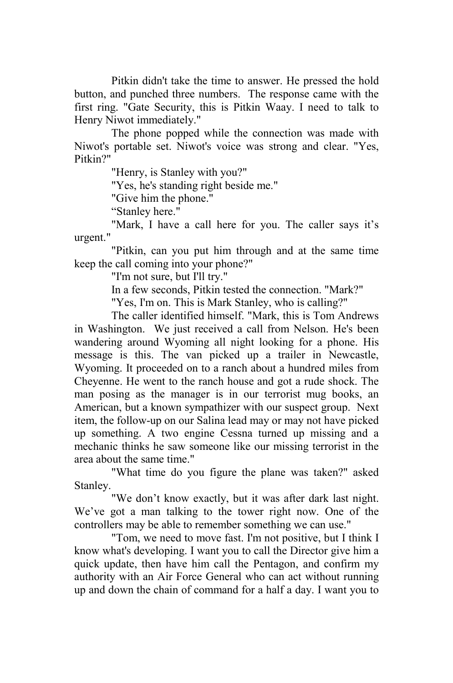Pitkin didn't take the time to answer. He pressed the hold button, and punched three numbers. The response came with the first ring. "Gate Security, this is Pitkin Waay. I need to talk to Henry Niwot immediately."

The phone popped while the connection was made with Niwot's portable set. Niwot's voice was strong and clear. "Yes, Pitkin?"

"Henry, is Stanley with you?"

"Yes, he's standing right beside me."

"Give him the phone."

"Stanley here."

"Mark, I have a call here for you. The caller says it's urgent."

"Pitkin, can you put him through and at the same time keep the call coming into your phone?"

"I'm not sure, but I'll try."

In a few seconds, Pitkin tested the connection. "Mark?"

"Yes, I'm on. This is Mark Stanley, who is calling?"

The caller identified himself. "Mark, this is Tom Andrews in Washington. We just received a call from Nelson. He's been wandering around Wyoming all night looking for a phone. His message is this. The van picked up a trailer in Newcastle, Wyoming. It proceeded on to a ranch about a hundred miles from Cheyenne. He went to the ranch house and got a rude shock. The man posing as the manager is in our terrorist mug books, an American, but a known sympathizer with our suspect group. Next item, the follow-up on our Salina lead may or may not have picked up something. A two engine Cessna turned up missing and a mechanic thinks he saw someone like our missing terrorist in the area about the same time."

"What time do you figure the plane was taken?" asked Stanley.

"We don't know exactly, but it was after dark last night. We've got a man talking to the tower right now. One of the controllers may be able to remember something we can use."

"Tom, we need to move fast. I'm not positive, but I think I know what's developing. I want you to call the Director give him a quick update, then have him call the Pentagon, and confirm my authority with an Air Force General who can act without running up and down the chain of command for a half a day. I want you to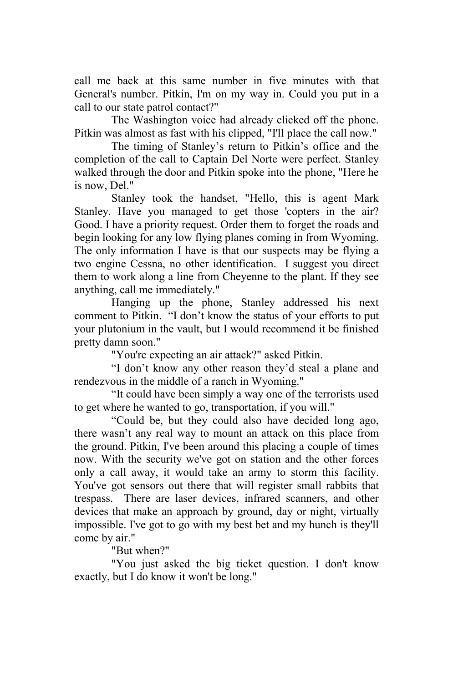call me back at this same number in five minutes with that General's number. Pitkin, I'm on my way in. Could you put in a call to our state patrol contact?"

The Washington voice had already clicked off the phone. Pitkin was almost as fast with his clipped, "I'll place the call now."

The timing of Stanley's return to Pitkin's office and the completion of the call to Captain Del Norte were perfect. Stanley walked through the door and Pitkin spoke into the phone, "Here he is now, Del."

Stanley took the handset, "Hello, this is agent Mark Stanley. Have you managed to get those 'copters in the air? Good. I have a priority request. Order them to forget the roads and begin looking for any low flying planes coming in from Wyoming. The only information I have is that our suspects may be flying a two engine Cessna, no other identification. I suggest you direct them to work along a line from Cheyenne to the plant. If they see anything, call me immediately."

Hanging up the phone, Stanley addressed his next comment to Pitkin. "I don't know the status of your efforts to put your plutonium in the vault, but I would recommend it be finished pretty damn soon."

"You're expecting an air attack?" asked Pitkin.

"I don't know any other reason they'd steal a plane and rendezvous in the middle of a ranch in Wyoming."

"It could have been simply a way one of the terrorists used to get where he wanted to go, transportation, if you will."

"Could be, but they could also have decided long ago, there wasn't any real way to mount an attack on this place from the ground. Pitkin, I've been around this placing a couple of times now. With the security we've got on station and the other forces only a call away, it would take an army to storm this facility. You've got sensors out there that will register small rabbits that trespass. There are laser devices, infrared scanners, and other devices that make an approach by ground, day or night, virtually impossible. I've got to go with my best bet and my hunch is they'll come by air."

"But when?"

"You just asked the big ticket question. I don't know exactly, but I do know it won't be long."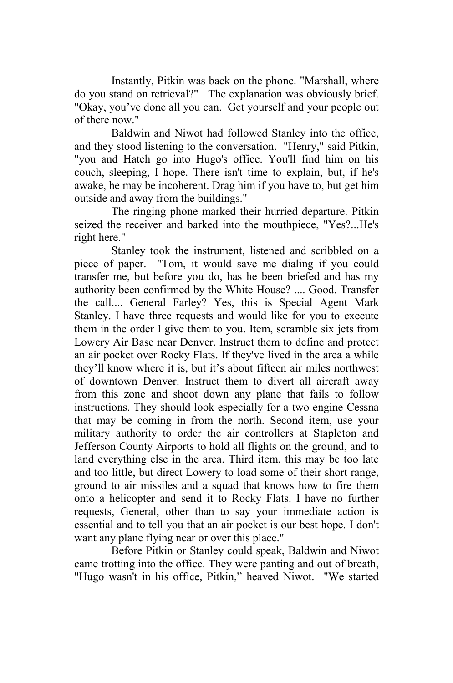Instantly, Pitkin was back on the phone. "Marshall, where do you stand on retrieval?" The explanation was obviously brief. "Okay, you've done all you can. Get yourself and your people out of there now."

Baldwin and Niwot had followed Stanley into the office, and they stood listening to the conversation. "Henry," said Pitkin, "you and Hatch go into Hugo's office. You'll find him on his couch, sleeping, I hope. There isn't time to explain, but, if he's awake, he may be incoherent. Drag him if you have to, but get him outside and away from the buildings."

The ringing phone marked their hurried departure. Pitkin seized the receiver and barked into the mouthpiece, "Yes?...He's right here."

Stanley took the instrument, listened and scribbled on a piece of paper. "Tom, it would save me dialing if you could transfer me, but before you do, has he been briefed and has my authority been confirmed by the White House? .... Good. Transfer the call.... General Farley? Yes, this is Special Agent Mark Stanley. I have three requests and would like for you to execute them in the order I give them to you. Item, scramble six jets from Lowery Air Base near Denver. Instruct them to define and protect an air pocket over Rocky Flats. If they've lived in the area a while they'll know where it is, but it's about fifteen air miles northwest of downtown Denver. Instruct them to divert all aircraft away from this zone and shoot down any plane that fails to follow instructions. They should look especially for a two engine Cessna that may be coming in from the north. Second item, use your military authority to order the air controllers at Stapleton and Jefferson County Airports to hold all flights on the ground, and to land everything else in the area. Third item, this may be too late and too little, but direct Lowery to load some of their short range, ground to air missiles and a squad that knows how to fire them onto a helicopter and send it to Rocky Flats. I have no further requests, General, other than to say your immediate action is essential and to tell you that an air pocket is our best hope. I don't want any plane flying near or over this place."

Before Pitkin or Stanley could speak, Baldwin and Niwot came trotting into the office. They were panting and out of breath, "Hugo wasn't in his office, Pitkin," heaved Niwot. "We started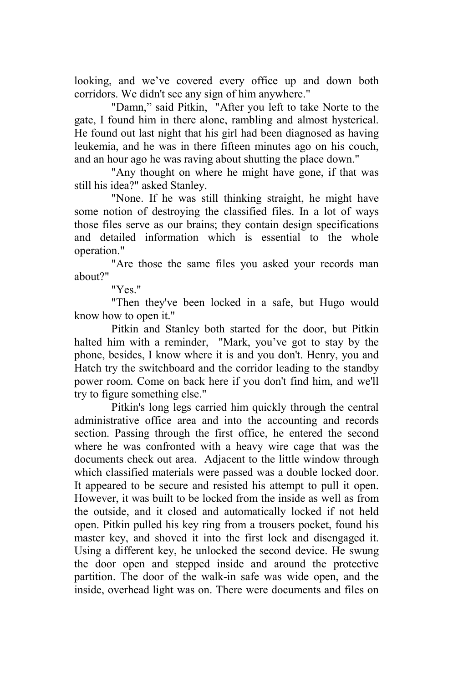looking, and we've covered every office up and down both corridors. We didn't see any sign of him anywhere."

"Damn," said Pitkin, "After you left to take Norte to the gate, I found him in there alone, rambling and almost hysterical. He found out last night that his girl had been diagnosed as having leukemia, and he was in there fifteen minutes ago on his couch, and an hour ago he was raving about shutting the place down."

"Any thought on where he might have gone, if that was still his idea?" asked Stanley.

"None. If he was still thinking straight, he might have some notion of destroying the classified files. In a lot of ways those files serve as our brains; they contain design specifications and detailed information which is essential to the whole operation."

"Are those the same files you asked your records man about?"

"Yes."

"Then they've been locked in a safe, but Hugo would know how to open it."

Pitkin and Stanley both started for the door, but Pitkin halted him with a reminder, "Mark, you've got to stay by the phone, besides, I know where it is and you don't. Henry, you and Hatch try the switchboard and the corridor leading to the standby power room. Come on back here if you don't find him, and we'll try to figure something else."

Pitkin's long legs carried him quickly through the central administrative office area and into the accounting and records section. Passing through the first office, he entered the second where he was confronted with a heavy wire cage that was the documents check out area. Adjacent to the little window through which classified materials were passed was a double locked door. It appeared to be secure and resisted his attempt to pull it open. However, it was built to be locked from the inside as well as from the outside, and it closed and automatically locked if not held open. Pitkin pulled his key ring from a trousers pocket, found his master key, and shoved it into the first lock and disengaged it. Using a different key, he unlocked the second device. He swung the door open and stepped inside and around the protective partition. The door of the walk-in safe was wide open, and the inside, overhead light was on. There were documents and files on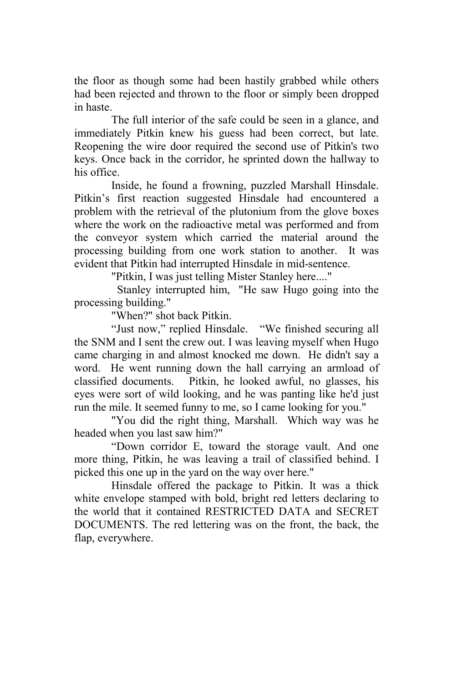the floor as though some had been hastily grabbed while others had been rejected and thrown to the floor or simply been dropped in haste.

The full interior of the safe could be seen in a glance, and immediately Pitkin knew his guess had been correct, but late. Reopening the wire door required the second use of Pitkin's two keys. Once back in the corridor, he sprinted down the hallway to his office.

Inside, he found a frowning, puzzled Marshall Hinsdale. Pitkin's first reaction suggested Hinsdale had encountered a problem with the retrieval of the plutonium from the glove boxes where the work on the radioactive metal was performed and from the conveyor system which carried the material around the processing building from one work station to another. It was evident that Pitkin had interrupted Hinsdale in mid-sentence.

"Pitkin, I was just telling Mister Stanley here...."

 Stanley interrupted him, "He saw Hugo going into the processing building."

"When?" shot back Pitkin.

"Just now," replied Hinsdale. "We finished securing all the SNM and I sent the crew out. I was leaving myself when Hugo came charging in and almost knocked me down. He didn't say a word. He went running down the hall carrying an armload of classified documents. Pitkin, he looked awful, no glasses, his eyes were sort of wild looking, and he was panting like he'd just run the mile. It seemed funny to me, so I came looking for you."

"You did the right thing, Marshall. Which way was he headed when you last saw him?"

"Down corridor E, toward the storage vault. And one more thing, Pitkin, he was leaving a trail of classified behind. I picked this one up in the yard on the way over here."

Hinsdale offered the package to Pitkin. It was a thick white envelope stamped with bold, bright red letters declaring to the world that it contained RESTRICTED DATA and SECRET DOCUMENTS. The red lettering was on the front, the back, the flap, everywhere.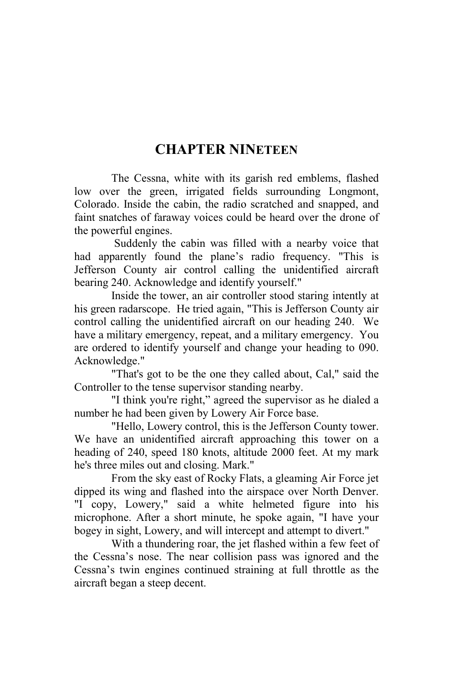## **CHAPTER NINETEEN**

The Cessna, white with its garish red emblems, flashed low over the green, irrigated fields surrounding Longmont, Colorado. Inside the cabin, the radio scratched and snapped, and faint snatches of faraway voices could be heard over the drone of the powerful engines.

 Suddenly the cabin was filled with a nearby voice that had apparently found the plane's radio frequency. "This is Jefferson County air control calling the unidentified aircraft bearing 240. Acknowledge and identify yourself."

Inside the tower, an air controller stood staring intently at his green radarscope. He tried again, "This is Jefferson County air control calling the unidentified aircraft on our heading 240. We have a military emergency, repeat, and a military emergency. You are ordered to identify yourself and change your heading to 090. Acknowledge."

"That's got to be the one they called about, Cal," said the Controller to the tense supervisor standing nearby.

"I think you're right," agreed the supervisor as he dialed a number he had been given by Lowery Air Force base.

"Hello, Lowery control, this is the Jefferson County tower. We have an unidentified aircraft approaching this tower on a heading of 240, speed 180 knots, altitude 2000 feet. At my mark he's three miles out and closing. Mark."

From the sky east of Rocky Flats, a gleaming Air Force jet dipped its wing and flashed into the airspace over North Denver. "I copy, Lowery," said a white helmeted figure into his microphone. After a short minute, he spoke again, "I have your bogey in sight, Lowery, and will intercept and attempt to divert."

With a thundering roar, the jet flashed within a few feet of the Cessna's nose. The near collision pass was ignored and the Cessna's twin engines continued straining at full throttle as the aircraft began a steep decent.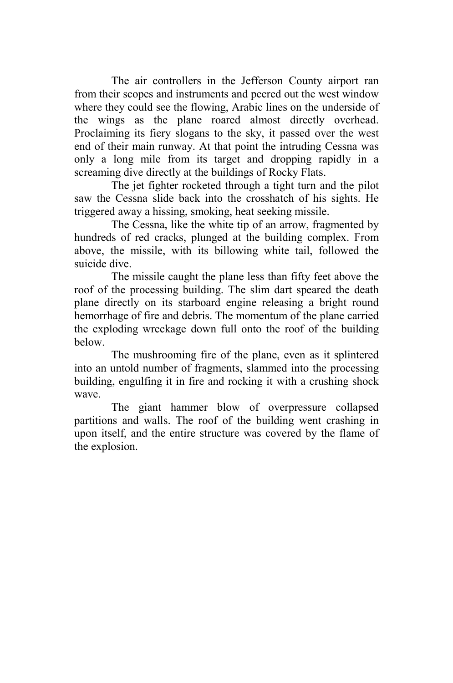The air controllers in the Jefferson County airport ran from their scopes and instruments and peered out the west window where they could see the flowing, Arabic lines on the underside of the wings as the plane roared almost directly overhead. Proclaiming its fiery slogans to the sky, it passed over the west end of their main runway. At that point the intruding Cessna was only a long mile from its target and dropping rapidly in a screaming dive directly at the buildings of Rocky Flats.

The jet fighter rocketed through a tight turn and the pilot saw the Cessna slide back into the crosshatch of his sights. He triggered away a hissing, smoking, heat seeking missile.

The Cessna, like the white tip of an arrow, fragmented by hundreds of red cracks, plunged at the building complex. From above, the missile, with its billowing white tail, followed the suicide dive.

The missile caught the plane less than fifty feet above the roof of the processing building. The slim dart speared the death plane directly on its starboard engine releasing a bright round hemorrhage of fire and debris. The momentum of the plane carried the exploding wreckage down full onto the roof of the building below.

The mushrooming fire of the plane, even as it splintered into an untold number of fragments, slammed into the processing building, engulfing it in fire and rocking it with a crushing shock wave.

The giant hammer blow of overpressure collapsed partitions and walls. The roof of the building went crashing in upon itself, and the entire structure was covered by the flame of the explosion.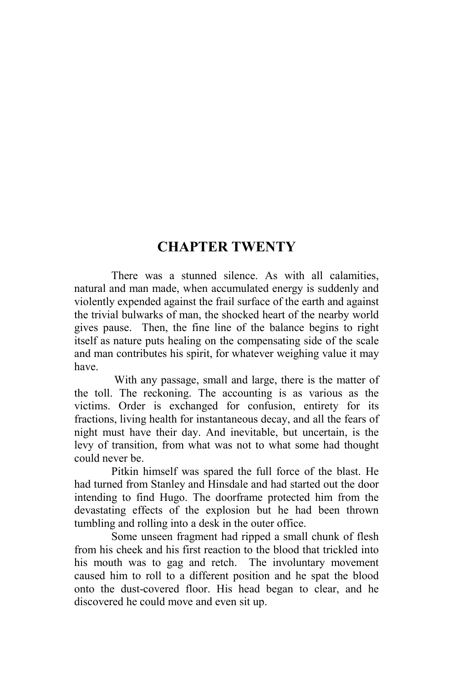## **CHAPTER TWENTY**

There was a stunned silence. As with all calamities, natural and man made, when accumulated energy is suddenly and violently expended against the frail surface of the earth and against the trivial bulwarks of man, the shocked heart of the nearby world gives pause. Then, the fine line of the balance begins to right itself as nature puts healing on the compensating side of the scale and man contributes his spirit, for whatever weighing value it may have.

 With any passage, small and large, there is the matter of the toll. The reckoning. The accounting is as various as the victims. Order is exchanged for confusion, entirety for its fractions, living health for instantaneous decay, and all the fears of night must have their day. And inevitable, but uncertain, is the levy of transition, from what was not to what some had thought could never be.

Pitkin himself was spared the full force of the blast. He had turned from Stanley and Hinsdale and had started out the door intending to find Hugo. The doorframe protected him from the devastating effects of the explosion but he had been thrown tumbling and rolling into a desk in the outer office.

Some unseen fragment had ripped a small chunk of flesh from his cheek and his first reaction to the blood that trickled into his mouth was to gag and retch. The involuntary movement caused him to roll to a different position and he spat the blood onto the dust-covered floor. His head began to clear, and he discovered he could move and even sit up.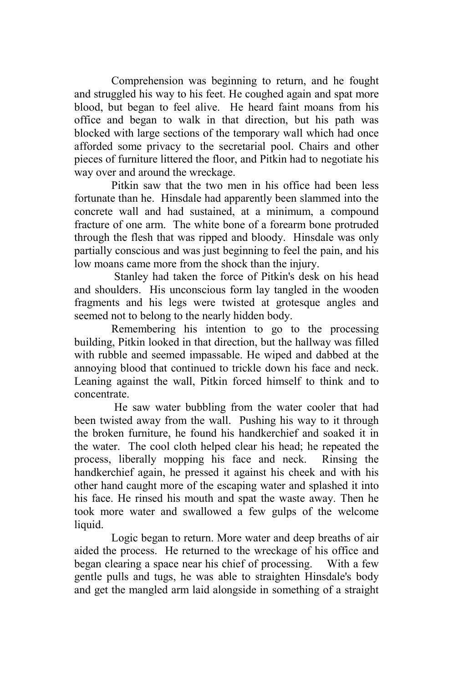Comprehension was beginning to return, and he fought and struggled his way to his feet. He coughed again and spat more blood, but began to feel alive. He heard faint moans from his office and began to walk in that direction, but his path was blocked with large sections of the temporary wall which had once afforded some privacy to the secretarial pool. Chairs and other pieces of furniture littered the floor, and Pitkin had to negotiate his way over and around the wreckage.

Pitkin saw that the two men in his office had been less fortunate than he. Hinsdale had apparently been slammed into the concrete wall and had sustained, at a minimum, a compound fracture of one arm. The white bone of a forearm bone protruded through the flesh that was ripped and bloody. Hinsdale was only partially conscious and was just beginning to feel the pain, and his low moans came more from the shock than the injury.

 Stanley had taken the force of Pitkin's desk on his head and shoulders. His unconscious form lay tangled in the wooden fragments and his legs were twisted at grotesque angles and seemed not to belong to the nearly hidden body.

Remembering his intention to go to the processing building, Pitkin looked in that direction, but the hallway was filled with rubble and seemed impassable. He wiped and dabbed at the annoying blood that continued to trickle down his face and neck. Leaning against the wall, Pitkin forced himself to think and to concentrate.

 He saw water bubbling from the water cooler that had been twisted away from the wall. Pushing his way to it through the broken furniture, he found his handkerchief and soaked it in the water. The cool cloth helped clear his head; he repeated the process, liberally mopping his face and neck. Rinsing the handkerchief again, he pressed it against his cheek and with his other hand caught more of the escaping water and splashed it into his face. He rinsed his mouth and spat the waste away. Then he took more water and swallowed a few gulps of the welcome liquid.

Logic began to return. More water and deep breaths of air aided the process. He returned to the wreckage of his office and began clearing a space near his chief of processing. With a few gentle pulls and tugs, he was able to straighten Hinsdale's body and get the mangled arm laid alongside in something of a straight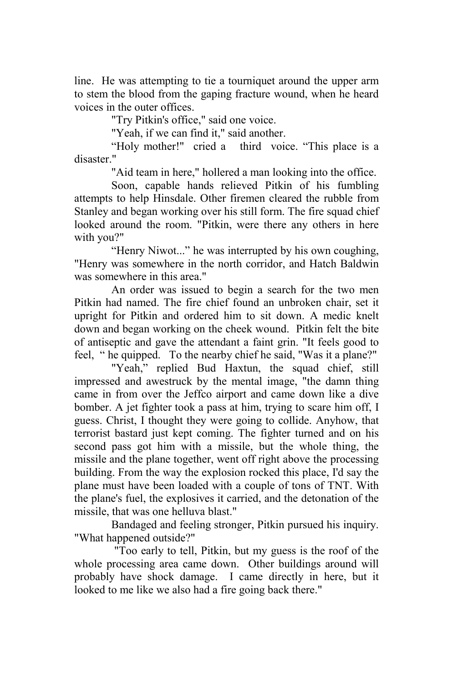line. He was attempting to tie a tourniquet around the upper arm to stem the blood from the gaping fracture wound, when he heard voices in the outer offices.

"Try Pitkin's office," said one voice.

"Yeah, if we can find it," said another.

"Holy mother!" cried a third voice. "This place is a disaster."

"Aid team in here," hollered a man looking into the office.

Soon, capable hands relieved Pitkin of his fumbling attempts to help Hinsdale. Other firemen cleared the rubble from Stanley and began working over his still form. The fire squad chief looked around the room. "Pitkin, were there any others in here with you?"

"Henry Niwot..." he was interrupted by his own coughing, "Henry was somewhere in the north corridor, and Hatch Baldwin was somewhere in this area."

An order was issued to begin a search for the two men Pitkin had named. The fire chief found an unbroken chair, set it upright for Pitkin and ordered him to sit down. A medic knelt down and began working on the cheek wound. Pitkin felt the bite of antiseptic and gave the attendant a faint grin. "It feels good to feel, " he quipped. To the nearby chief he said, "Was it a plane?"

"Yeah," replied Bud Haxtun, the squad chief, still impressed and awestruck by the mental image, "the damn thing came in from over the Jeffco airport and came down like a dive bomber. A jet fighter took a pass at him, trying to scare him off, I guess. Christ, I thought they were going to collide. Anyhow, that terrorist bastard just kept coming. The fighter turned and on his second pass got him with a missile, but the whole thing, the missile and the plane together, went off right above the processing building. From the way the explosion rocked this place, I'd say the plane must have been loaded with a couple of tons of TNT. With the plane's fuel, the explosives it carried, and the detonation of the missile, that was one helluva blast."

Bandaged and feeling stronger, Pitkin pursued his inquiry. "What happened outside?"

 "Too early to tell, Pitkin, but my guess is the roof of the whole processing area came down. Other buildings around will probably have shock damage. I came directly in here, but it looked to me like we also had a fire going back there."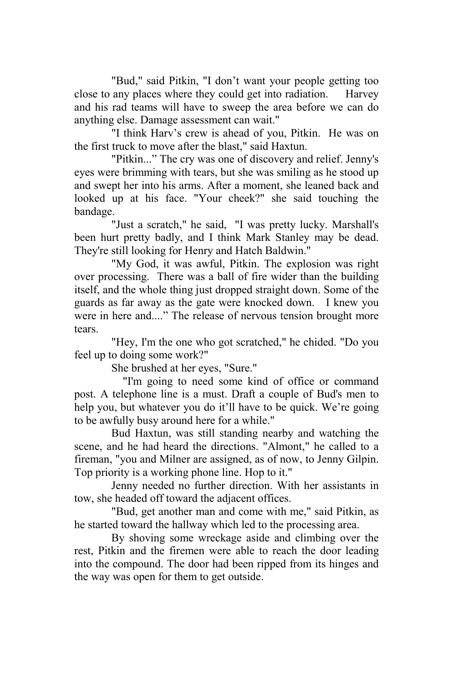"Bud," said Pitkin, "I don't want your people getting too close to any places where they could get into radiation. Harvey and his rad teams will have to sweep the area before we can do anything else. Damage assessment can wait."

"I think Harv's crew is ahead of you, Pitkin. He was on the first truck to move after the blast," said Haxtun.

"Pitkin..." The cry was one of discovery and relief. Jenny's eyes were brimming with tears, but she was smiling as he stood up and swept her into his arms. After a moment, she leaned back and looked up at his face. "Your cheek?" she said touching the bandage.

"Just a scratch," he said, "I was pretty lucky. Marshall's been hurt pretty badly, and I think Mark Stanley may be dead. They're still looking for Henry and Hatch Baldwin."

"My God, it was awful, Pitkin. The explosion was right over processing. There was a ball of fire wider than the building itself, and the whole thing just dropped straight down. Some of the guards as far away as the gate were knocked down. I knew you were in here and...." The release of nervous tension brought more tears.

"Hey, I'm the one who got scratched," he chided. "Do you feel up to doing some work?"

She brushed at her eyes, "Sure."

 "I'm going to need some kind of office or command post. A telephone line is a must. Draft a couple of Bud's men to help you, but whatever you do it'll have to be quick. We're going to be awfully busy around here for a while."

Bud Haxtun, was still standing nearby and watching the scene, and he had heard the directions. "Almont," he called to a fireman, "you and Milner are assigned, as of now, to Jenny Gilpin. Top priority is a working phone line. Hop to it."

Jenny needed no further direction. With her assistants in tow, she headed off toward the adjacent offices.

"Bud, get another man and come with me," said Pitkin, as he started toward the hallway which led to the processing area.

By shoving some wreckage aside and climbing over the rest, Pitkin and the firemen were able to reach the door leading into the compound. The door had been ripped from its hinges and the way was open for them to get outside.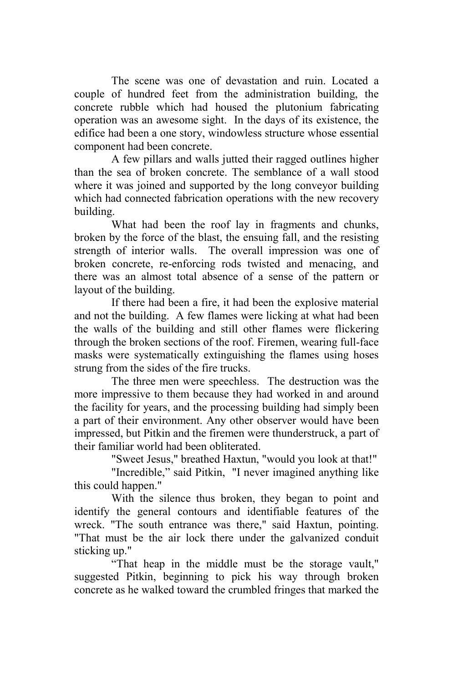The scene was one of devastation and ruin. Located a couple of hundred feet from the administration building, the concrete rubble which had housed the plutonium fabricating operation was an awesome sight. In the days of its existence, the edifice had been a one story, windowless structure whose essential component had been concrete.

A few pillars and walls jutted their ragged outlines higher than the sea of broken concrete. The semblance of a wall stood where it was joined and supported by the long conveyor building which had connected fabrication operations with the new recovery building.

What had been the roof lay in fragments and chunks, broken by the force of the blast, the ensuing fall, and the resisting strength of interior walls. The overall impression was one of broken concrete, re-enforcing rods twisted and menacing, and there was an almost total absence of a sense of the pattern or layout of the building.

If there had been a fire, it had been the explosive material and not the building. A few flames were licking at what had been the walls of the building and still other flames were flickering through the broken sections of the roof. Firemen, wearing full-face masks were systematically extinguishing the flames using hoses strung from the sides of the fire trucks.

The three men were speechless. The destruction was the more impressive to them because they had worked in and around the facility for years, and the processing building had simply been a part of their environment. Any other observer would have been impressed, but Pitkin and the firemen were thunderstruck, a part of their familiar world had been obliterated.

"Sweet Jesus," breathed Haxtun, "would you look at that!"

"Incredible," said Pitkin, "I never imagined anything like this could happen."

With the silence thus broken, they began to point and identify the general contours and identifiable features of the wreck. "The south entrance was there," said Haxtun, pointing. "That must be the air lock there under the galvanized conduit sticking up."

"That heap in the middle must be the storage vault," suggested Pitkin, beginning to pick his way through broken concrete as he walked toward the crumbled fringes that marked the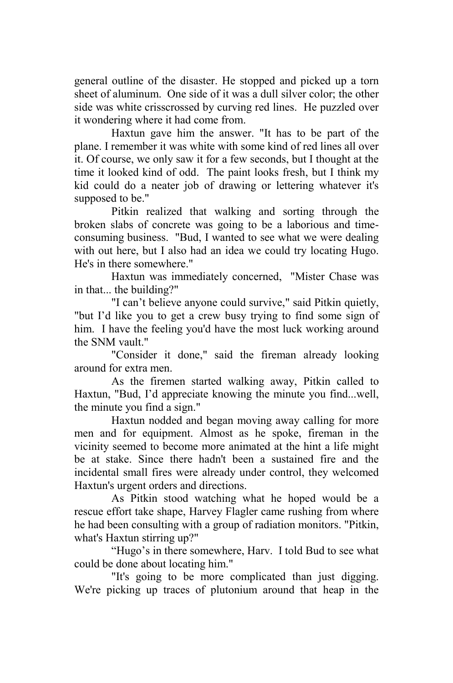general outline of the disaster. He stopped and picked up a torn sheet of aluminum. One side of it was a dull silver color; the other side was white crisscrossed by curving red lines. He puzzled over it wondering where it had come from.

Haxtun gave him the answer. "It has to be part of the plane. I remember it was white with some kind of red lines all over it. Of course, we only saw it for a few seconds, but I thought at the time it looked kind of odd. The paint looks fresh, but I think my kid could do a neater job of drawing or lettering whatever it's supposed to be."

Pitkin realized that walking and sorting through the broken slabs of concrete was going to be a laborious and timeconsuming business. "Bud, I wanted to see what we were dealing with out here, but I also had an idea we could try locating Hugo. He's in there somewhere."

Haxtun was immediately concerned, "Mister Chase was in that... the building?"

"I can't believe anyone could survive," said Pitkin quietly, "but I'd like you to get a crew busy trying to find some sign of him. I have the feeling you'd have the most luck working around the SNM vault."

"Consider it done," said the fireman already looking around for extra men.

As the firemen started walking away, Pitkin called to Haxtun, "Bud, I'd appreciate knowing the minute you find...well, the minute you find a sign."

Haxtun nodded and began moving away calling for more men and for equipment. Almost as he spoke, fireman in the vicinity seemed to become more animated at the hint a life might be at stake. Since there hadn't been a sustained fire and the incidental small fires were already under control, they welcomed Haxtun's urgent orders and directions.

As Pitkin stood watching what he hoped would be a rescue effort take shape, Harvey Flagler came rushing from where he had been consulting with a group of radiation monitors. "Pitkin, what's Haxtun stirring up?"

"Hugo's in there somewhere, Harv. I told Bud to see what could be done about locating him."

"It's going to be more complicated than just digging. We're picking up traces of plutonium around that heap in the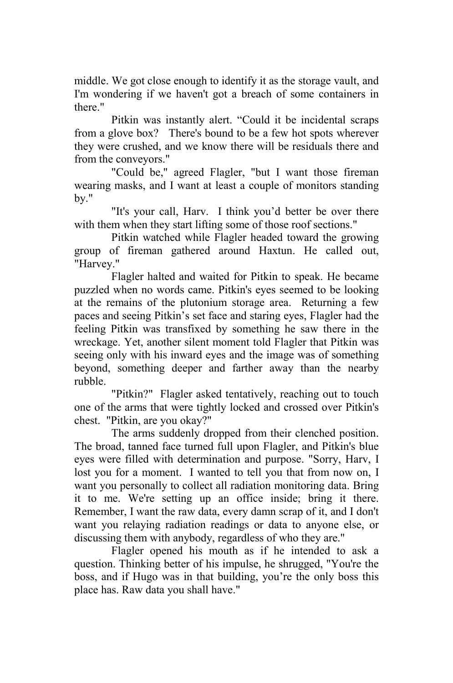middle. We got close enough to identify it as the storage vault, and I'm wondering if we haven't got a breach of some containers in there."

Pitkin was instantly alert. "Could it be incidental scraps from a glove box? There's bound to be a few hot spots wherever they were crushed, and we know there will be residuals there and from the conveyors."

"Could be," agreed Flagler, "but I want those fireman wearing masks, and I want at least a couple of monitors standing by."

"It's your call, Harv. I think you'd better be over there with them when they start lifting some of those roof sections."

Pitkin watched while Flagler headed toward the growing group of fireman gathered around Haxtun. He called out, "Harvey."

Flagler halted and waited for Pitkin to speak. He became puzzled when no words came. Pitkin's eyes seemed to be looking at the remains of the plutonium storage area. Returning a few paces and seeing Pitkin's set face and staring eyes, Flagler had the feeling Pitkin was transfixed by something he saw there in the wreckage. Yet, another silent moment told Flagler that Pitkin was seeing only with his inward eyes and the image was of something beyond, something deeper and farther away than the nearby rubble.

"Pitkin?" Flagler asked tentatively, reaching out to touch one of the arms that were tightly locked and crossed over Pitkin's chest. "Pitkin, are you okay?"

The arms suddenly dropped from their clenched position. The broad, tanned face turned full upon Flagler, and Pitkin's blue eyes were filled with determination and purpose. "Sorry, Harv, I lost you for a moment. I wanted to tell you that from now on, I want you personally to collect all radiation monitoring data. Bring it to me. We're setting up an office inside; bring it there. Remember, I want the raw data, every damn scrap of it, and I don't want you relaying radiation readings or data to anyone else, or discussing them with anybody, regardless of who they are."

Flagler opened his mouth as if he intended to ask a question. Thinking better of his impulse, he shrugged, "You're the boss, and if Hugo was in that building, you're the only boss this place has. Raw data you shall have."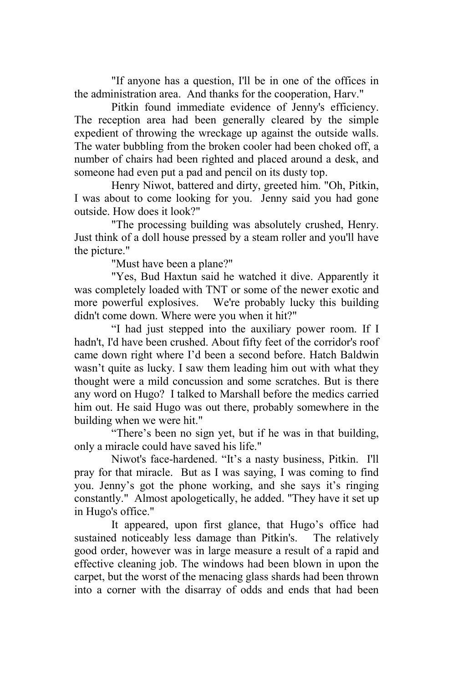"If anyone has a question, I'll be in one of the offices in the administration area. And thanks for the cooperation, Harv."

Pitkin found immediate evidence of Jenny's efficiency. The reception area had been generally cleared by the simple expedient of throwing the wreckage up against the outside walls. The water bubbling from the broken cooler had been choked off, a number of chairs had been righted and placed around a desk, and someone had even put a pad and pencil on its dusty top.

Henry Niwot, battered and dirty, greeted him. "Oh, Pitkin, I was about to come looking for you. Jenny said you had gone outside. How does it look?"

"The processing building was absolutely crushed, Henry. Just think of a doll house pressed by a steam roller and you'll have the picture."

"Must have been a plane?"

"Yes, Bud Haxtun said he watched it dive. Apparently it was completely loaded with TNT or some of the newer exotic and more powerful explosives. We're probably lucky this building didn't come down. Where were you when it hit?"

"I had just stepped into the auxiliary power room. If I hadn't, I'd have been crushed. About fifty feet of the corridor's roof came down right where I'd been a second before. Hatch Baldwin wasn't quite as lucky. I saw them leading him out with what they thought were a mild concussion and some scratches. But is there any word on Hugo? I talked to Marshall before the medics carried him out. He said Hugo was out there, probably somewhere in the building when we were hit."

"There's been no sign yet, but if he was in that building, only a miracle could have saved his life."

Niwot's face-hardened. "It's a nasty business, Pitkin. I'll pray for that miracle. But as I was saying, I was coming to find you. Jenny's got the phone working, and she says it's ringing constantly." Almost apologetically, he added. "They have it set up in Hugo's office."

It appeared, upon first glance, that Hugo's office had sustained noticeably less damage than Pitkin's. The relatively good order, however was in large measure a result of a rapid and effective cleaning job. The windows had been blown in upon the carpet, but the worst of the menacing glass shards had been thrown into a corner with the disarray of odds and ends that had been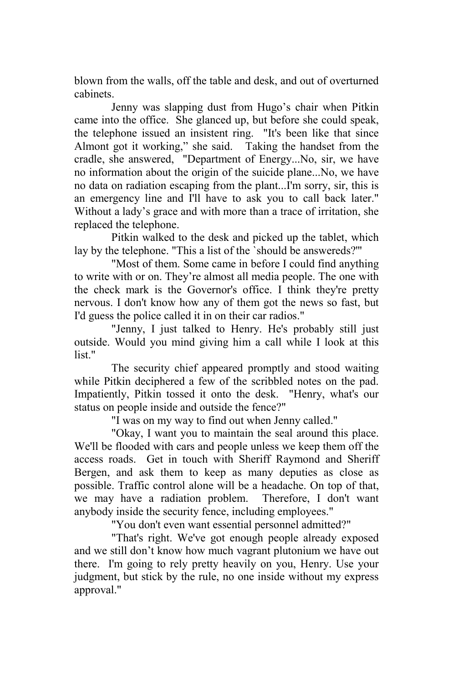blown from the walls, off the table and desk, and out of overturned cabinets.

Jenny was slapping dust from Hugo's chair when Pitkin came into the office. She glanced up, but before she could speak, the telephone issued an insistent ring. "It's been like that since Almont got it working," she said. Taking the handset from the cradle, she answered, "Department of Energy...No, sir, we have no information about the origin of the suicide plane...No, we have no data on radiation escaping from the plant...I'm sorry, sir, this is an emergency line and I'll have to ask you to call back later." Without a lady's grace and with more than a trace of irritation, she replaced the telephone.

Pitkin walked to the desk and picked up the tablet, which lay by the telephone. "This a list of the `should be answereds?'"

"Most of them. Some came in before I could find anything to write with or on. They're almost all media people. The one with the check mark is the Governor's office. I think they're pretty nervous. I don't know how any of them got the news so fast, but I'd guess the police called it in on their car radios."

"Jenny, I just talked to Henry. He's probably still just outside. Would you mind giving him a call while I look at this list."

The security chief appeared promptly and stood waiting while Pitkin deciphered a few of the scribbled notes on the pad. Impatiently, Pitkin tossed it onto the desk. "Henry, what's our status on people inside and outside the fence?"

"I was on my way to find out when Jenny called."

"Okay, I want you to maintain the seal around this place. We'll be flooded with cars and people unless we keep them off the access roads. Get in touch with Sheriff Raymond and Sheriff Bergen, and ask them to keep as many deputies as close as possible. Traffic control alone will be a headache. On top of that, we may have a radiation problem. Therefore, I don't want anybody inside the security fence, including employees."

"You don't even want essential personnel admitted?"

"That's right. We've got enough people already exposed and we still don't know how much vagrant plutonium we have out there. I'm going to rely pretty heavily on you, Henry. Use your judgment, but stick by the rule, no one inside without my express approval."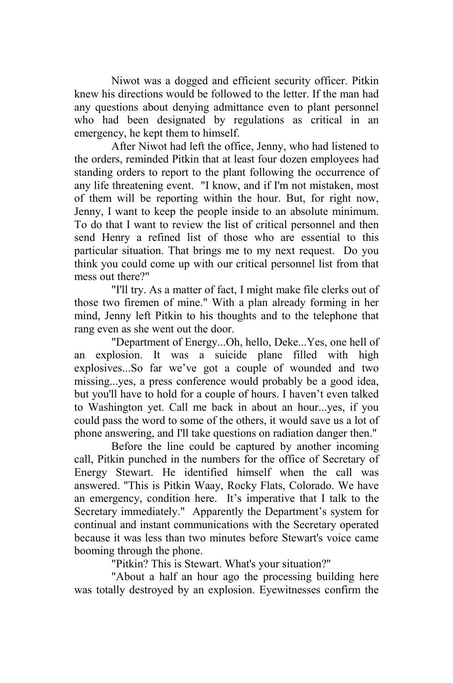Niwot was a dogged and efficient security officer. Pitkin knew his directions would be followed to the letter. If the man had any questions about denying admittance even to plant personnel who had been designated by regulations as critical in an emergency, he kept them to himself.

After Niwot had left the office, Jenny, who had listened to the orders, reminded Pitkin that at least four dozen employees had standing orders to report to the plant following the occurrence of any life threatening event. "I know, and if I'm not mistaken, most of them will be reporting within the hour. But, for right now, Jenny, I want to keep the people inside to an absolute minimum. To do that I want to review the list of critical personnel and then send Henry a refined list of those who are essential to this particular situation. That brings me to my next request. Do you think you could come up with our critical personnel list from that mess out there?"

"I'll try. As a matter of fact, I might make file clerks out of those two firemen of mine." With a plan already forming in her mind, Jenny left Pitkin to his thoughts and to the telephone that rang even as she went out the door.

"Department of Energy...Oh, hello, Deke...Yes, one hell of an explosion. It was a suicide plane filled with high explosives...So far we've got a couple of wounded and two missing...yes, a press conference would probably be a good idea, but you'll have to hold for a couple of hours. I haven't even talked to Washington yet. Call me back in about an hour...yes, if you could pass the word to some of the others, it would save us a lot of phone answering, and I'll take questions on radiation danger then."

Before the line could be captured by another incoming call, Pitkin punched in the numbers for the office of Secretary of Energy Stewart. He identified himself when the call was answered. "This is Pitkin Waay, Rocky Flats, Colorado. We have an emergency, condition here. It's imperative that I talk to the Secretary immediately." Apparently the Department's system for continual and instant communications with the Secretary operated because it was less than two minutes before Stewart's voice came booming through the phone.

"Pitkin? This is Stewart. What's your situation?"

"About a half an hour ago the processing building here was totally destroyed by an explosion. Eyewitnesses confirm the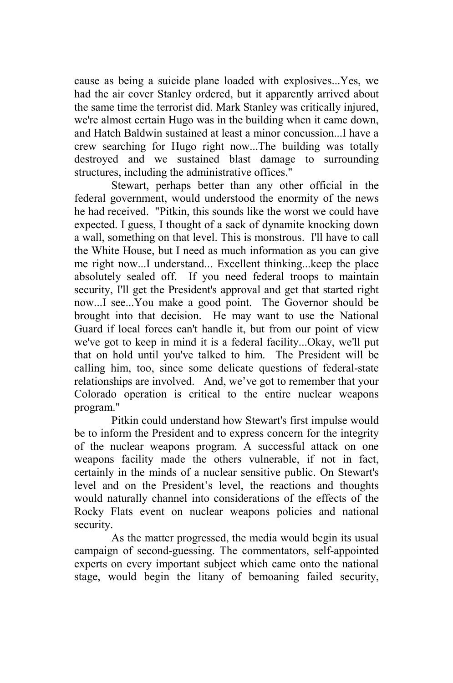cause as being a suicide plane loaded with explosives...Yes, we had the air cover Stanley ordered, but it apparently arrived about the same time the terrorist did. Mark Stanley was critically injured, we're almost certain Hugo was in the building when it came down, and Hatch Baldwin sustained at least a minor concussion...I have a crew searching for Hugo right now...The building was totally destroyed and we sustained blast damage to surrounding structures, including the administrative offices."

Stewart, perhaps better than any other official in the federal government, would understood the enormity of the news he had received. "Pitkin, this sounds like the worst we could have expected. I guess, I thought of a sack of dynamite knocking down a wall, something on that level. This is monstrous. I'll have to call the White House, but I need as much information as you can give me right now...I understand... Excellent thinking...keep the place absolutely sealed off. If you need federal troops to maintain security, I'll get the President's approval and get that started right now...I see...You make a good point. The Governor should be brought into that decision. He may want to use the National Guard if local forces can't handle it, but from our point of view we've got to keep in mind it is a federal facility...Okay, we'll put that on hold until you've talked to him. The President will be calling him, too, since some delicate questions of federal-state relationships are involved. And, we've got to remember that your Colorado operation is critical to the entire nuclear weapons program."

Pitkin could understand how Stewart's first impulse would be to inform the President and to express concern for the integrity of the nuclear weapons program. A successful attack on one weapons facility made the others vulnerable, if not in fact, certainly in the minds of a nuclear sensitive public. On Stewart's level and on the President's level, the reactions and thoughts would naturally channel into considerations of the effects of the Rocky Flats event on nuclear weapons policies and national security.

As the matter progressed, the media would begin its usual campaign of second-guessing. The commentators, self-appointed experts on every important subject which came onto the national stage, would begin the litany of bemoaning failed security,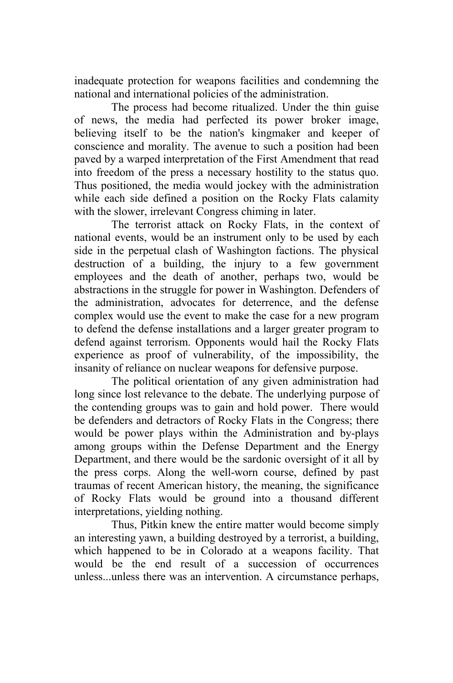inadequate protection for weapons facilities and condemning the national and international policies of the administration.

The process had become ritualized. Under the thin guise of news, the media had perfected its power broker image, believing itself to be the nation's kingmaker and keeper of conscience and morality. The avenue to such a position had been paved by a warped interpretation of the First Amendment that read into freedom of the press a necessary hostility to the status quo. Thus positioned, the media would jockey with the administration while each side defined a position on the Rocky Flats calamity with the slower, irrelevant Congress chiming in later.

The terrorist attack on Rocky Flats, in the context of national events, would be an instrument only to be used by each side in the perpetual clash of Washington factions. The physical destruction of a building, the injury to a few government employees and the death of another, perhaps two, would be abstractions in the struggle for power in Washington. Defenders of the administration, advocates for deterrence, and the defense complex would use the event to make the case for a new program to defend the defense installations and a larger greater program to defend against terrorism. Opponents would hail the Rocky Flats experience as proof of vulnerability, of the impossibility, the insanity of reliance on nuclear weapons for defensive purpose.

The political orientation of any given administration had long since lost relevance to the debate. The underlying purpose of the contending groups was to gain and hold power. There would be defenders and detractors of Rocky Flats in the Congress; there would be power plays within the Administration and by-plays among groups within the Defense Department and the Energy Department, and there would be the sardonic oversight of it all by the press corps. Along the well-worn course, defined by past traumas of recent American history, the meaning, the significance of Rocky Flats would be ground into a thousand different interpretations, yielding nothing.

Thus, Pitkin knew the entire matter would become simply an interesting yawn, a building destroyed by a terrorist, a building, which happened to be in Colorado at a weapons facility. That would be the end result of a succession of occurrences unless...unless there was an intervention. A circumstance perhaps,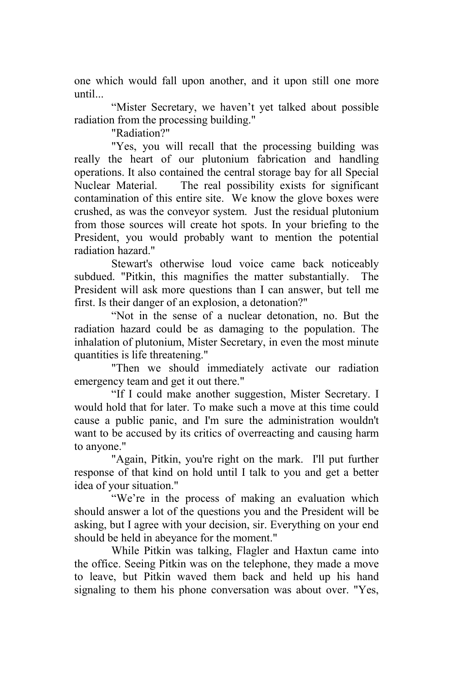one which would fall upon another, and it upon still one more until...

"Mister Secretary, we haven't yet talked about possible radiation from the processing building."

"Radiation?"

"Yes, you will recall that the processing building was really the heart of our plutonium fabrication and handling operations. It also contained the central storage bay for all Special Nuclear Material. The real possibility exists for significant contamination of this entire site. We know the glove boxes were crushed, as was the conveyor system. Just the residual plutonium from those sources will create hot spots. In your briefing to the President, you would probably want to mention the potential radiation hazard."

Stewart's otherwise loud voice came back noticeably subdued. "Pitkin, this magnifies the matter substantially. The President will ask more questions than I can answer, but tell me first. Is their danger of an explosion, a detonation?"

"Not in the sense of a nuclear detonation, no. But the radiation hazard could be as damaging to the population. The inhalation of plutonium, Mister Secretary, in even the most minute quantities is life threatening."

"Then we should immediately activate our radiation emergency team and get it out there."

"If I could make another suggestion, Mister Secretary. I would hold that for later. To make such a move at this time could cause a public panic, and I'm sure the administration wouldn't want to be accused by its critics of overreacting and causing harm to anyone."

"Again, Pitkin, you're right on the mark. I'll put further response of that kind on hold until I talk to you and get a better idea of your situation."

"We're in the process of making an evaluation which should answer a lot of the questions you and the President will be asking, but I agree with your decision, sir. Everything on your end should be held in abeyance for the moment."

While Pitkin was talking, Flagler and Haxtun came into the office. Seeing Pitkin was on the telephone, they made a move to leave, but Pitkin waved them back and held up his hand signaling to them his phone conversation was about over. "Yes,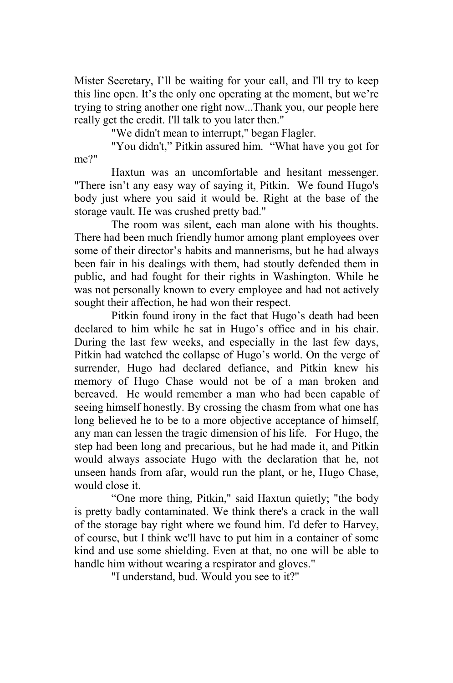Mister Secretary, I'll be waiting for your call, and I'll try to keep this line open. It's the only one operating at the moment, but we're trying to string another one right now...Thank you, our people here really get the credit. I'll talk to you later then."

"We didn't mean to interrupt," began Flagler.

"You didn't," Pitkin assured him. "What have you got for me?"

Haxtun was an uncomfortable and hesitant messenger. "There isn't any easy way of saying it, Pitkin. We found Hugo's body just where you said it would be. Right at the base of the storage vault. He was crushed pretty bad."

The room was silent, each man alone with his thoughts. There had been much friendly humor among plant employees over some of their director's habits and mannerisms, but he had always been fair in his dealings with them, had stoutly defended them in public, and had fought for their rights in Washington. While he was not personally known to every employee and had not actively sought their affection, he had won their respect.

Pitkin found irony in the fact that Hugo's death had been declared to him while he sat in Hugo's office and in his chair. During the last few weeks, and especially in the last few days, Pitkin had watched the collapse of Hugo's world. On the verge of surrender, Hugo had declared defiance, and Pitkin knew his memory of Hugo Chase would not be of a man broken and bereaved. He would remember a man who had been capable of seeing himself honestly. By crossing the chasm from what one has long believed he to be to a more objective acceptance of himself, any man can lessen the tragic dimension of his life. For Hugo, the step had been long and precarious, but he had made it, and Pitkin would always associate Hugo with the declaration that he, not unseen hands from afar, would run the plant, or he, Hugo Chase, would close it.

"One more thing, Pitkin," said Haxtun quietly; "the body is pretty badly contaminated. We think there's a crack in the wall of the storage bay right where we found him. I'd defer to Harvey, of course, but I think we'll have to put him in a container of some kind and use some shielding. Even at that, no one will be able to handle him without wearing a respirator and gloves."

"I understand, bud. Would you see to it?"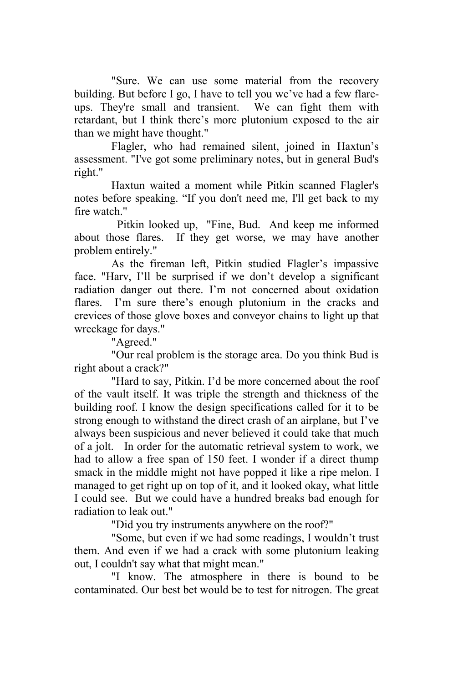"Sure. We can use some material from the recovery building. But before I go, I have to tell you we've had a few flareups. They're small and transient. We can fight them with retardant, but I think there's more plutonium exposed to the air than we might have thought."

Flagler, who had remained silent, joined in Haxtun's assessment. "I've got some preliminary notes, but in general Bud's right."

Haxtun waited a moment while Pitkin scanned Flagler's notes before speaking. "If you don't need me, I'll get back to my fire watch."

 Pitkin looked up, "Fine, Bud. And keep me informed about those flares. If they get worse, we may have another problem entirely."

As the fireman left, Pitkin studied Flagler's impassive face. "Harv, I'll be surprised if we don't develop a significant radiation danger out there. I'm not concerned about oxidation flares. I'm sure there's enough plutonium in the cracks and crevices of those glove boxes and conveyor chains to light up that wreckage for days."

"Agreed."

"Our real problem is the storage area. Do you think Bud is right about a crack?"

"Hard to say, Pitkin. I'd be more concerned about the roof of the vault itself. It was triple the strength and thickness of the building roof. I know the design specifications called for it to be strong enough to withstand the direct crash of an airplane, but I've always been suspicious and never believed it could take that much of a jolt. In order for the automatic retrieval system to work, we had to allow a free span of 150 feet. I wonder if a direct thump smack in the middle might not have popped it like a ripe melon. I managed to get right up on top of it, and it looked okay, what little I could see. But we could have a hundred breaks bad enough for radiation to leak out."

"Did you try instruments anywhere on the roof?"

"Some, but even if we had some readings, I wouldn't trust them. And even if we had a crack with some plutonium leaking out, I couldn't say what that might mean."

"I know. The atmosphere in there is bound to be contaminated. Our best bet would be to test for nitrogen. The great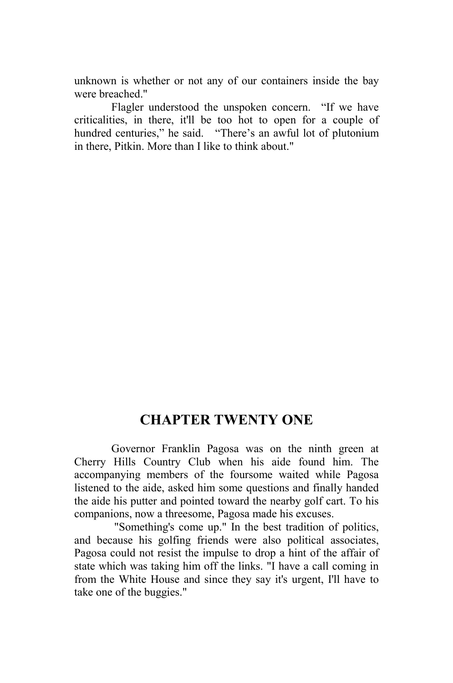unknown is whether or not any of our containers inside the bay were breached."

Flagler understood the unspoken concern. "If we have criticalities, in there, it'll be too hot to open for a couple of hundred centuries," he said. "There's an awful lot of plutonium in there, Pitkin. More than I like to think about."

## **CHAPTER TWENTY ONE**

Governor Franklin Pagosa was on the ninth green at Cherry Hills Country Club when his aide found him. The accompanying members of the foursome waited while Pagosa listened to the aide, asked him some questions and finally handed the aide his putter and pointed toward the nearby golf cart. To his companions, now a threesome, Pagosa made his excuses.

 "Something's come up." In the best tradition of politics, and because his golfing friends were also political associates, Pagosa could not resist the impulse to drop a hint of the affair of state which was taking him off the links. "I have a call coming in from the White House and since they say it's urgent, I'll have to take one of the buggies."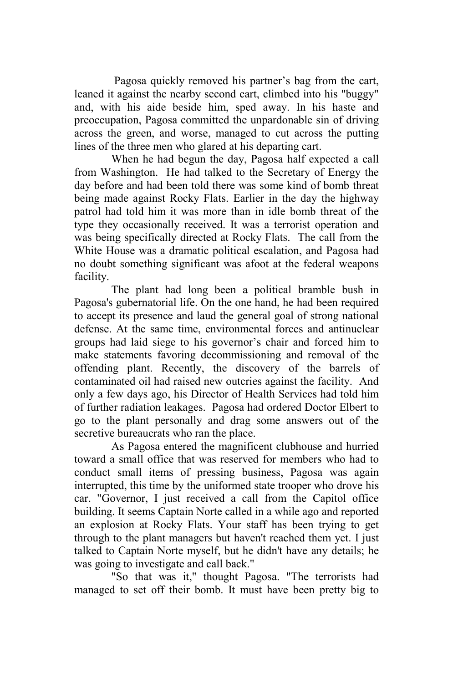Pagosa quickly removed his partner's bag from the cart, leaned it against the nearby second cart, climbed into his "buggy" and, with his aide beside him, sped away. In his haste and preoccupation, Pagosa committed the unpardonable sin of driving across the green, and worse, managed to cut across the putting lines of the three men who glared at his departing cart.

When he had begun the day, Pagosa half expected a call from Washington. He had talked to the Secretary of Energy the day before and had been told there was some kind of bomb threat being made against Rocky Flats. Earlier in the day the highway patrol had told him it was more than in idle bomb threat of the type they occasionally received. It was a terrorist operation and was being specifically directed at Rocky Flats. The call from the White House was a dramatic political escalation, and Pagosa had no doubt something significant was afoot at the federal weapons facility.

The plant had long been a political bramble bush in Pagosa's gubernatorial life. On the one hand, he had been required to accept its presence and laud the general goal of strong national defense. At the same time, environmental forces and antinuclear groups had laid siege to his governor's chair and forced him to make statements favoring decommissioning and removal of the offending plant. Recently, the discovery of the barrels of contaminated oil had raised new outcries against the facility. And only a few days ago, his Director of Health Services had told him of further radiation leakages. Pagosa had ordered Doctor Elbert to go to the plant personally and drag some answers out of the secretive bureaucrats who ran the place.

As Pagosa entered the magnificent clubhouse and hurried toward a small office that was reserved for members who had to conduct small items of pressing business, Pagosa was again interrupted, this time by the uniformed state trooper who drove his car. "Governor, I just received a call from the Capitol office building. It seems Captain Norte called in a while ago and reported an explosion at Rocky Flats. Your staff has been trying to get through to the plant managers but haven't reached them yet. I just talked to Captain Norte myself, but he didn't have any details; he was going to investigate and call back."

"So that was it," thought Pagosa. "The terrorists had managed to set off their bomb. It must have been pretty big to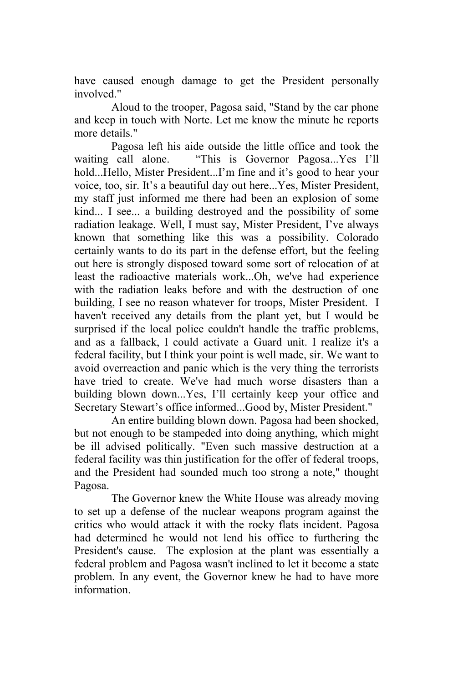have caused enough damage to get the President personally involved."

Aloud to the trooper, Pagosa said, "Stand by the car phone and keep in touch with Norte. Let me know the minute he reports more details."

Pagosa left his aide outside the little office and took the waiting call alone. "This is Governor Pagosa...Yes I'll hold...Hello, Mister President...I'm fine and it's good to hear your voice, too, sir. It's a beautiful day out here...Yes, Mister President, my staff just informed me there had been an explosion of some kind... I see... a building destroyed and the possibility of some radiation leakage. Well, I must say, Mister President, I've always known that something like this was a possibility. Colorado certainly wants to do its part in the defense effort, but the feeling out here is strongly disposed toward some sort of relocation of at least the radioactive materials work...Oh, we've had experience with the radiation leaks before and with the destruction of one building, I see no reason whatever for troops, Mister President. I haven't received any details from the plant yet, but I would be surprised if the local police couldn't handle the traffic problems, and as a fallback, I could activate a Guard unit. I realize it's a federal facility, but I think your point is well made, sir. We want to avoid overreaction and panic which is the very thing the terrorists have tried to create. We've had much worse disasters than a building blown down...Yes, I'll certainly keep your office and Secretary Stewart's office informed...Good by, Mister President."

An entire building blown down. Pagosa had been shocked, but not enough to be stampeded into doing anything, which might be ill advised politically. "Even such massive destruction at a federal facility was thin justification for the offer of federal troops, and the President had sounded much too strong a note," thought Pagosa.

The Governor knew the White House was already moving to set up a defense of the nuclear weapons program against the critics who would attack it with the rocky flats incident. Pagosa had determined he would not lend his office to furthering the President's cause. The explosion at the plant was essentially a federal problem and Pagosa wasn't inclined to let it become a state problem. In any event, the Governor knew he had to have more information.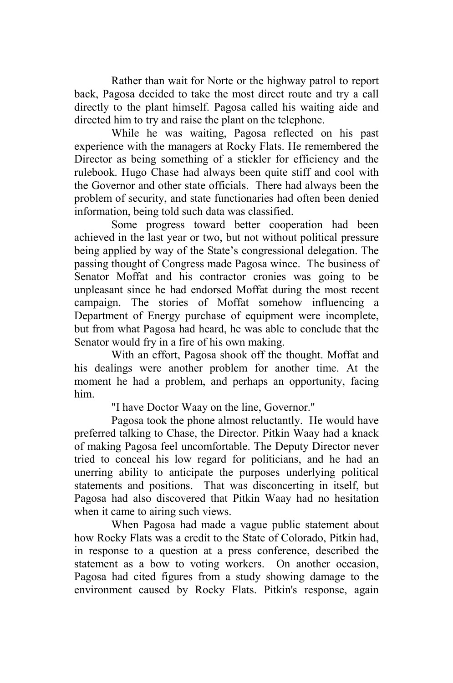Rather than wait for Norte or the highway patrol to report back, Pagosa decided to take the most direct route and try a call directly to the plant himself. Pagosa called his waiting aide and directed him to try and raise the plant on the telephone.

While he was waiting, Pagosa reflected on his past experience with the managers at Rocky Flats. He remembered the Director as being something of a stickler for efficiency and the rulebook. Hugo Chase had always been quite stiff and cool with the Governor and other state officials. There had always been the problem of security, and state functionaries had often been denied information, being told such data was classified.

Some progress toward better cooperation had been achieved in the last year or two, but not without political pressure being applied by way of the State's congressional delegation. The passing thought of Congress made Pagosa wince. The business of Senator Moffat and his contractor cronies was going to be unpleasant since he had endorsed Moffat during the most recent campaign. The stories of Moffat somehow influencing a Department of Energy purchase of equipment were incomplete, but from what Pagosa had heard, he was able to conclude that the Senator would fry in a fire of his own making.

With an effort, Pagosa shook off the thought. Moffat and his dealings were another problem for another time. At the moment he had a problem, and perhaps an opportunity, facing him.

"I have Doctor Waay on the line, Governor."

Pagosa took the phone almost reluctantly. He would have preferred talking to Chase, the Director. Pitkin Waay had a knack of making Pagosa feel uncomfortable. The Deputy Director never tried to conceal his low regard for politicians, and he had an unerring ability to anticipate the purposes underlying political statements and positions. That was disconcerting in itself, but Pagosa had also discovered that Pitkin Waay had no hesitation when it came to airing such views.

When Pagosa had made a vague public statement about how Rocky Flats was a credit to the State of Colorado, Pitkin had, in response to a question at a press conference, described the statement as a bow to voting workers. On another occasion, Pagosa had cited figures from a study showing damage to the environment caused by Rocky Flats. Pitkin's response, again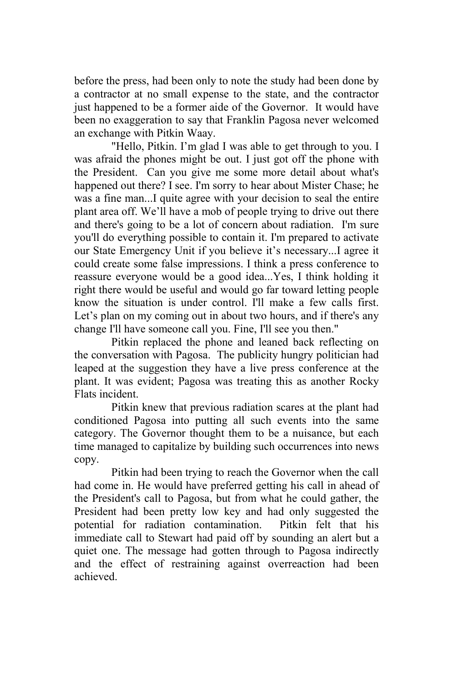before the press, had been only to note the study had been done by a contractor at no small expense to the state, and the contractor just happened to be a former aide of the Governor. It would have been no exaggeration to say that Franklin Pagosa never welcomed an exchange with Pitkin Waay.

"Hello, Pitkin. I'm glad I was able to get through to you. I was afraid the phones might be out. I just got off the phone with the President. Can you give me some more detail about what's happened out there? I see. I'm sorry to hear about Mister Chase; he was a fine man...I quite agree with your decision to seal the entire plant area off. We'll have a mob of people trying to drive out there and there's going to be a lot of concern about radiation. I'm sure you'll do everything possible to contain it. I'm prepared to activate our State Emergency Unit if you believe it's necessary...I agree it could create some false impressions. I think a press conference to reassure everyone would be a good idea...Yes, I think holding it right there would be useful and would go far toward letting people know the situation is under control. I'll make a few calls first. Let's plan on my coming out in about two hours, and if there's any change I'll have someone call you. Fine, I'll see you then."

Pitkin replaced the phone and leaned back reflecting on the conversation with Pagosa. The publicity hungry politician had leaped at the suggestion they have a live press conference at the plant. It was evident; Pagosa was treating this as another Rocky Flats incident.

Pitkin knew that previous radiation scares at the plant had conditioned Pagosa into putting all such events into the same category. The Governor thought them to be a nuisance, but each time managed to capitalize by building such occurrences into news copy.

Pitkin had been trying to reach the Governor when the call had come in. He would have preferred getting his call in ahead of the President's call to Pagosa, but from what he could gather, the President had been pretty low key and had only suggested the potential for radiation contamination. Pitkin felt that his immediate call to Stewart had paid off by sounding an alert but a quiet one. The message had gotten through to Pagosa indirectly and the effect of restraining against overreaction had been achieved.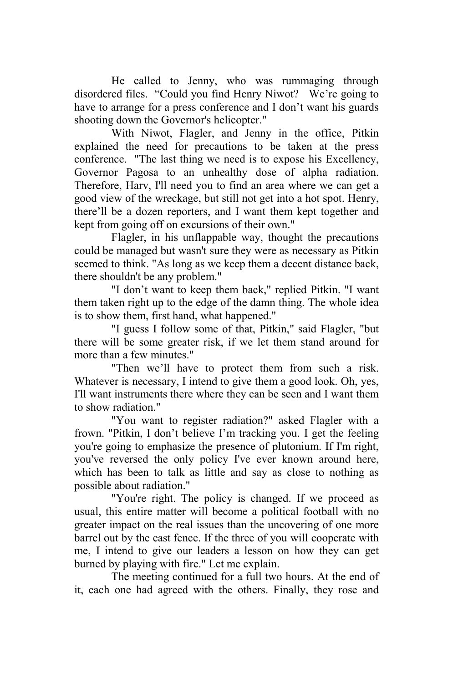He called to Jenny, who was rummaging through disordered files. "Could you find Henry Niwot? We're going to have to arrange for a press conference and I don't want his guards shooting down the Governor's helicopter."

With Niwot, Flagler, and Jenny in the office, Pitkin explained the need for precautions to be taken at the press conference. "The last thing we need is to expose his Excellency, Governor Pagosa to an unhealthy dose of alpha radiation. Therefore, Harv, I'll need you to find an area where we can get a good view of the wreckage, but still not get into a hot spot. Henry, there'll be a dozen reporters, and I want them kept together and kept from going off on excursions of their own."

Flagler, in his unflappable way, thought the precautions could be managed but wasn't sure they were as necessary as Pitkin seemed to think. "As long as we keep them a decent distance back, there shouldn't be any problem."

"I don't want to keep them back," replied Pitkin. "I want them taken right up to the edge of the damn thing. The whole idea is to show them, first hand, what happened."

"I guess I follow some of that, Pitkin," said Flagler, "but there will be some greater risk, if we let them stand around for more than a few minutes."

"Then we'll have to protect them from such a risk. Whatever is necessary, I intend to give them a good look. Oh, yes, I'll want instruments there where they can be seen and I want them to show radiation."

"You want to register radiation?" asked Flagler with a frown. "Pitkin, I don't believe I'm tracking you. I get the feeling you're going to emphasize the presence of plutonium. If I'm right, you've reversed the only policy I've ever known around here, which has been to talk as little and say as close to nothing as possible about radiation."

"You're right. The policy is changed. If we proceed as usual, this entire matter will become a political football with no greater impact on the real issues than the uncovering of one more barrel out by the east fence. If the three of you will cooperate with me, I intend to give our leaders a lesson on how they can get burned by playing with fire." Let me explain.

The meeting continued for a full two hours. At the end of it, each one had agreed with the others. Finally, they rose and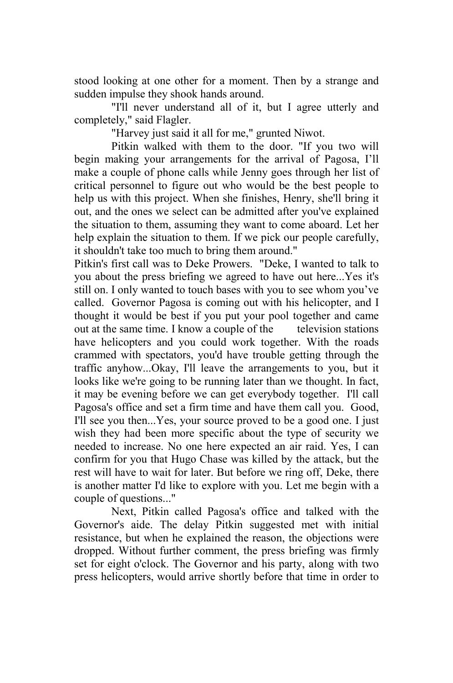stood looking at one other for a moment. Then by a strange and sudden impulse they shook hands around.

"I'll never understand all of it, but I agree utterly and completely," said Flagler.

"Harvey just said it all for me," grunted Niwot.

Pitkin walked with them to the door. "If you two will begin making your arrangements for the arrival of Pagosa, I'll make a couple of phone calls while Jenny goes through her list of critical personnel to figure out who would be the best people to help us with this project. When she finishes, Henry, she'll bring it out, and the ones we select can be admitted after you've explained the situation to them, assuming they want to come aboard. Let her help explain the situation to them. If we pick our people carefully, it shouldn't take too much to bring them around."

Pitkin's first call was to Deke Prowers. "Deke, I wanted to talk to you about the press briefing we agreed to have out here...Yes it's still on. I only wanted to touch bases with you to see whom you've called. Governor Pagosa is coming out with his helicopter, and I thought it would be best if you put your pool together and came out at the same time. I know a couple of the television stations have helicopters and you could work together. With the roads crammed with spectators, you'd have trouble getting through the traffic anyhow...Okay, I'll leave the arrangements to you, but it looks like we're going to be running later than we thought. In fact, it may be evening before we can get everybody together. I'll call Pagosa's office and set a firm time and have them call you. Good, I'll see you then...Yes, your source proved to be a good one. I just wish they had been more specific about the type of security we needed to increase. No one here expected an air raid. Yes, I can confirm for you that Hugo Chase was killed by the attack, but the rest will have to wait for later. But before we ring off, Deke, there is another matter I'd like to explore with you. Let me begin with a couple of questions..."

Next, Pitkin called Pagosa's office and talked with the Governor's aide. The delay Pitkin suggested met with initial resistance, but when he explained the reason, the objections were dropped. Without further comment, the press briefing was firmly set for eight o'clock. The Governor and his party, along with two press helicopters, would arrive shortly before that time in order to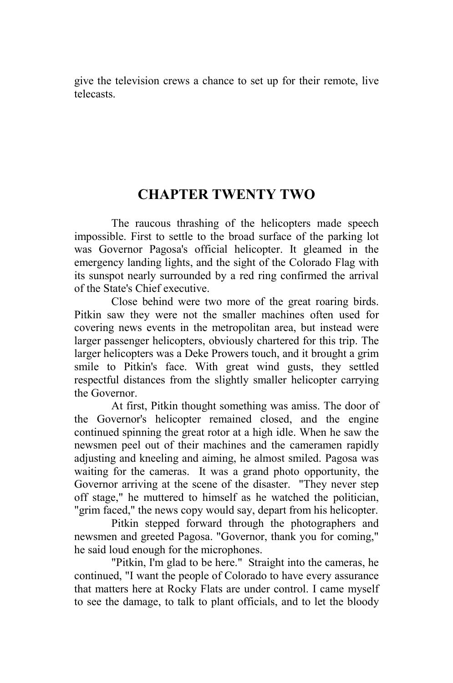give the television crews a chance to set up for their remote, live telecasts.

## **CHAPTER TWENTY TWO**

The raucous thrashing of the helicopters made speech impossible. First to settle to the broad surface of the parking lot was Governor Pagosa's official helicopter. It gleamed in the emergency landing lights, and the sight of the Colorado Flag with its sunspot nearly surrounded by a red ring confirmed the arrival of the State's Chief executive.

 Close behind were two more of the great roaring birds. Pitkin saw they were not the smaller machines often used for covering news events in the metropolitan area, but instead were larger passenger helicopters, obviously chartered for this trip. The larger helicopters was a Deke Prowers touch, and it brought a grim smile to Pitkin's face. With great wind gusts, they settled respectful distances from the slightly smaller helicopter carrying the Governor.

At first, Pitkin thought something was amiss. The door of the Governor's helicopter remained closed, and the engine continued spinning the great rotor at a high idle. When he saw the newsmen peel out of their machines and the cameramen rapidly adjusting and kneeling and aiming, he almost smiled. Pagosa was waiting for the cameras. It was a grand photo opportunity, the Governor arriving at the scene of the disaster. "They never step off stage," he muttered to himself as he watched the politician, "grim faced," the news copy would say, depart from his helicopter.

Pitkin stepped forward through the photographers and newsmen and greeted Pagosa. "Governor, thank you for coming," he said loud enough for the microphones.

"Pitkin, I'm glad to be here." Straight into the cameras, he continued, "I want the people of Colorado to have every assurance that matters here at Rocky Flats are under control. I came myself to see the damage, to talk to plant officials, and to let the bloody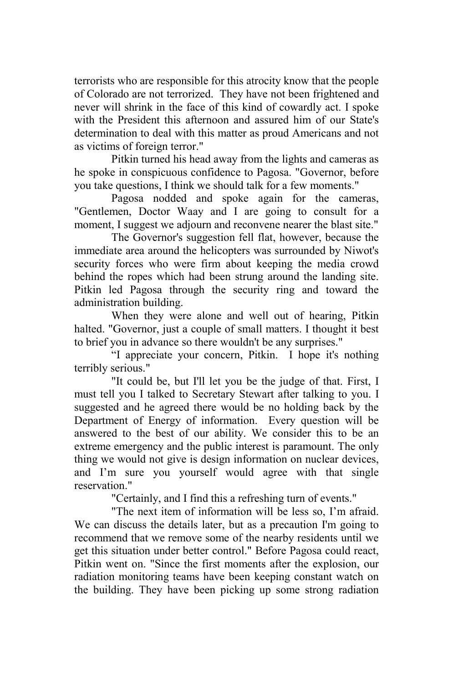terrorists who are responsible for this atrocity know that the people of Colorado are not terrorized. They have not been frightened and never will shrink in the face of this kind of cowardly act. I spoke with the President this afternoon and assured him of our State's determination to deal with this matter as proud Americans and not as victims of foreign terror."

Pitkin turned his head away from the lights and cameras as he spoke in conspicuous confidence to Pagosa. "Governor, before you take questions, I think we should talk for a few moments."

Pagosa nodded and spoke again for the cameras, "Gentlemen, Doctor Waay and I are going to consult for a moment. I suggest we adjourn and reconvene nearer the blast site."

The Governor's suggestion fell flat, however, because the immediate area around the helicopters was surrounded by Niwot's security forces who were firm about keeping the media crowd behind the ropes which had been strung around the landing site. Pitkin led Pagosa through the security ring and toward the administration building.

When they were alone and well out of hearing, Pitkin halted. "Governor, just a couple of small matters. I thought it best to brief you in advance so there wouldn't be any surprises."

"I appreciate your concern, Pitkin. I hope it's nothing terribly serious."

"It could be, but I'll let you be the judge of that. First, I must tell you I talked to Secretary Stewart after talking to you. I suggested and he agreed there would be no holding back by the Department of Energy of information. Every question will be answered to the best of our ability. We consider this to be an extreme emergency and the public interest is paramount. The only thing we would not give is design information on nuclear devices, and I'm sure you yourself would agree with that single reservation."

"Certainly, and I find this a refreshing turn of events."

"The next item of information will be less so, I'm afraid. We can discuss the details later, but as a precaution I'm going to recommend that we remove some of the nearby residents until we get this situation under better control." Before Pagosa could react, Pitkin went on. "Since the first moments after the explosion, our radiation monitoring teams have been keeping constant watch on the building. They have been picking up some strong radiation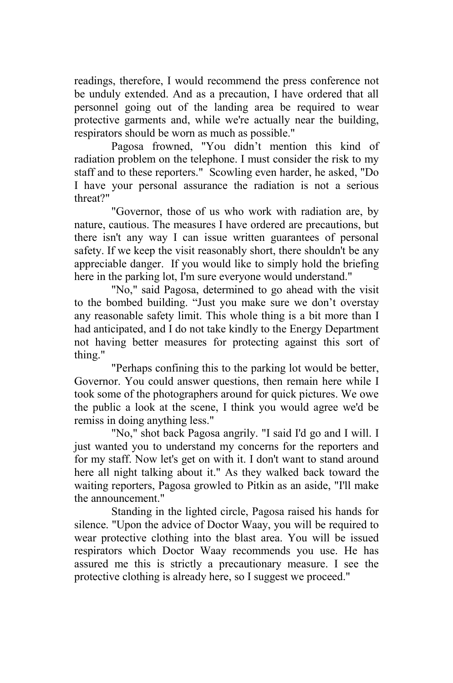readings, therefore, I would recommend the press conference not be unduly extended. And as a precaution, I have ordered that all personnel going out of the landing area be required to wear protective garments and, while we're actually near the building, respirators should be worn as much as possible."

Pagosa frowned, "You didn't mention this kind of radiation problem on the telephone. I must consider the risk to my staff and to these reporters." Scowling even harder, he asked, "Do I have your personal assurance the radiation is not a serious threat?"

"Governor, those of us who work with radiation are, by nature, cautious. The measures I have ordered are precautions, but there isn't any way I can issue written guarantees of personal safety. If we keep the visit reasonably short, there shouldn't be any appreciable danger. If you would like to simply hold the briefing here in the parking lot, I'm sure everyone would understand."

"No," said Pagosa, determined to go ahead with the visit to the bombed building. "Just you make sure we don't overstay any reasonable safety limit. This whole thing is a bit more than I had anticipated, and I do not take kindly to the Energy Department not having better measures for protecting against this sort of thing."

"Perhaps confining this to the parking lot would be better, Governor. You could answer questions, then remain here while I took some of the photographers around for quick pictures. We owe the public a look at the scene, I think you would agree we'd be remiss in doing anything less."

"No," shot back Pagosa angrily. "I said I'd go and I will. I just wanted you to understand my concerns for the reporters and for my staff. Now let's get on with it. I don't want to stand around here all night talking about it." As they walked back toward the waiting reporters, Pagosa growled to Pitkin as an aside, "I'll make the announcement."

Standing in the lighted circle, Pagosa raised his hands for silence. "Upon the advice of Doctor Waay, you will be required to wear protective clothing into the blast area. You will be issued respirators which Doctor Waay recommends you use. He has assured me this is strictly a precautionary measure. I see the protective clothing is already here, so I suggest we proceed."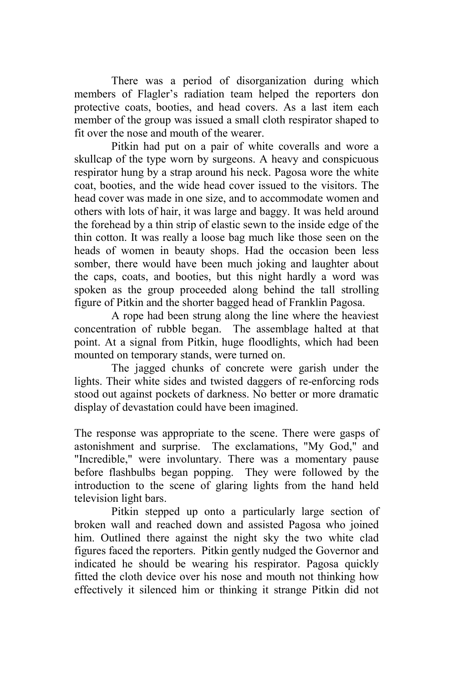There was a period of disorganization during which members of Flagler's radiation team helped the reporters don protective coats, booties, and head covers. As a last item each member of the group was issued a small cloth respirator shaped to fit over the nose and mouth of the wearer.

Pitkin had put on a pair of white coveralls and wore a skullcap of the type worn by surgeons. A heavy and conspicuous respirator hung by a strap around his neck. Pagosa wore the white coat, booties, and the wide head cover issued to the visitors. The head cover was made in one size, and to accommodate women and others with lots of hair, it was large and baggy. It was held around the forehead by a thin strip of elastic sewn to the inside edge of the thin cotton. It was really a loose bag much like those seen on the heads of women in beauty shops. Had the occasion been less somber, there would have been much joking and laughter about the caps, coats, and booties, but this night hardly a word was spoken as the group proceeded along behind the tall strolling figure of Pitkin and the shorter bagged head of Franklin Pagosa.

A rope had been strung along the line where the heaviest concentration of rubble began. The assemblage halted at that point. At a signal from Pitkin, huge floodlights, which had been mounted on temporary stands, were turned on.

The jagged chunks of concrete were garish under the lights. Their white sides and twisted daggers of re-enforcing rods stood out against pockets of darkness. No better or more dramatic display of devastation could have been imagined.

The response was appropriate to the scene. There were gasps of astonishment and surprise. The exclamations, "My God," and "Incredible," were involuntary. There was a momentary pause before flashbulbs began popping. They were followed by the introduction to the scene of glaring lights from the hand held television light bars.

Pitkin stepped up onto a particularly large section of broken wall and reached down and assisted Pagosa who joined him. Outlined there against the night sky the two white clad figures faced the reporters. Pitkin gently nudged the Governor and indicated he should be wearing his respirator. Pagosa quickly fitted the cloth device over his nose and mouth not thinking how effectively it silenced him or thinking it strange Pitkin did not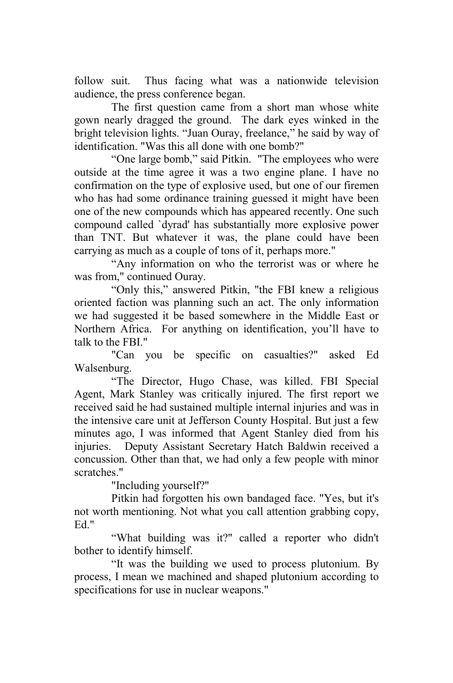follow suit. Thus facing what was a nationwide television audience, the press conference began.

The first question came from a short man whose white gown nearly dragged the ground. The dark eyes winked in the bright television lights. "Juan Ouray, freelance," he said by way of identification. "Was this all done with one bomb?"

"One large bomb," said Pitkin. "The employees who were outside at the time agree it was a two engine plane. I have no confirmation on the type of explosive used, but one of our firemen who has had some ordinance training guessed it might have been one of the new compounds which has appeared recently. One such compound called `dyrad' has substantially more explosive power than TNT. But whatever it was, the plane could have been carrying as much as a couple of tons of it, perhaps more."

"Any information on who the terrorist was or where he was from," continued Ouray.

"Only this," answered Pitkin, "the FBI knew a religious oriented faction was planning such an act. The only information we had suggested it be based somewhere in the Middle East or Northern Africa. For anything on identification, you'll have to talk to the FBI."

"Can you be specific on casualties?" asked Ed Walsenburg.

"The Director, Hugo Chase, was killed. FBI Special Agent, Mark Stanley was critically injured. The first report we received said he had sustained multiple internal injuries and was in the intensive care unit at Jefferson County Hospital. But just a few minutes ago, I was informed that Agent Stanley died from his injuries. Deputy Assistant Secretary Hatch Baldwin received a concussion. Other than that, we had only a few people with minor scratches."

"Including yourself?"

Pitkin had forgotten his own bandaged face. "Yes, but it's not worth mentioning. Not what you call attention grabbing copy, Ed<sup>"</sup>

"What building was it?" called a reporter who didn't bother to identify himself.

"It was the building we used to process plutonium. By process, I mean we machined and shaped plutonium according to specifications for use in nuclear weapons."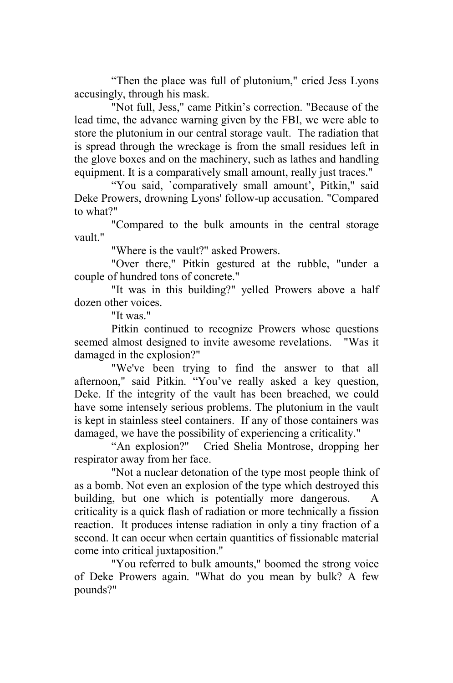"Then the place was full of plutonium," cried Jess Lyons accusingly, through his mask.

"Not full, Jess," came Pitkin's correction. "Because of the lead time, the advance warning given by the FBI, we were able to store the plutonium in our central storage vault. The radiation that is spread through the wreckage is from the small residues left in the glove boxes and on the machinery, such as lathes and handling equipment. It is a comparatively small amount, really just traces."

"You said, `comparatively small amount', Pitkin," said Deke Prowers, drowning Lyons' follow-up accusation. "Compared to what?"

"Compared to the bulk amounts in the central storage vault."

"Where is the vault?" asked Prowers.

"Over there," Pitkin gestured at the rubble, "under a couple of hundred tons of concrete."

"It was in this building?" yelled Prowers above a half dozen other voices.

"It was."

Pitkin continued to recognize Prowers whose questions seemed almost designed to invite awesome revelations. "Was it damaged in the explosion?"

"We've been trying to find the answer to that all afternoon," said Pitkin. "You've really asked a key question, Deke. If the integrity of the vault has been breached, we could have some intensely serious problems. The plutonium in the vault is kept in stainless steel containers. If any of those containers was damaged, we have the possibility of experiencing a criticality."

"An explosion?" Cried Shelia Montrose, dropping her respirator away from her face.

"Not a nuclear detonation of the type most people think of as a bomb. Not even an explosion of the type which destroyed this building, but one which is potentially more dangerous. criticality is a quick flash of radiation or more technically a fission reaction. It produces intense radiation in only a tiny fraction of a second. It can occur when certain quantities of fissionable material come into critical juxtaposition."

"You referred to bulk amounts," boomed the strong voice of Deke Prowers again. "What do you mean by bulk? A few pounds?"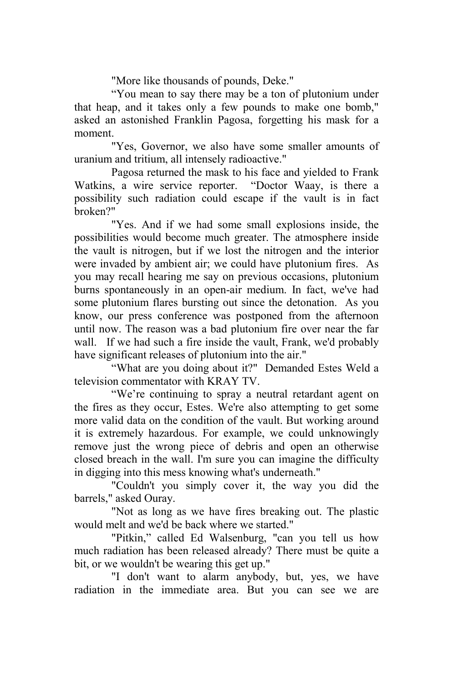"More like thousands of pounds, Deke."

"You mean to say there may be a ton of plutonium under that heap, and it takes only a few pounds to make one bomb," asked an astonished Franklin Pagosa, forgetting his mask for a moment.

"Yes, Governor, we also have some smaller amounts of uranium and tritium, all intensely radioactive."

Pagosa returned the mask to his face and yielded to Frank Watkins, a wire service reporter. "Doctor Waay, is there a possibility such radiation could escape if the vault is in fact broken?"

"Yes. And if we had some small explosions inside, the possibilities would become much greater. The atmosphere inside the vault is nitrogen, but if we lost the nitrogen and the interior were invaded by ambient air; we could have plutonium fires. As you may recall hearing me say on previous occasions, plutonium burns spontaneously in an open-air medium. In fact, we've had some plutonium flares bursting out since the detonation. As you know, our press conference was postponed from the afternoon until now. The reason was a bad plutonium fire over near the far wall. If we had such a fire inside the vault, Frank, we'd probably have significant releases of plutonium into the air."

"What are you doing about it?" Demanded Estes Weld a television commentator with KRAY TV.

"We're continuing to spray a neutral retardant agent on the fires as they occur, Estes. We're also attempting to get some more valid data on the condition of the vault. But working around it is extremely hazardous. For example, we could unknowingly remove just the wrong piece of debris and open an otherwise closed breach in the wall. I'm sure you can imagine the difficulty in digging into this mess knowing what's underneath."

"Couldn't you simply cover it, the way you did the barrels," asked Ouray.

"Not as long as we have fires breaking out. The plastic would melt and we'd be back where we started."

"Pitkin," called Ed Walsenburg, "can you tell us how much radiation has been released already? There must be quite a bit, or we wouldn't be wearing this get up."

"I don't want to alarm anybody, but, yes, we have radiation in the immediate area. But you can see we are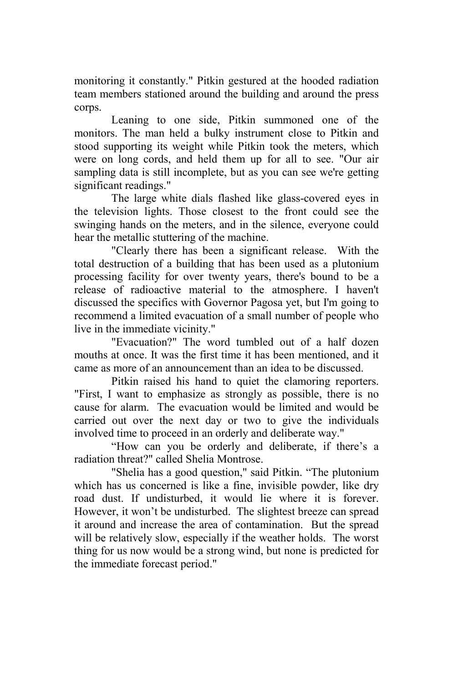monitoring it constantly." Pitkin gestured at the hooded radiation team members stationed around the building and around the press corps.

Leaning to one side, Pitkin summoned one of the monitors. The man held a bulky instrument close to Pitkin and stood supporting its weight while Pitkin took the meters, which were on long cords, and held them up for all to see. "Our air sampling data is still incomplete, but as you can see we're getting significant readings."

The large white dials flashed like glass-covered eyes in the television lights. Those closest to the front could see the swinging hands on the meters, and in the silence, everyone could hear the metallic stuttering of the machine.

"Clearly there has been a significant release. With the total destruction of a building that has been used as a plutonium processing facility for over twenty years, there's bound to be a release of radioactive material to the atmosphere. I haven't discussed the specifics with Governor Pagosa yet, but I'm going to recommend a limited evacuation of a small number of people who live in the immediate vicinity."

"Evacuation?" The word tumbled out of a half dozen mouths at once. It was the first time it has been mentioned, and it came as more of an announcement than an idea to be discussed.

Pitkin raised his hand to quiet the clamoring reporters. "First, I want to emphasize as strongly as possible, there is no cause for alarm. The evacuation would be limited and would be carried out over the next day or two to give the individuals involved time to proceed in an orderly and deliberate way."

"How can you be orderly and deliberate, if there's a radiation threat?" called Shelia Montrose.

"Shelia has a good question," said Pitkin. "The plutonium which has us concerned is like a fine, invisible powder, like dry road dust. If undisturbed, it would lie where it is forever. However, it won't be undisturbed. The slightest breeze can spread it around and increase the area of contamination. But the spread will be relatively slow, especially if the weather holds. The worst thing for us now would be a strong wind, but none is predicted for the immediate forecast period."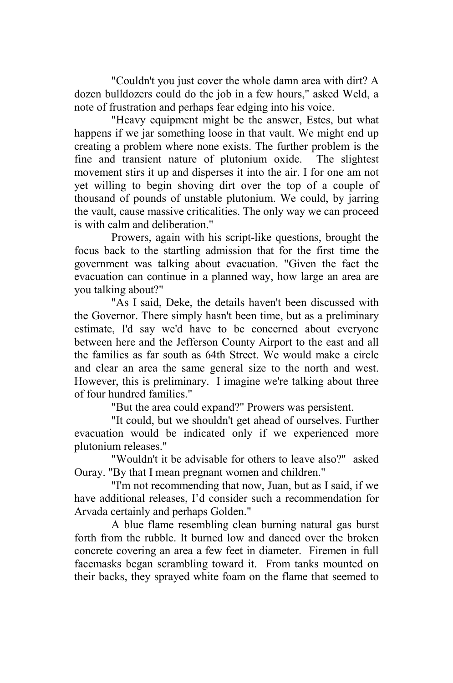"Couldn't you just cover the whole damn area with dirt? A dozen bulldozers could do the job in a few hours," asked Weld, a note of frustration and perhaps fear edging into his voice.

"Heavy equipment might be the answer, Estes, but what happens if we jar something loose in that vault. We might end up creating a problem where none exists. The further problem is the fine and transient nature of plutonium oxide. The slightest movement stirs it up and disperses it into the air. I for one am not yet willing to begin shoving dirt over the top of a couple of thousand of pounds of unstable plutonium. We could, by jarring the vault, cause massive criticalities. The only way we can proceed is with calm and deliberation."

 Prowers, again with his script-like questions, brought the focus back to the startling admission that for the first time the government was talking about evacuation. "Given the fact the evacuation can continue in a planned way, how large an area are you talking about?"

"As I said, Deke, the details haven't been discussed with the Governor. There simply hasn't been time, but as a preliminary estimate, I'd say we'd have to be concerned about everyone between here and the Jefferson County Airport to the east and all the families as far south as 64th Street. We would make a circle and clear an area the same general size to the north and west. However, this is preliminary. I imagine we're talking about three of four hundred families."

"But the area could expand?" Prowers was persistent.

"It could, but we shouldn't get ahead of ourselves. Further evacuation would be indicated only if we experienced more plutonium releases."

"Wouldn't it be advisable for others to leave also?" asked Ouray. "By that I mean pregnant women and children."

"I'm not recommending that now, Juan, but as I said, if we have additional releases, I'd consider such a recommendation for Arvada certainly and perhaps Golden."

A blue flame resembling clean burning natural gas burst forth from the rubble. It burned low and danced over the broken concrete covering an area a few feet in diameter. Firemen in full facemasks began scrambling toward it. From tanks mounted on their backs, they sprayed white foam on the flame that seemed to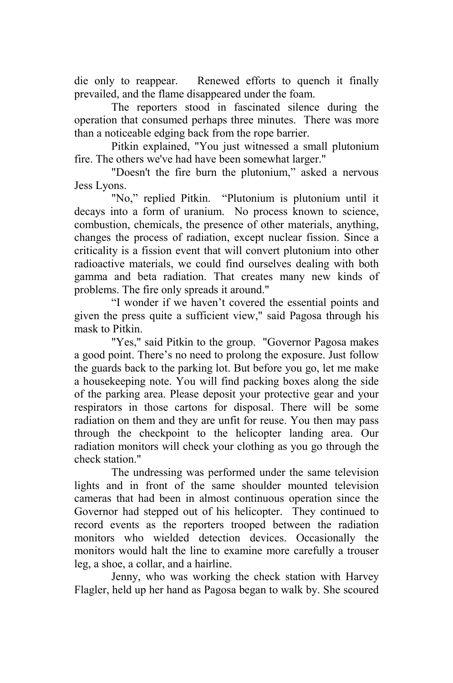die only to reappear. Renewed efforts to quench it finally prevailed, and the flame disappeared under the foam.

 The reporters stood in fascinated silence during the operation that consumed perhaps three minutes. There was more than a noticeable edging back from the rope barrier.

Pitkin explained, "You just witnessed a small plutonium fire. The others we've had have been somewhat larger."

"Doesn't the fire burn the plutonium," asked a nervous Jess Lyons.

"No," replied Pitkin. "Plutonium is plutonium until it decays into a form of uranium. No process known to science, combustion, chemicals, the presence of other materials, anything, changes the process of radiation, except nuclear fission. Since a criticality is a fission event that will convert plutonium into other radioactive materials, we could find ourselves dealing with both gamma and beta radiation. That creates many new kinds of problems. The fire only spreads it around."

"I wonder if we haven't covered the essential points and given the press quite a sufficient view," said Pagosa through his mask to Pitkin.

"Yes," said Pitkin to the group. "Governor Pagosa makes a good point. There's no need to prolong the exposure. Just follow the guards back to the parking lot. But before you go, let me make a housekeeping note. You will find packing boxes along the side of the parking area. Please deposit your protective gear and your respirators in those cartons for disposal. There will be some radiation on them and they are unfit for reuse. You then may pass through the checkpoint to the helicopter landing area. Our radiation monitors will check your clothing as you go through the check station."

The undressing was performed under the same television lights and in front of the same shoulder mounted television cameras that had been in almost continuous operation since the Governor had stepped out of his helicopter. They continued to record events as the reporters trooped between the radiation monitors who wielded detection devices. Occasionally the monitors would halt the line to examine more carefully a trouser leg, a shoe, a collar, and a hairline.

Jenny, who was working the check station with Harvey Flagler, held up her hand as Pagosa began to walk by. She scoured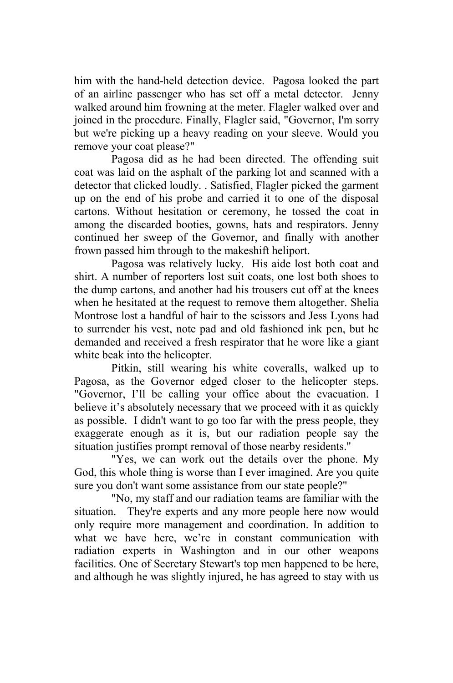him with the hand-held detection device. Pagosa looked the part of an airline passenger who has set off a metal detector. Jenny walked around him frowning at the meter. Flagler walked over and joined in the procedure. Finally, Flagler said, "Governor, I'm sorry but we're picking up a heavy reading on your sleeve. Would you remove your coat please?"

Pagosa did as he had been directed. The offending suit coat was laid on the asphalt of the parking lot and scanned with a detector that clicked loudly. . Satisfied, Flagler picked the garment up on the end of his probe and carried it to one of the disposal cartons. Without hesitation or ceremony, he tossed the coat in among the discarded booties, gowns, hats and respirators. Jenny continued her sweep of the Governor, and finally with another frown passed him through to the makeshift heliport.

Pagosa was relatively lucky. His aide lost both coat and shirt. A number of reporters lost suit coats, one lost both shoes to the dump cartons, and another had his trousers cut off at the knees when he hesitated at the request to remove them altogether. Shelia Montrose lost a handful of hair to the scissors and Jess Lyons had to surrender his vest, note pad and old fashioned ink pen, but he demanded and received a fresh respirator that he wore like a giant white beak into the helicopter.

Pitkin, still wearing his white coveralls, walked up to Pagosa, as the Governor edged closer to the helicopter steps. "Governor, I'll be calling your office about the evacuation. I believe it's absolutely necessary that we proceed with it as quickly as possible. I didn't want to go too far with the press people, they exaggerate enough as it is, but our radiation people say the situation justifies prompt removal of those nearby residents."

 "Yes, we can work out the details over the phone. My God, this whole thing is worse than I ever imagined. Are you quite sure you don't want some assistance from our state people?"

"No, my staff and our radiation teams are familiar with the situation. They're experts and any more people here now would only require more management and coordination. In addition to what we have here, we're in constant communication with radiation experts in Washington and in our other weapons facilities. One of Secretary Stewart's top men happened to be here, and although he was slightly injured, he has agreed to stay with us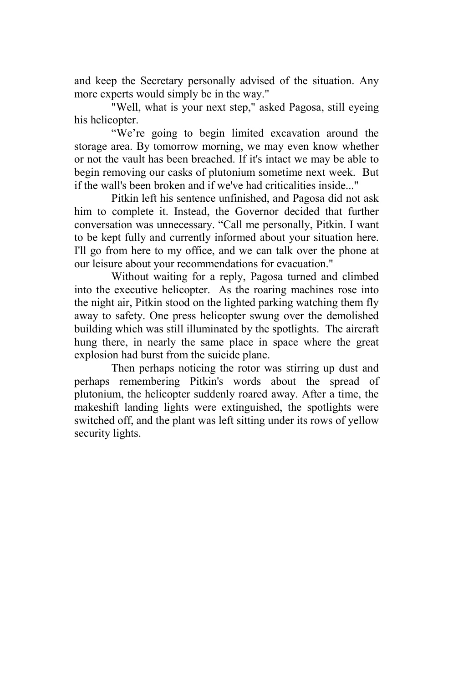and keep the Secretary personally advised of the situation. Any more experts would simply be in the way."

"Well, what is your next step," asked Pagosa, still eyeing his helicopter.

"We're going to begin limited excavation around the storage area. By tomorrow morning, we may even know whether or not the vault has been breached. If it's intact we may be able to begin removing our casks of plutonium sometime next week. But if the wall's been broken and if we've had criticalities inside..."

Pitkin left his sentence unfinished, and Pagosa did not ask him to complete it. Instead, the Governor decided that further conversation was unnecessary. "Call me personally, Pitkin. I want to be kept fully and currently informed about your situation here. I'll go from here to my office, and we can talk over the phone at our leisure about your recommendations for evacuation."

Without waiting for a reply, Pagosa turned and climbed into the executive helicopter. As the roaring machines rose into the night air, Pitkin stood on the lighted parking watching them fly away to safety. One press helicopter swung over the demolished building which was still illuminated by the spotlights. The aircraft hung there, in nearly the same place in space where the great explosion had burst from the suicide plane.

Then perhaps noticing the rotor was stirring up dust and perhaps remembering Pitkin's words about the spread of plutonium, the helicopter suddenly roared away. After a time, the makeshift landing lights were extinguished, the spotlights were switched off, and the plant was left sitting under its rows of yellow security lights.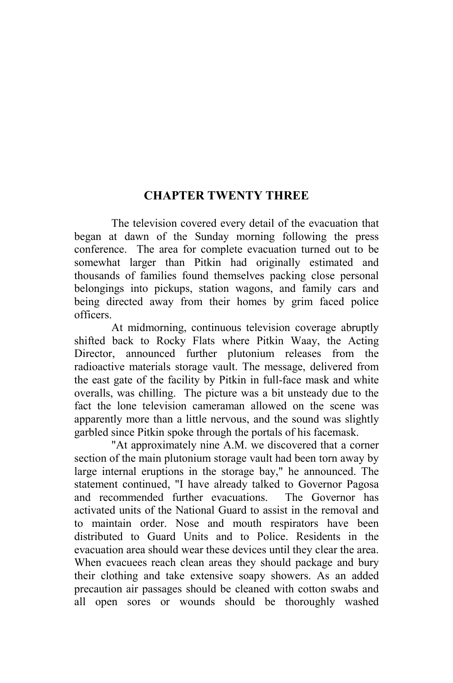## **CHAPTER TWENTY THREE**

The television covered every detail of the evacuation that began at dawn of the Sunday morning following the press conference. The area for complete evacuation turned out to be somewhat larger than Pitkin had originally estimated and thousands of families found themselves packing close personal belongings into pickups, station wagons, and family cars and being directed away from their homes by grim faced police officers.

At midmorning, continuous television coverage abruptly shifted back to Rocky Flats where Pitkin Waay, the Acting Director, announced further plutonium releases from the radioactive materials storage vault. The message, delivered from the east gate of the facility by Pitkin in full-face mask and white overalls, was chilling. The picture was a bit unsteady due to the fact the lone television cameraman allowed on the scene was apparently more than a little nervous, and the sound was slightly garbled since Pitkin spoke through the portals of his facemask.

"At approximately nine A.M. we discovered that a corner section of the main plutonium storage vault had been torn away by large internal eruptions in the storage bay," he announced. The statement continued, "I have already talked to Governor Pagosa and recommended further evacuations. The Governor has activated units of the National Guard to assist in the removal and to maintain order. Nose and mouth respirators have been distributed to Guard Units and to Police. Residents in the evacuation area should wear these devices until they clear the area. When evacuees reach clean areas they should package and bury their clothing and take extensive soapy showers. As an added precaution air passages should be cleaned with cotton swabs and all open sores or wounds should be thoroughly washed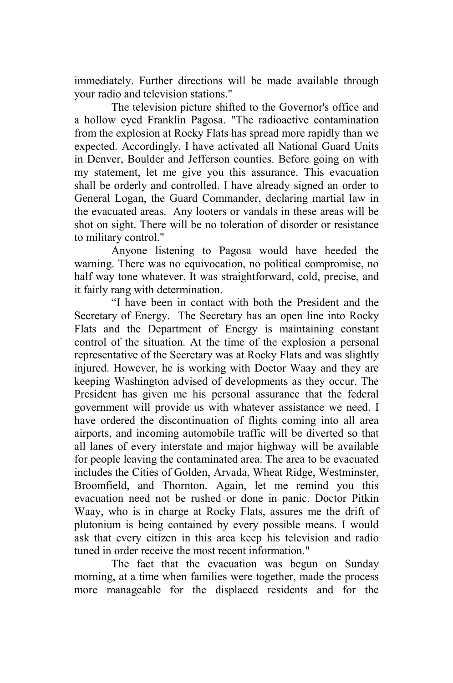immediately. Further directions will be made available through your radio and television stations."

The television picture shifted to the Governor's office and a hollow eyed Franklin Pagosa. "The radioactive contamination from the explosion at Rocky Flats has spread more rapidly than we expected. Accordingly, I have activated all National Guard Units in Denver, Boulder and Jefferson counties. Before going on with my statement, let me give you this assurance. This evacuation shall be orderly and controlled. I have already signed an order to General Logan, the Guard Commander, declaring martial law in the evacuated areas. Any looters or vandals in these areas will be shot on sight. There will be no toleration of disorder or resistance to military control."

Anyone listening to Pagosa would have heeded the warning. There was no equivocation, no political compromise, no half way tone whatever. It was straightforward, cold, precise, and it fairly rang with determination.

"I have been in contact with both the President and the Secretary of Energy. The Secretary has an open line into Rocky Flats and the Department of Energy is maintaining constant control of the situation. At the time of the explosion a personal representative of the Secretary was at Rocky Flats and was slightly injured. However, he is working with Doctor Waay and they are keeping Washington advised of developments as they occur. The President has given me his personal assurance that the federal government will provide us with whatever assistance we need. I have ordered the discontinuation of flights coming into all area airports, and incoming automobile traffic will be diverted so that all lanes of every interstate and major highway will be available for people leaving the contaminated area. The area to be evacuated includes the Cities of Golden, Arvada, Wheat Ridge, Westminster, Broomfield, and Thornton. Again, let me remind you this evacuation need not be rushed or done in panic. Doctor Pitkin Waay, who is in charge at Rocky Flats, assures me the drift of plutonium is being contained by every possible means. I would ask that every citizen in this area keep his television and radio tuned in order receive the most recent information."

The fact that the evacuation was begun on Sunday morning, at a time when families were together, made the process more manageable for the displaced residents and for the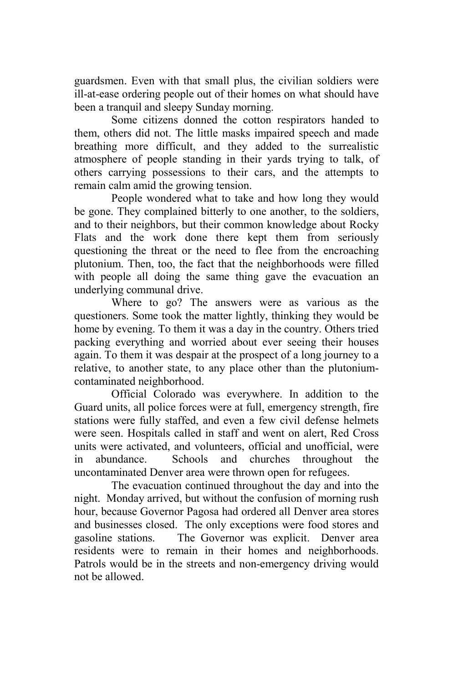guardsmen. Even with that small plus, the civilian soldiers were ill-at-ease ordering people out of their homes on what should have been a tranquil and sleepy Sunday morning.

Some citizens donned the cotton respirators handed to them, others did not. The little masks impaired speech and made breathing more difficult, and they added to the surrealistic atmosphere of people standing in their yards trying to talk, of others carrying possessions to their cars, and the attempts to remain calm amid the growing tension.

People wondered what to take and how long they would be gone. They complained bitterly to one another, to the soldiers, and to their neighbors, but their common knowledge about Rocky Flats and the work done there kept them from seriously questioning the threat or the need to flee from the encroaching plutonium. Then, too, the fact that the neighborhoods were filled with people all doing the same thing gave the evacuation an underlying communal drive.

Where to go? The answers were as various as the questioners. Some took the matter lightly, thinking they would be home by evening. To them it was a day in the country. Others tried packing everything and worried about ever seeing their houses again. To them it was despair at the prospect of a long journey to a relative, to another state, to any place other than the plutoniumcontaminated neighborhood.

Official Colorado was everywhere. In addition to the Guard units, all police forces were at full, emergency strength, fire stations were fully staffed, and even a few civil defense helmets were seen. Hospitals called in staff and went on alert, Red Cross units were activated, and volunteers, official and unofficial, were in abundance. Schools and churches throughout the uncontaminated Denver area were thrown open for refugees.

The evacuation continued throughout the day and into the night. Monday arrived, but without the confusion of morning rush hour, because Governor Pagosa had ordered all Denver area stores and businesses closed. The only exceptions were food stores and gasoline stations. The Governor was explicit. Denver area residents were to remain in their homes and neighborhoods. Patrols would be in the streets and non-emergency driving would not be allowed.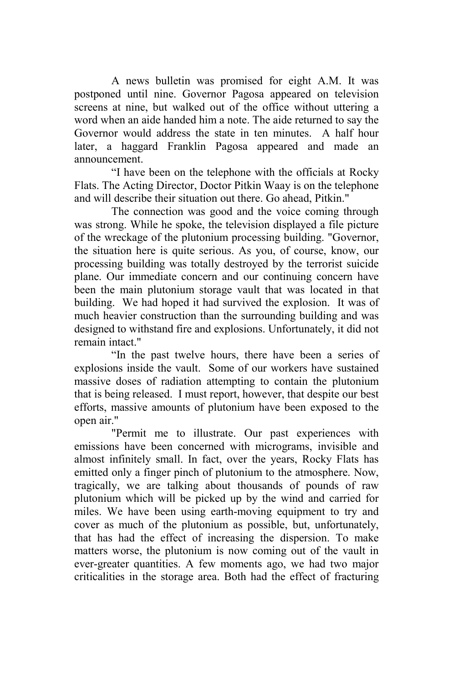A news bulletin was promised for eight A.M. It was postponed until nine. Governor Pagosa appeared on television screens at nine, but walked out of the office without uttering a word when an aide handed him a note. The aide returned to say the Governor would address the state in ten minutes. A half hour later, a haggard Franklin Pagosa appeared and made an announcement.

"I have been on the telephone with the officials at Rocky Flats. The Acting Director, Doctor Pitkin Waay is on the telephone and will describe their situation out there. Go ahead, Pitkin."

The connection was good and the voice coming through was strong. While he spoke, the television displayed a file picture of the wreckage of the plutonium processing building. "Governor, the situation here is quite serious. As you, of course, know, our processing building was totally destroyed by the terrorist suicide plane. Our immediate concern and our continuing concern have been the main plutonium storage vault that was located in that building. We had hoped it had survived the explosion. It was of much heavier construction than the surrounding building and was designed to withstand fire and explosions. Unfortunately, it did not remain intact."

"In the past twelve hours, there have been a series of explosions inside the vault. Some of our workers have sustained massive doses of radiation attempting to contain the plutonium that is being released. I must report, however, that despite our best efforts, massive amounts of plutonium have been exposed to the open air."

"Permit me to illustrate. Our past experiences with emissions have been concerned with micrograms, invisible and almost infinitely small. In fact, over the years, Rocky Flats has emitted only a finger pinch of plutonium to the atmosphere. Now, tragically, we are talking about thousands of pounds of raw plutonium which will be picked up by the wind and carried for miles. We have been using earth-moving equipment to try and cover as much of the plutonium as possible, but, unfortunately, that has had the effect of increasing the dispersion. To make matters worse, the plutonium is now coming out of the vault in ever-greater quantities. A few moments ago, we had two major criticalities in the storage area. Both had the effect of fracturing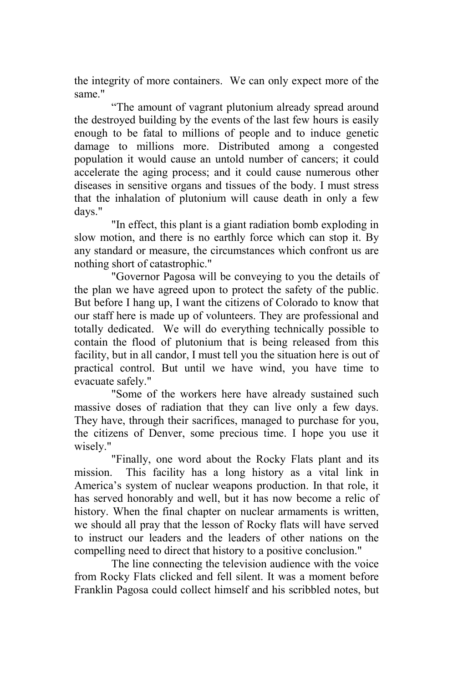the integrity of more containers. We can only expect more of the same."

"The amount of vagrant plutonium already spread around the destroyed building by the events of the last few hours is easily enough to be fatal to millions of people and to induce genetic damage to millions more. Distributed among a congested population it would cause an untold number of cancers; it could accelerate the aging process; and it could cause numerous other diseases in sensitive organs and tissues of the body. I must stress that the inhalation of plutonium will cause death in only a few days."

"In effect, this plant is a giant radiation bomb exploding in slow motion, and there is no earthly force which can stop it. By any standard or measure, the circumstances which confront us are nothing short of catastrophic."

 "Governor Pagosa will be conveying to you the details of the plan we have agreed upon to protect the safety of the public. But before I hang up, I want the citizens of Colorado to know that our staff here is made up of volunteers. They are professional and totally dedicated. We will do everything technically possible to contain the flood of plutonium that is being released from this facility, but in all candor, I must tell you the situation here is out of practical control. But until we have wind, you have time to evacuate safely."

 "Some of the workers here have already sustained such massive doses of radiation that they can live only a few days. They have, through their sacrifices, managed to purchase for you, the citizens of Denver, some precious time. I hope you use it wisely."

"Finally, one word about the Rocky Flats plant and its mission. This facility has a long history as a vital link in America's system of nuclear weapons production. In that role, it has served honorably and well, but it has now become a relic of history. When the final chapter on nuclear armaments is written, we should all pray that the lesson of Rocky flats will have served to instruct our leaders and the leaders of other nations on the compelling need to direct that history to a positive conclusion."

The line connecting the television audience with the voice from Rocky Flats clicked and fell silent. It was a moment before Franklin Pagosa could collect himself and his scribbled notes, but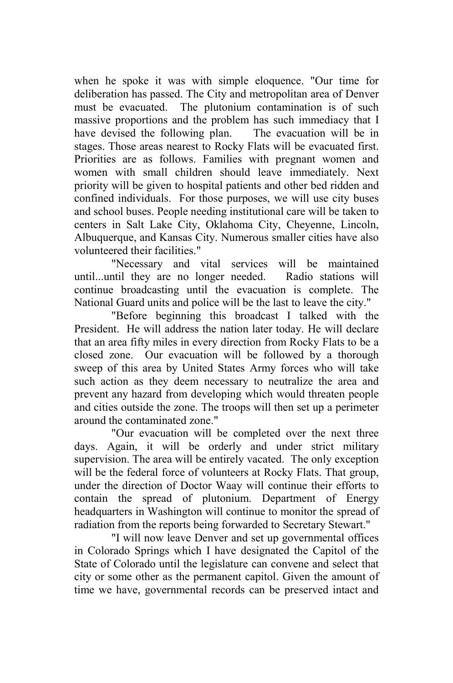when he spoke it was with simple eloquence. "Our time for deliberation has passed. The City and metropolitan area of Denver must be evacuated. The plutonium contamination is of such massive proportions and the problem has such immediacy that I have devised the following plan. The evacuation will be in stages. Those areas nearest to Rocky Flats will be evacuated first. Priorities are as follows. Families with pregnant women and women with small children should leave immediately. Next priority will be given to hospital patients and other bed ridden and confined individuals. For those purposes, we will use city buses and school buses. People needing institutional care will be taken to centers in Salt Lake City, Oklahoma City, Cheyenne, Lincoln, Albuquerque, and Kansas City. Numerous smaller cities have also volunteered their facilities."

"Necessary and vital services will be maintained until...until they are no longer needed. Radio stations will continue broadcasting until the evacuation is complete. The National Guard units and police will be the last to leave the city."

"Before beginning this broadcast I talked with the President. He will address the nation later today. He will declare that an area fifty miles in every direction from Rocky Flats to be a closed zone. Our evacuation will be followed by a thorough sweep of this area by United States Army forces who will take such action as they deem necessary to neutralize the area and prevent any hazard from developing which would threaten people and cities outside the zone. The troops will then set up a perimeter around the contaminated zone."

"Our evacuation will be completed over the next three days. Again, it will be orderly and under strict military supervision. The area will be entirely vacated. The only exception will be the federal force of volunteers at Rocky Flats. That group, under the direction of Doctor Waay will continue their efforts to contain the spread of plutonium. Department of Energy headquarters in Washington will continue to monitor the spread of radiation from the reports being forwarded to Secretary Stewart."

"I will now leave Denver and set up governmental offices in Colorado Springs which I have designated the Capitol of the State of Colorado until the legislature can convene and select that city or some other as the permanent capitol. Given the amount of time we have, governmental records can be preserved intact and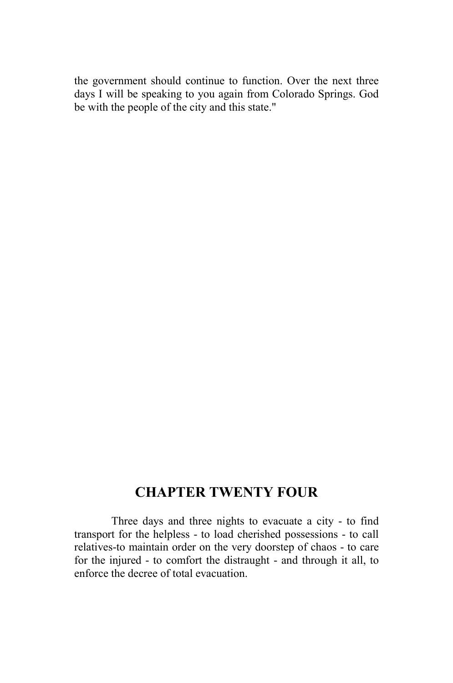the government should continue to function. Over the next three days I will be speaking to you again from Colorado Springs. God be with the people of the city and this state."

## **CHAPTER TWENTY FOUR**

Three days and three nights to evacuate a city - to find transport for the helpless - to load cherished possessions - to call relatives-to maintain order on the very doorstep of chaos - to care for the injured - to comfort the distraught - and through it all, to enforce the decree of total evacuation.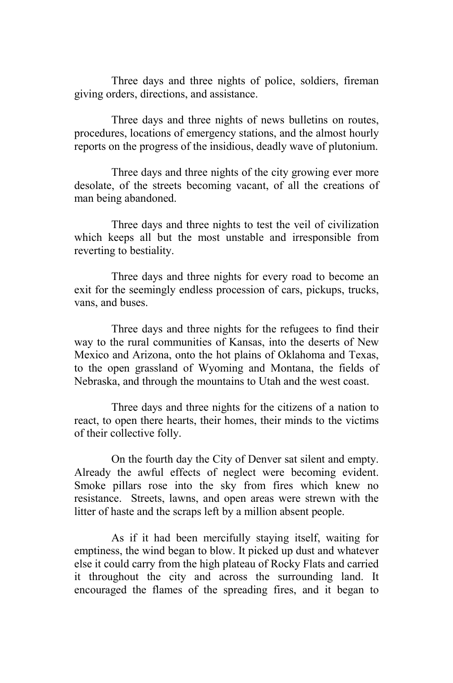Three days and three nights of police, soldiers, fireman giving orders, directions, and assistance.

Three days and three nights of news bulletins on routes, procedures, locations of emergency stations, and the almost hourly reports on the progress of the insidious, deadly wave of plutonium.

Three days and three nights of the city growing ever more desolate, of the streets becoming vacant, of all the creations of man being abandoned.

Three days and three nights to test the veil of civilization which keeps all but the most unstable and irresponsible from reverting to bestiality.

Three days and three nights for every road to become an exit for the seemingly endless procession of cars, pickups, trucks, vans, and buses.

Three days and three nights for the refugees to find their way to the rural communities of Kansas, into the deserts of New Mexico and Arizona, onto the hot plains of Oklahoma and Texas, to the open grassland of Wyoming and Montana, the fields of Nebraska, and through the mountains to Utah and the west coast.

Three days and three nights for the citizens of a nation to react, to open there hearts, their homes, their minds to the victims of their collective folly.

On the fourth day the City of Denver sat silent and empty. Already the awful effects of neglect were becoming evident. Smoke pillars rose into the sky from fires which knew no resistance. Streets, lawns, and open areas were strewn with the litter of haste and the scraps left by a million absent people.

As if it had been mercifully staying itself, waiting for emptiness, the wind began to blow. It picked up dust and whatever else it could carry from the high plateau of Rocky Flats and carried it throughout the city and across the surrounding land. It encouraged the flames of the spreading fires, and it began to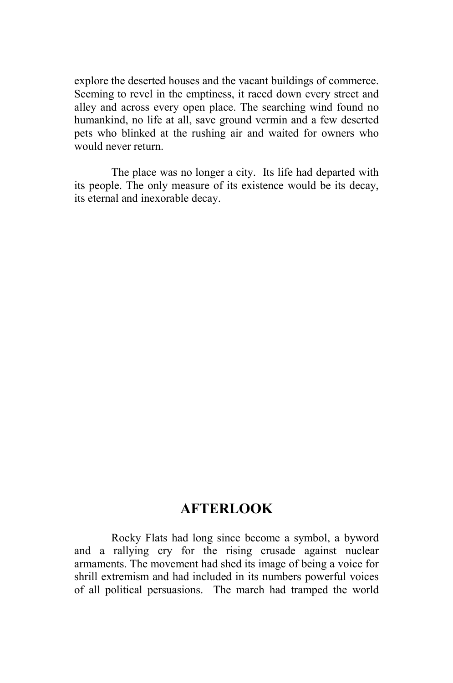explore the deserted houses and the vacant buildings of commerce. Seeming to revel in the emptiness, it raced down every street and alley and across every open place. The searching wind found no humankind, no life at all, save ground vermin and a few deserted pets who blinked at the rushing air and waited for owners who would never return.

The place was no longer a city. Its life had departed with its people. The only measure of its existence would be its decay, its eternal and inexorable decay.

## **AFTERLOOK**

Rocky Flats had long since become a symbol, a byword and a rallying cry for the rising crusade against nuclear armaments. The movement had shed its image of being a voice for shrill extremism and had included in its numbers powerful voices of all political persuasions. The march had tramped the world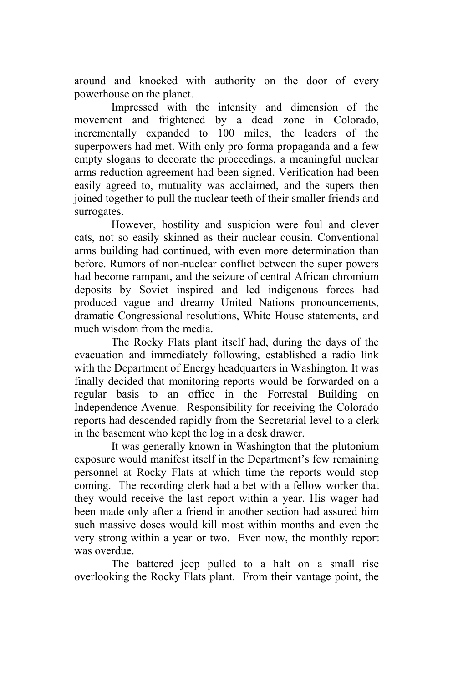around and knocked with authority on the door of every powerhouse on the planet.

 Impressed with the intensity and dimension of the movement and frightened by a dead zone in Colorado, incrementally expanded to 100 miles, the leaders of the superpowers had met. With only pro forma propaganda and a few empty slogans to decorate the proceedings, a meaningful nuclear arms reduction agreement had been signed. Verification had been easily agreed to, mutuality was acclaimed, and the supers then joined together to pull the nuclear teeth of their smaller friends and surrogates.

However, hostility and suspicion were foul and clever cats, not so easily skinned as their nuclear cousin. Conventional arms building had continued, with even more determination than before. Rumors of non-nuclear conflict between the super powers had become rampant, and the seizure of central African chromium deposits by Soviet inspired and led indigenous forces had produced vague and dreamy United Nations pronouncements, dramatic Congressional resolutions, White House statements, and much wisdom from the media.

The Rocky Flats plant itself had, during the days of the evacuation and immediately following, established a radio link with the Department of Energy headquarters in Washington. It was finally decided that monitoring reports would be forwarded on a regular basis to an office in the Forrestal Building on Independence Avenue. Responsibility for receiving the Colorado reports had descended rapidly from the Secretarial level to a clerk in the basement who kept the log in a desk drawer.

It was generally known in Washington that the plutonium exposure would manifest itself in the Department's few remaining personnel at Rocky Flats at which time the reports would stop coming. The recording clerk had a bet with a fellow worker that they would receive the last report within a year. His wager had been made only after a friend in another section had assured him such massive doses would kill most within months and even the very strong within a year or two. Even now, the monthly report was overdue.

The battered jeep pulled to a halt on a small rise overlooking the Rocky Flats plant. From their vantage point, the